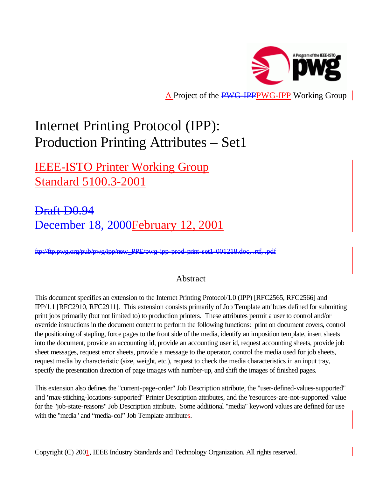

A Project of the PWG-IPPPWG-IPP Working Group

# Internet Printing Protocol (IPP): Production Printing Attributes – Set1

IEEE-ISTO Printer Working Group Standard 5100.3-2001

Draft D0.94 December 18, 2000February 12, 2001

ftp://ftp.pwg.org/pub/pwg/ipp/new\_PPE/pwg-ipp-prod-print-set1-001218.doc, .rtf, .pdf

# Abstract

This document specifies an extension to the Internet Printing Protocol/1.0 (IPP) [RFC2565, RFC2566] and IPP/1.1 [RFC2910, RFC2911]. This extension consists primarily of Job Template attributes defined for submitting print jobs primarily (but not limited to) to production printers. These attributes permit a user to control and/or override instructions in the document content to perform the following functions: print on document covers, control the positioning of stapling, force pages to the front side of the media, identify an imposition template, insert sheets into the document, provide an accounting id, provide an accounting user id, request accounting sheets, provide job sheet messages, request error sheets, provide a message to the operator, control the media used for job sheets, request media by characteristic (size, weight, etc.), request to check the media characteristics in an input tray, specify the presentation direction of page images with number-up, and shift the images of finished pages.

This extension also defines the "current-page-order" Job Description attribute, the "user-defined-values-supported" and "max-stitching-locations-supported" Printer Description attributes, and the 'resources-are-not-supported' value for the "job-state-reasons" Job Description attribute. Some additional "media" keyword values are defined for use with the "media" and "media-col" Job Template attributes.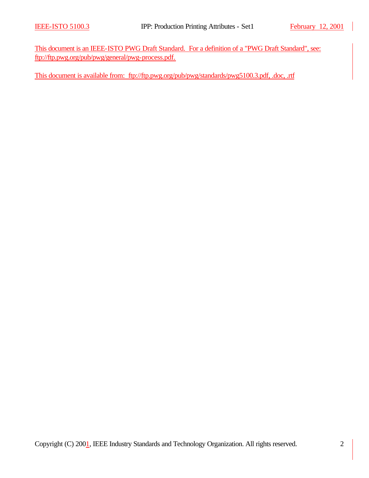This document is an IEEE-ISTO PWG Draft Standard. For a definition of a "PWG Draft Standard", see: ftp://ftp.pwg.org/pub/pwg/general/pwg-process.pdf.

This document is available from: ftp://ftp.pwg.org/pub/pwg/standards/pwg5100.3.pdf, .doc, .rtf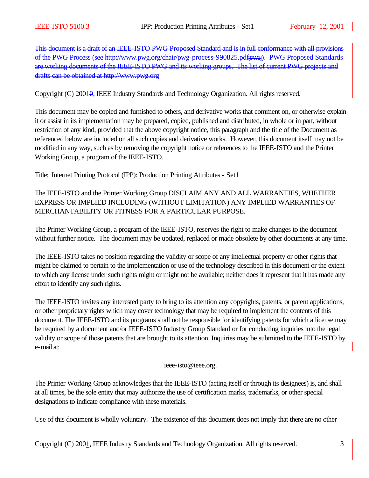This document is a draft of an IEEE-ISTO PWG Proposed Standard and is in full conformance with all provisions of the PWG Process (see http://www.pwg.org/chair/pwg-process-990825.pdf[DW1]). PWG Proposed Standards are working documents of the IEEE-ISTO PWG and its working groups. The list of current PWG projects and drafts can be obtained at http://www.pwg.org

Copyright (C) 20010, IEEE Industry Standards and Technology Organization. All rights reserved.

This document may be copied and furnished to others, and derivative works that comment on, or otherwise explain it or assist in its implementation may be prepared, copied, published and distributed, in whole or in part, without restriction of any kind, provided that the above copyright notice, this paragraph and the title of the Document as referenced below are included on all such copies and derivative works. However, this document itself may not be modified in any way, such as by removing the copyright notice or references to the IEEE-ISTO and the Printer Working Group, a program of the IEEE-ISTO.

Title: Internet Printing Protocol (IPP): Production Printing Attributes - Set1

The IEEE-ISTO and the Printer Working Group DISCLAIM ANY AND ALL WARRANTIES, WHETHER EXPRESS OR IMPLIED INCLUDING (WITHOUT LIMITATION) ANY IMPLIED WARRANTIES OF MERCHANTABILITY OR FITNESS FOR A PARTICULAR PURPOSE.

The Printer Working Group, a program of the IEEE-ISTO, reserves the right to make changes to the document without further notice. The document may be updated, replaced or made obsolete by other documents at any time.

The IEEE-ISTO takes no position regarding the validity or scope of any intellectual property or other rights that might be claimed to pertain to the implementation or use of the technology described in this document or the extent to which any license under such rights might or might not be available; neither does it represent that it has made any effort to identify any such rights.

The IEEE-ISTO invites any interested party to bring to its attention any copyrights, patents, or patent applications, or other proprietary rights which may cover technology that may be required to implement the contents of this document. The IEEE-ISTO and its programs shall not be responsible for identifying patents for which a license may be required by a document and/or IEEE-ISTO Industry Group Standard or for conducting inquiries into the legal validity or scope of those patents that are brought to its attention. Inquiries may be submitted to the IEEE-ISTO by e-mail at:

#### ieee-isto@ieee.org.

The Printer Working Group acknowledges that the IEEE-ISTO (acting itself or through its designees) is, and shall at all times, be the sole entity that may authorize the use of certification marks, trademarks, or other special designations to indicate compliance with these materials.

Use of this document is wholly voluntary. The existence of this document does not imply that there are no other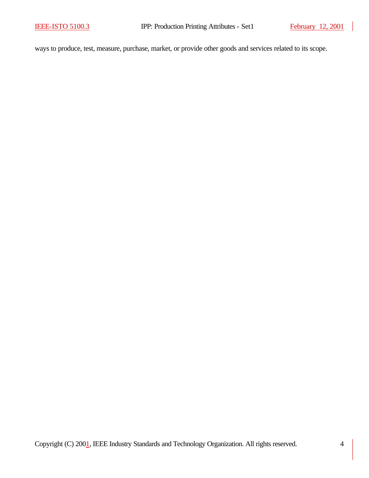$\overline{\phantom{a}}$ 

ways to produce, test, measure, purchase, market, or provide other goods and services related to its scope.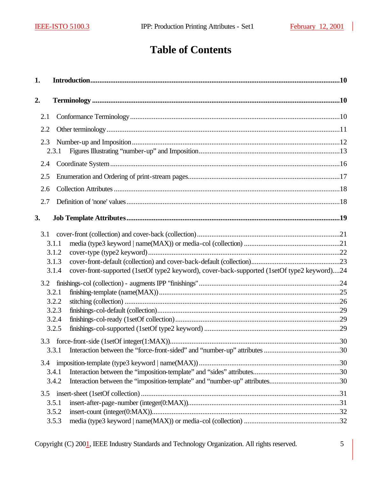# **Table of Contents**

| 1.  | In a reduction 10                                                                                                               |  |
|-----|---------------------------------------------------------------------------------------------------------------------------------|--|
| 2.  |                                                                                                                                 |  |
| 2.1 |                                                                                                                                 |  |
| 2.2 |                                                                                                                                 |  |
| 2.3 | 2.3.1                                                                                                                           |  |
| 2.4 |                                                                                                                                 |  |
| 2.5 |                                                                                                                                 |  |
| 2.6 |                                                                                                                                 |  |
| 2.7 |                                                                                                                                 |  |
| 3.  |                                                                                                                                 |  |
| 3.1 | 3.1.1<br>3.1.2<br>3.1.3<br>cover-front-supported (1setOf type2 keyword), cover-back-supported (1setOf type2 keyword)24<br>3.1.4 |  |
| 3.2 | 3.2.1<br>3.2.2<br>3.2.3<br>3.2.4<br>3.2.5                                                                                       |  |
|     | 3.3.1                                                                                                                           |  |
| 3.4 | 3.4.1<br>3.4.2                                                                                                                  |  |
| 3.5 | 3.5.1<br>3.5.2<br>3.5.3                                                                                                         |  |

Copyright (C) 200<sup>1</sup>, IEEE Industry Standards and Technology Organization. All rights reserved. 5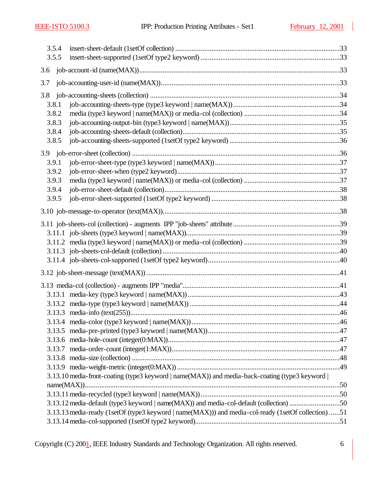|     | 3.5.4 |                                                                                                     |  |
|-----|-------|-----------------------------------------------------------------------------------------------------|--|
|     | 3.5.5 |                                                                                                     |  |
| 3.6 |       |                                                                                                     |  |
| 3.7 |       |                                                                                                     |  |
| 3.8 |       |                                                                                                     |  |
|     | 3.8.1 |                                                                                                     |  |
|     | 3.8.2 |                                                                                                     |  |
|     | 3.8.3 |                                                                                                     |  |
|     | 3.8.4 |                                                                                                     |  |
|     | 3.8.5 |                                                                                                     |  |
|     |       |                                                                                                     |  |
|     | 3.9.1 |                                                                                                     |  |
|     | 3.9.2 |                                                                                                     |  |
|     | 3.9.3 |                                                                                                     |  |
|     | 3.9.4 |                                                                                                     |  |
|     | 3.9.5 |                                                                                                     |  |
|     |       |                                                                                                     |  |
|     |       |                                                                                                     |  |
|     |       |                                                                                                     |  |
|     |       |                                                                                                     |  |
|     |       |                                                                                                     |  |
|     |       |                                                                                                     |  |
|     |       |                                                                                                     |  |
|     |       |                                                                                                     |  |
|     |       |                                                                                                     |  |
|     |       |                                                                                                     |  |
|     |       |                                                                                                     |  |
|     |       |                                                                                                     |  |
|     |       |                                                                                                     |  |
|     |       |                                                                                                     |  |
|     |       |                                                                                                     |  |
|     |       |                                                                                                     |  |
|     |       |                                                                                                     |  |
|     |       | 3.13.10 media-front-coating (type3 keyword   name(MAX)) and media-back-coating (type3 keyword       |  |
|     |       |                                                                                                     |  |
|     |       |                                                                                                     |  |
|     |       | 3.13.12 media-default (type3 keyword   name(MAX)) and media-col-default (collection) 50             |  |
|     |       | 3.13.13 media-ready (1setOf (type3 keyword   name(MAX))) and media-col-ready (1setOf collection) 51 |  |
|     |       |                                                                                                     |  |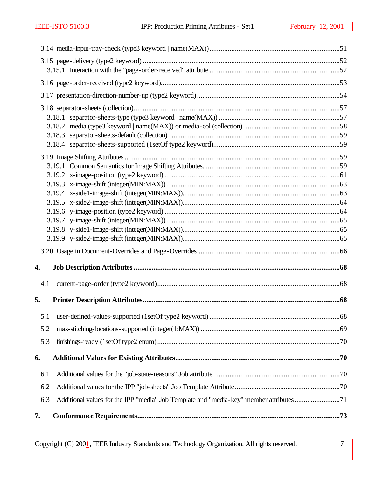| 4.  |                                                                                        |  |
|-----|----------------------------------------------------------------------------------------|--|
|     |                                                                                        |  |
| 5.  |                                                                                        |  |
|     |                                                                                        |  |
| 5.2 |                                                                                        |  |
| 5.3 |                                                                                        |  |
| 6.  |                                                                                        |  |
| 6.1 |                                                                                        |  |
| 6.2 |                                                                                        |  |
| 6.3 | Additional values for the IPP "media" Job Template and "media-key" member attributes71 |  |
| 7.  |                                                                                        |  |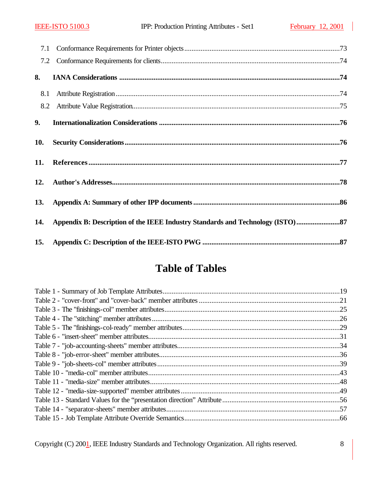| 7.1 |                                                                              |
|-----|------------------------------------------------------------------------------|
| 7.2 |                                                                              |
| 8.  |                                                                              |
| 8.1 |                                                                              |
| 8.2 |                                                                              |
| 9.  |                                                                              |
| 10. |                                                                              |
| 11. |                                                                              |
| 12. |                                                                              |
| 13. |                                                                              |
| 14. | Appendix B: Description of the IEEE Industry Standards and Technology (ISTO) |
| 15. |                                                                              |

# **Table of Tables**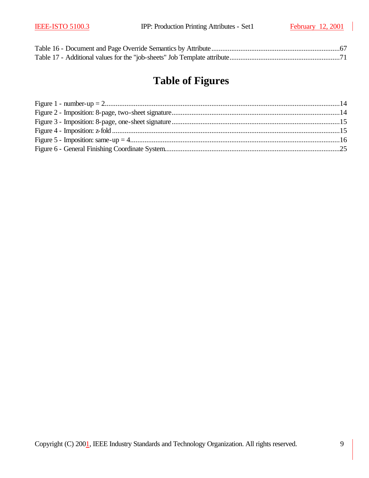# **Table of Figures**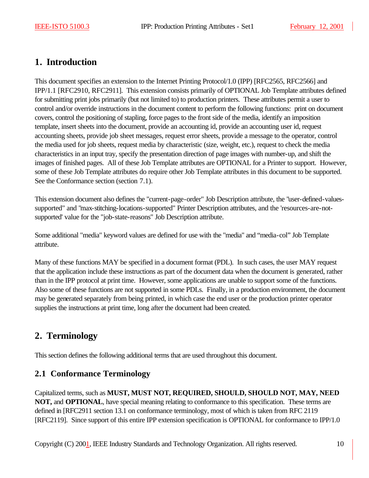# **1. Introduction**

This document specifies an extension to the Internet Printing Protocol/1.0 (IPP) [RFC2565, RFC2566] and IPP/1.1 [RFC2910, RFC2911]. This extension consists primarily of OPTIONAL Job Template attributes defined for submitting print jobs primarily (but not limited to) to production printers. These attributes permit a user to control and/or override instructions in the document content to perform the following functions: print on document covers, control the positioning of stapling, force pages to the front side of the media, identify an imposition template, insert sheets into the document, provide an accounting id, provide an accounting user id, request accounting sheets, provide job sheet messages, request error sheets, provide a message to the operator, control the media used for job sheets, request media by characteristic (size, weight, etc.), request to check the media characteristics in an input tray, specify the presentation direction of page images with number-up, and shift the images of finished pages. All of these Job Template attributes are OPTIONAL for a Printer to support. However, some of these Job Template attributes do require other Job Template attributes in this document to be supported. See the Conformance section (section 7.1).

This extension document also defines the "current-page-order" Job Description attribute, the "user-defined-valuessupported" and "max-stitching-locations-supported" Printer Description attributes, and the 'resources-are-notsupported' value for the "job-state-reasons" Job Description attribute.

Some additional "media" keyword values are defined for use with the "media" and "media-col" Job Template attribute.

Many of these functions MAY be specified in a document format (PDL). In such cases, the user MAY request that the application include these instructions as part of the document data when the document is generated, rather than in the IPP protocol at print time. However, some applications are unable to support some of the functions. Also some of these functions are not supported in some PDLs. Finally, in a production environment, the document may be generated separately from being printed, in which case the end user or the production printer operator supplies the instructions at print time, long after the document had been created.

# **2. Terminology**

This section defines the following additional terms that are used throughout this document.

# **2.1 Conformance Terminology**

Capitalized terms, such as **MUST, MUST NOT, REQUIRED, SHOULD, SHOULD NOT, MAY, NEED NOT,** and **OPTIONAL**, have special meaning relating to conformance to this specification. These terms are defined in [RFC2911 section 13.1 on conformance terminology, most of which is taken from RFC 2119 [RFC2119]. Since support of this entire IPP extension specification is OPTIONAL for conformance to IPP/1.0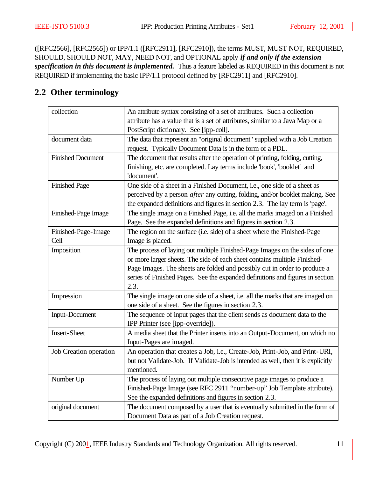([RFC2566], [RFC2565]) or IPP/1.1 ([RFC2911], [RFC2910]), the terms MUST, MUST NOT, REQUIRED, SHOULD, SHOULD NOT, MAY, NEED NOT, and OPTIONAL apply *if and only if the extension specification in this document is implemented.* Thus a feature labeled as REQUIRED in this document is not REQUIRED if implementing the basic IPP/1.1 protocol defined by [RFC2911] and [RFC2910].

# **2.2 Other terminology**

| collection                    | An attribute syntax consisting of a set of attributes. Such a collection<br>attribute has a value that is a set of attributes, similar to a Java Map or a                                                                                                                                                                      |  |  |
|-------------------------------|--------------------------------------------------------------------------------------------------------------------------------------------------------------------------------------------------------------------------------------------------------------------------------------------------------------------------------|--|--|
|                               | PostScript dictionary. See [ipp-coll].                                                                                                                                                                                                                                                                                         |  |  |
| document data                 | The data that represent an "original document" supplied with a Job Creation<br>request. Typically Document Data is in the form of a PDL.                                                                                                                                                                                       |  |  |
| <b>Finished Document</b>      | The document that results after the operation of printing, folding, cutting,<br>finishing, etc. are completed. Lay terms include 'book', 'booklet' and<br>'document'.                                                                                                                                                          |  |  |
| <b>Finished Page</b>          | One side of a sheet in a Finished Document, i.e., one side of a sheet as<br>perceived by a person <i>after</i> any cutting, folding, and/or booklet making. See<br>the expanded definitions and figures in section 2.3. The lay term is 'page'.                                                                                |  |  |
| Finished-Page Image           | The single image on a Finished Page, i.e. all the marks imaged on a Finished<br>Page. See the expanded definitions and figures in section 2.3.                                                                                                                                                                                 |  |  |
| Finished-Page-Image<br>Cell   | The region on the surface (i.e. side) of a sheet where the Finished-Page<br>Image is placed.                                                                                                                                                                                                                                   |  |  |
| Imposition                    | The process of laying out multiple Finished-Page Images on the sides of one<br>or more larger sheets. The side of each sheet contains multiple Finished-<br>Page Images. The sheets are folded and possibly cut in order to produce a<br>series of Finished Pages. See the expanded definitions and figures in section<br>2.3. |  |  |
| Impression                    | The single image on one side of a sheet, i.e. all the marks that are imaged on<br>one side of a sheet. See the figures in section 2.3.                                                                                                                                                                                         |  |  |
| <b>Input-Document</b>         | The sequence of input pages that the client sends as document data to the<br>IPP Printer (see [ipp-override]).                                                                                                                                                                                                                 |  |  |
| <b>Insert-Sheet</b>           | A media sheet that the Printer inserts into an Output-Document, on which no<br>Input-Pages are imaged.                                                                                                                                                                                                                         |  |  |
| <b>Job Creation operation</b> | An operation that creates a Job, i.e., Create-Job, Print-Job, and Print-URI,<br>but not Validate-Job. If Validate-Job is intended as well, then it is explicitly<br>mentioned.                                                                                                                                                 |  |  |
| Number Up                     | The process of laying out multiple consecutive page images to produce a<br>Finished-Page Image (see RFC 2911 "number-up" Job Template attribute).<br>See the expanded definitions and figures in section 2.3.                                                                                                                  |  |  |
| original document             | The document composed by a user that is eventually submitted in the form of<br>Document Data as part of a Job Creation request.                                                                                                                                                                                                |  |  |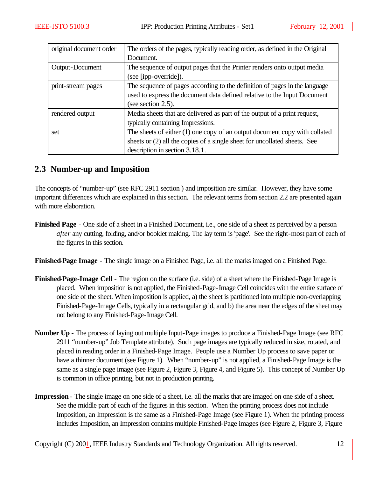| original document order | The orders of the pages, typically reading order, as defined in the Original |  |
|-------------------------|------------------------------------------------------------------------------|--|
|                         | Document.                                                                    |  |
| Output-Document         | The sequence of output pages that the Printer renders onto output media      |  |
|                         | (see [ipp-override]).                                                        |  |
| print-stream pages      | The sequence of pages according to the definition of pages in the language   |  |
|                         | used to express the document data defined relative to the Input Document     |  |
|                         | (see section 2.5).                                                           |  |
| rendered output         | Media sheets that are delivered as part of the output of a print request,    |  |
|                         | typically containing Impressions.                                            |  |
| set                     | The sheets of either $(1)$ one copy of an output document copy with collated |  |
|                         | sheets or (2) all the copies of a single sheet for uncollated sheets. See    |  |
|                         | description in section 3.18.1.                                               |  |

# **2.3 Number-up and Imposition**

The concepts of "number-up" (see RFC 2911 section ) and imposition are similar. However, they have some important differences which are explained in this section. The relevant terms from section 2.2 are presented again with more elaboration.

**Finished Page** - One side of a sheet in a Finished Document, i.e., one side of a sheet as perceived by a person *after* any cutting, folding, and/or booklet making. The lay term is 'page'. See the right-most part of each of the figures in this section.

**Finished-Page Image** - The single image on a Finished Page, i.e. all the marks imaged on a Finished Page.

- **Finished-Page-Image Cell** The region on the surface (i.e. side) of a sheet where the Finished-Page Image is placed. When imposition is not applied, the Finished-Page-Image Cell coincides with the entire surface of one side of the sheet. When imposition is applied, a) the sheet is partitioned into multiple non-overlapping Finished-Page-Image Cells, typically in a rectangular grid, and b) the area near the edges of the sheet may not belong to any Finished-Page-Image Cell.
- **Number Up** The process of laying out multiple Input-Page images to produce a Finished-Page Image (see RFC 2911 "number-up" Job Template attribute). Such page images are typically reduced in size, rotated, and placed in reading order in a Finished-Page Image. People use a Number Up process to save paper or have a thinner document (see Figure 1). When "number-up" is not applied, a Finished-Page Image is the same as a single page image (see Figure 2, Figure 3, Figure 4, and Figure 5). This concept of Number Up is common in office printing, but not in production printing.
- **Impression** The single image on one side of a sheet, i.e. all the marks that are imaged on one side of a sheet. See the middle part of each of the figures in this section. When the printing process does not include Imposition, an Impression is the same as a Finished-Page Image (see Figure 1). When the printing process includes Imposition, an Impression contains multiple Finished-Page images (see Figure 2, Figure 3, Figure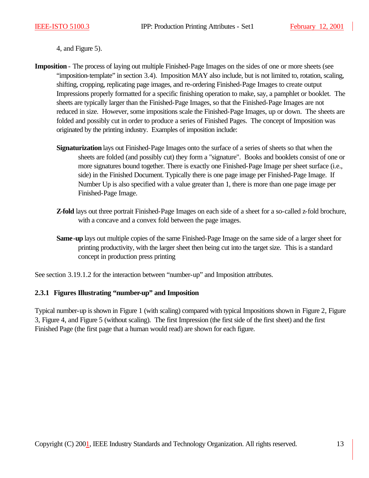4, and Figure 5).

- **Imposition** The process of laying out multiple Finished-Page Images on the sides of one or more sheets (see "imposition-template" in section 3.4). Imposition MAY also include, but is not limited to, rotation, scaling, shifting, cropping, replicating page images, and re-ordering Finished-Page Images to create output Impressions properly formatted for a specific finishing operation to make, say, a pamphlet or booklet. The sheets are typically larger than the Finished-Page Images, so that the Finished-Page Images are not reduced in size. However, some impositions scale the Finished-Page Images, up or down. The sheets are folded and possibly cut in order to produce a series of Finished Pages. The concept of Imposition was originated by the printing industry. Examples of imposition include:
	- **Signaturization** lays out Finished-Page Images onto the surface of a series of sheets so that when the sheets are folded (and possibly cut) they form a "signature". Books and booklets consist of one or more signatures bound together. There is exactly one Finished-Page Image per sheet surface (i.e., side) in the Finished Document. Typically there is one page image per Finished-Page Image. If Number Up is also specified with a value greater than 1, there is more than one page image per Finished-Page Image.
	- **Z-fold** lays out three portrait Finished-Page Images on each side of a sheet for a so-called z-fold brochure, with a concave and a convex fold between the page images.
	- **Same-up** lays out multiple copies of the same Finished-Page Image on the same side of a larger sheet for printing productivity, with the larger sheet then being cut into the target size. This is a standard concept in production press printing

See section 3.19.1.2 for the interaction between "number-up" and Imposition attributes.

#### **2.3.1 Figures Illustrating "number-up" and Imposition**

Typical number-up is shown in Figure 1 (with scaling) compared with typical Impositions shown in Figure 2, Figure 3, Figure 4, and Figure 5 (without scaling). The first Impression (the first side of the first sheet) and the first Finished Page (the first page that a human would read) are shown for each figure.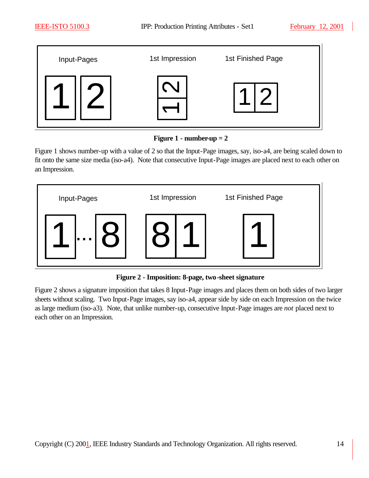

**Figure 1 - number-up**  $= 2$ 

Figure 1 shows number-up with a value of 2 so that the Input-Page images, say, iso-a4, are being scaled down to fit onto the same size media (iso-a4). Note that consecutive Input-Page images are placed next to each other on an Impression.



**Figure 2 - Imposition: 8-page, two-sheet signature**

Figure 2 shows a signature imposition that takes 8 Input-Page images and places them on both sides of two larger sheets without scaling. Two Input-Page images, say iso-a4, appear side by side on each Impression on the twice as large medium (iso-a3). Note, that unlike number-up, consecutive Input-Page images are *not* placed next to each other on an Impression.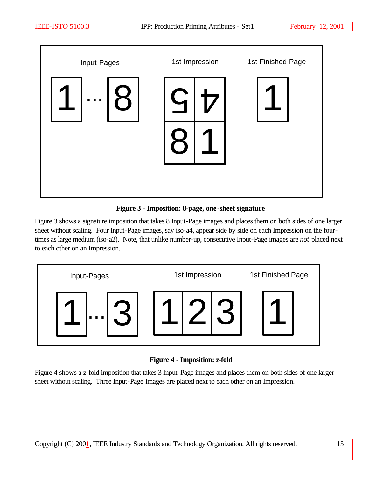

**Figure 3 - Imposition: 8-page, one-sheet signature**

Figure 3 shows a signature imposition that takes 8 Input-Page images and places them on both sides of one larger sheet without scaling. Four Input-Page images, say iso-a4, appear side by side on each Impression on the fourtimes as large medium (iso-a2). Note, that unlike number-up, consecutive Input-Page images are *not* placed next to each other on an Impression.



**Figure 4 - Imposition: z-fold**

Figure 4 shows a z-fold imposition that takes 3 Input-Page images and places them on both sides of one larger sheet without scaling. Three Input-Page images are placed next to each other on an Impression.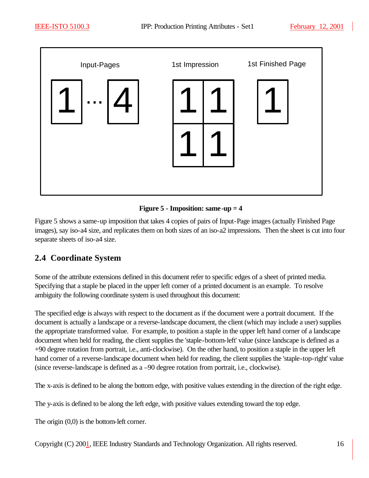

**Figure 5 - Imposition: same-up = 4**

Figure 5 shows a same-up imposition that takes 4 copies of pairs of Input-Page images (actually Finished Page images), say iso-a4 size, and replicates them on both sizes of an iso-a2 impressions. Then the sheet is cut into four separate sheets of iso-a4 size.

# **2.4 Coordinate System**

Some of the attribute extensions defined in this document refer to specific edges of a sheet of printed media. Specifying that a staple be placed in the upper left corner of a printed document is an example. To resolve ambiguity the following coordinate system is used throughout this document:

The specified edge is always with respect to the document as if the document were a portrait document. If the document is actually a landscape or a reverse-landscape document, the client (which may include a user) supplies the appropriate transformed value. For example, to position a staple in the upper left hand corner of a landscape document when held for reading, the client supplies the 'staple-bottom-left' value (since landscape is defined as a +90 degree rotation from portrait, i.e., anti-clockwise). On the other hand, to position a staple in the upper left hand corner of a reverse-landscape document when held for reading, the client supplies the 'staple-top-right' value (since reverse-landscape is defined as a –90 degree rotation from portrait, i.e., clockwise).

The x-axis is defined to be along the bottom edge, with positive values extending in the direction of the right edge.

The y-axis is defined to be along the left edge, with positive values extending toward the top edge.

The origin (0,0) is the bottom-left corner.

Copyright (C) 2001, IEEE Industry Standards and Technology Organization. All rights reserved. 16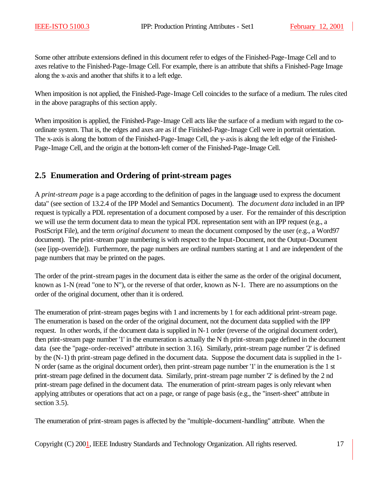Some other attribute extensions defined in this document refer to edges of the Finished-Page-Image Cell and to axes relative to the Finished-Page-Image Cell. For example, there is an attribute that shifts a Finished-Page Image along the x-axis and another that shifts it to a left edge.

When imposition is not applied, the Finished-Page-Image Cell coincides to the surface of a medium. The rules cited in the above paragraphs of this section apply.

When imposition is applied, the Finished-Page-Image Cell acts like the surface of a medium with regard to the coordinate system. That is, the edges and axes are as if the Finished-Page-Image Cell were in portrait orientation. The x-axis is along the bottom of the Finished-Page-Image Cell, the y-axis is along the left edge of the Finished-Page-Image Cell, and the origin at the bottom-left corner of the Finished-Page-Image Cell.

# **2.5 Enumeration and Ordering of print-stream pages**

A *print-stream page* is a page according to the definition of pages in the language used to express the document data" (see section of 13.2.4 of the IPP Model and Semantics Document). The *document data* included in an IPP request is typically a PDL representation of a document composed by a user. For the remainder of this description we will use the term document data to mean the typical PDL representation sent with an IPP request (e.g., a PostScript File), and the term *original document* to mean the document composed by the user (e.g., a Word97 document). The print-stream page numbering is with respect to the Input-Document, not the Output-Document (see [ipp-override]). Furthermore, the page numbers are ordinal numbers starting at 1 and are independent of the page numbers that may be printed on the pages.

The order of the print-stream pages in the document data is either the same as the order of the original document, known as 1-N (read "one to N"), or the reverse of that order, known as N-1. There are no assumptions on the order of the original document, other than it is ordered.

The enumeration of print-stream pages begins with 1 and increments by 1 for each additional print-stream page. The enumeration is based on the order of the original document, not the document data supplied with the IPP request. In other words, if the document data is supplied in N-1 order (reverse of the original document order), then print-stream page number '1' in the enumeration is actually the N th print-stream page defined in the document data (see the "page-order-received" attribute in section 3.16). Similarly, print-stream page number '2' is defined by the (N-1) th print-stream page defined in the document data. Suppose the document data is supplied in the 1- N order (same as the original document order), then print-stream page number '1' in the enumeration is the 1 st print-stream page defined in the document data. Similarly, print-stream page number '2' is defined by the 2 nd print-stream page defined in the document data. The enumeration of print-stream pages is only relevant when applying attributes or operations that act on a page, or range of page basis (e.g., the "insert-sheet" attribute in section 3.5).

The enumeration of print-stream pages is affected by the "multiple-document-handling" attribute. When the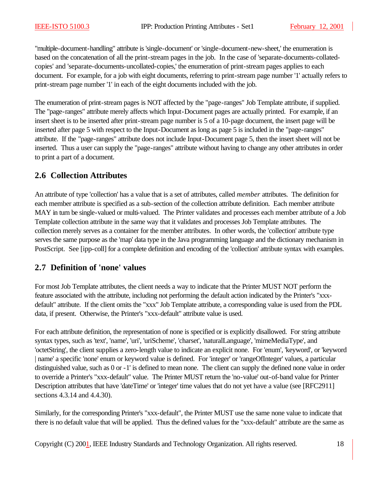"multiple-document-handling" attribute is 'single-document' or 'single-document-new-sheet,' the enumeration is based on the concatenation of all the print-stream pages in the job. In the case of 'separate-documents-collatedcopies' and 'separate-documents-uncollated-copies,' the enumeration of print-stream pages applies to each document. For example, for a job with eight documents, referring to print-stream page number '1' actually refers to print-stream page number '1' in each of the eight documents included with the job.

The enumeration of print-stream pages is NOT affected by the "page-ranges" Job Template attribute, if supplied. The "page-ranges" attribute merely affects which Input-Document pages are actually printed. For example, if an insert sheet is to be inserted after print-stream page number is 5 of a 10-page document, the insert page will be inserted after page 5 with respect to the Input-Document as long as page 5 is included in the "page-ranges" attribute. If the "page-ranges" attribute does not include Input-Document page 5, then the insert sheet will not be inserted. Thus a user can supply the "page-ranges" attribute without having to change any other attributes in order to print a part of a document.

# **2.6 Collection Attributes**

An attribute of type 'collection' has a value that is a set of attributes, called *member* attributes. The definition for each member attribute is specified as a sub-section of the collection attribute definition. Each member attribute MAY in turn be single-valued or multi-valued. The Printer validates and processes each member attribute of a Job Template collection attribute in the same way that it validates and processes Job Template attributes. The collection merely serves as a container for the member attributes. In other words, the 'collection' attribute type serves the same purpose as the 'map' data type in the Java programming language and the dictionary mechanism in PostScript. See [ipp-coll] for a complete definition and encoding of the 'collection' attribute syntax with examples.

# **2.7 Definition of 'none' values**

For most Job Template attributes, the client needs a way to indicate that the Printer MUST NOT perform the feature associated with the attribute, including not performing the default action indicated by the Printer's "xxxdefault" attribute. If the client omits the "xxx" Job Template attribute, a corresponding value is used from the PDL data, if present. Otherwise, the Printer's "xxx-default" attribute value is used.

For each attribute definition, the representation of none is specified or is explicitly disallowed. For string attribute syntax types, such as 'text', 'name', 'uri', 'uriScheme', 'charset', 'naturalLanguage', 'mimeMediaType', and 'octetString', the client supplies a zero-length value to indicate an explicit none. For 'enum', 'keyword', or 'keyword | name' a specific 'none' enum or keyword value is defined. For 'integer' or 'rangeOfInteger' values, a particular distinguished value, such as 0 or -1' is defined to mean none. The client can supply the defined none value in order to override a Printer's "xxx-default" value. The Printer MUST return the 'no-value' out-of-band value for Printer Description attributes that have 'dateTime' or 'integer' time values that do not yet have a value (see [RFC2911] sections 4.3.14 and 4.4.30).

Similarly, for the corresponding Printer's "xxx-default", the Printer MUST use the same none value to indicate that there is no default value that will be applied. Thus the defined values for the "xxx-default" attribute are the same as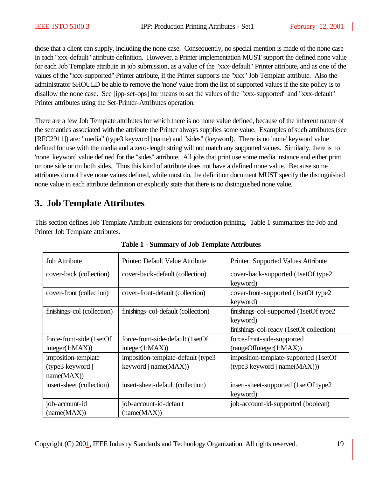those that a client can supply, including the none case. Consequently, no special mention is made of the none case in each "xxx-default" attribute definition. However, a Printer implementation MUST support the defined none value for each Job Template attribute in job submission, as a value of the "xxx-default" Printer attribute, and as one of the values of the "xxx-supported" Printer attribute, if the Printer supports the "xxx" Job Template attribute. Also the administrator SHOULD be able to remove the 'none' value from the list of supported values if the site policy is to disallow the none case. See [ipp-set-ops] for means to set the values of the "xxx-supported" and "xxx-default" Printer attributes using the Set-Printer-Attributes operation.

There are a few Job Template attributes for which there is no none value defined, because of the inherent nature of the semantics associated with the attribute the Printer always supplies some value. Examples of such attributes (see [RFC2911]) are: "media" (type3 keyword | name) and "sides" (keyword). There is no 'none' keyword value defined for use with the media and a zero-length string will not match any supported values. Similarly, there is no 'none' keyword value defined for the "sides" attribute. All jobs that print use some media instance and either print on one side or on both sides. Thus this kind of attribute does not have a defined none value. Because some attributes do not have none values defined, while most do, the definition document MUST specify the distinguished none value in each attribute definition or explicitly state that there is no distinguished none value.

# **3. Job Template Attributes**

This section defines Job Template Attribute extensions for production printing. Table 1 summarizes the Job and Printer Job Template attributes.

| <b>Job Attribute</b>        | Printer: Default Value Attribute    | Printer: Supported Values Attribute      |
|-----------------------------|-------------------------------------|------------------------------------------|
| cover-back (collection)     | cover-back-default (collection)     | cover-back-supported (1setOf type2)      |
|                             |                                     | keyword)                                 |
| cover-front (collection)    | cover-front-default (collection)    | cover-front-supported (1setOf type2)     |
|                             |                                     | keyword)                                 |
| finishings-col (collection) | finishings-col-default (collection) | finishings-col-supported (1setOf type2)  |
|                             |                                     | keyword)                                 |
|                             |                                     | finishings-col-ready (1setOf collection) |
| force-front-side (1setOf)   | force-front-side-default (1setOf    | force-front-side-supported               |
| integer(1:MAX))             | integer(1:MAX))                     | (rangeOfInteger(1:MAX))                  |
| imposition-template         | imposition-template-default (type3  | imposition-template-supported (1setOf    |
| (type3 keyword)             | keyword   $name(MAX)$ )             | (type3 keyword   name(MAX)))             |
| name(MAX))                  |                                     |                                          |
| insert-sheet (collection)   | insert-sheet-default (collection)   | insert-sheet-supported (1setOf type2)    |
|                             |                                     | keyword)                                 |
| job-account-id              | job-account-id-default              | job-account-id-supported (boolean)       |
| (name(MAX))                 | (name(MAX))                         |                                          |

**Table 1 - Summary of Job Template Attributes**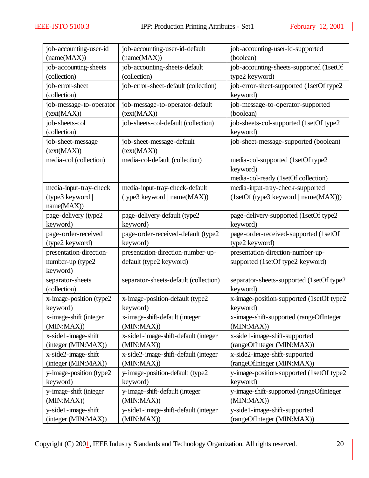| job-accounting-user-id   | job-accounting-user-id-default        | job-accounting-user-id-supported          |
|--------------------------|---------------------------------------|-------------------------------------------|
| (name(MAX))              | (name(MAX))                           | (boolean)                                 |
| job-accounting-sheets    | job-accounting-sheets-default         | job-accounting-sheets-supported (1setOf   |
| (collection)             | (collection)                          | type2 keyword)                            |
| job-error-sheet          | job-error-sheet-default (collection)  | job-error-sheet-supported (1setOf type2   |
| (collection)             |                                       | keyword)                                  |
| job-message-to-operator  | job-message-to-operator-default       | job-message-to-operator-supported         |
| (text(MAX))              | (text(MAX))                           | (boolean)                                 |
| job-sheets-col           | job-sheets-col-default (collection)   | job-sheets-col-supported (1setOf type2    |
| (collection)             |                                       | keyword)                                  |
| job-sheet-message        | job-sheet-message-default             | job-sheet-message-supported (boolean)     |
| (text(MAX))              | (text(MAX))                           |                                           |
| media-col (collection)   | media-col-default (collection)        | media-col-supported (1setOf type2         |
|                          |                                       | keyword)                                  |
|                          |                                       | media-col-ready (1setOf collection)       |
| media-input-tray-check   | media-input-tray-check-default        | media-input-tray-check-supported          |
| (type3 keyword           | (type3 keyword   name(MAX))           | (1setOf(type3 keyword   name(MAX)))       |
| name(MAX))               |                                       |                                           |
| page-delivery (type2     | page-delivery-default (type2          | page-delivery-supported (1setOf type2     |
| keyword)                 | keyword)                              | keyword)                                  |
| page-order-received      | page-order-received-default (type2    | page-order-received-supported (1setOf     |
| (type2 keyword)          | keyword)                              | type2 keyword)                            |
| presentation-direction-  | presentation-direction-number-up-     | presentation-direction-number-up-         |
| number-up (type2         | default (type2 keyword)               | supported (1setOf type2 keyword)          |
| keyword)                 |                                       |                                           |
| separator-sheets         | separator-sheets-default (collection) | separator-sheets-supported (1setOf type2  |
| (collection)             |                                       | keyword)                                  |
| x-image-position (type2  | x-image-position-default (type2       | x-image-position-supported (1setOf type2  |
| keyword)                 | keyword)                              | keyword)                                  |
| x-image-shift (integer   | x-image-shift-default (integer        | x-image-shift-supported (rangeOfInteger   |
| (MIN:MAX))               | (MIN:MAX)                             | (MIN:MAX))                                |
| x-side1-image-shift      | x-side1-image-shift-default (integer  | x-side1-image-shift-supported             |
| (integer (MIN:MAX))      | (MIN:MAX)                             | (rangeOfInteger (MIN:MAX))                |
| x-side2-image-shift      | x-side2-image-shift-default (integer  | x-side2-image-shift-supported             |
| (integer (MIN:MAX))      | (MIN:MAX)                             | (rangeOfInteger (MIN:MAX))                |
| y-image-position (type2) | y-image-position-default (type2)      | y-image-position-supported (1setOf type2) |
| keyword)                 | keyword)                              | keyword)                                  |
| y-image-shift (integer   | y-image-shift-default (integer        | y-image-shift-supported (rangeOfInteger   |
| (MIN:MAX))               | (MIN:MAX)                             | (MIN:MAX)                                 |
| y-side1-image-shift      | y-side1-image-shift-default (integer  | y-side1-image-shift-supported             |
| (integer (MIN:MAX))      | (MIN:MAX))                            | (rangeOfInteger (MIN:MAX))                |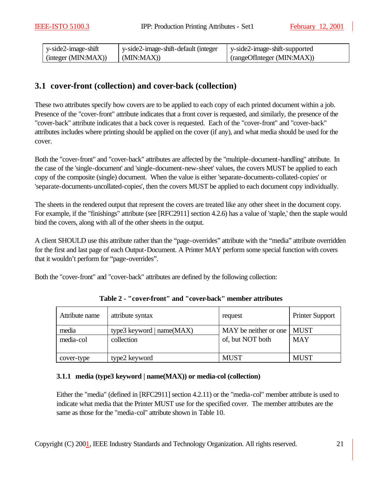| $\frac{1}{2}$ y-side2-image-shift | y-side2-image-shift-default (integer | y-side2-image-shift-supported |
|-----------------------------------|--------------------------------------|-------------------------------|
| (integer (MIN:MAX))               | (MIN:MAX)                            | (rangeOfInteger (MIN:MAX))    |

# **3.1 cover-front (collection) and cover-back (collection)**

These two attributes specify how covers are to be applied to each copy of each printed document within a job. Presence of the "cover-front" attribute indicates that a front cover is requested, and similarly, the presence of the "cover-back" attribute indicates that a back cover is requested. Each of the "cover-front" and "cover-back" attributes includes where printing should be applied on the cover (if any), and what media should be used for the cover.

Both the "cover-front" and "cover-back" attributes are affected by the "multiple-document-handling" attribute. In the case of the 'single-document' and 'single-document-new-sheet' values, the covers MUST be applied to each copy of the composite (single) document. When the value is either 'separate-documents-collated-copies' or 'separate-documents-uncollated-copies', then the covers MUST be applied to each document copy individually.

The sheets in the rendered output that represent the covers are treated like any other sheet in the document copy. For example, if the "finishings" attribute (see [RFC2911] section 4.2.6) has a value of 'staple,' then the staple would bind the covers, along with all of the other sheets in the output.

A client SHOULD use this attribute rather than the "page-overrides" attribute with the "media" attribute overridden for the first and last page of each Output-Document. A Printer MAY perform some special function with covers that it wouldn't perform for "page-overrides".

Both the "cover-front" and "cover-back" attributes are defined by the following collection:

| Attribute name     | attribute syntax                          | request                                   | Printer Support           |
|--------------------|-------------------------------------------|-------------------------------------------|---------------------------|
| media<br>media-col | type3 keyword   $name(MAX)$<br>collection | MAY be neither or one<br>of, but NOT both | <b>MUST</b><br><b>MAY</b> |
| cover-type         | type2 keyword                             | <b>MUST</b>                               | <b>MUST</b>               |

**Table 2 - "cover-front" and "cover-back" member attributes**

#### **3.1.1 media (type3 keyword | name(MAX)) or media-col (collection)**

Either the "media" (defined in [RFC2911] section 4.2.11) or the "media-col" member attribute is used to indicate what media that the Printer MUST use for the specified cover. The member attributes are the same as those for the "media-col" attribute shown in Table 10.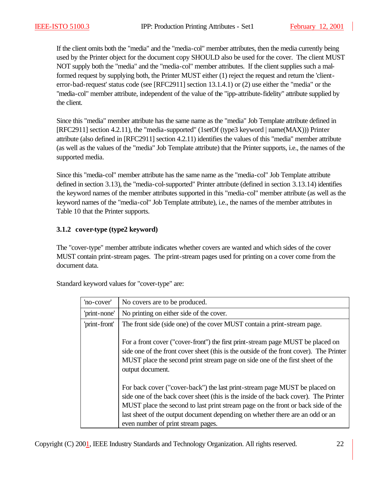If the client omits both the "media" and the "media-col" member attributes, then the media currently being used by the Printer object for the document copy SHOULD also be used for the cover. The client MUST NOT supply both the "media" and the "media-col" member attributes. If the client supplies such a malformed request by supplying both, the Printer MUST either (1) reject the request and return the 'clienterror-bad-request' status code (see [RFC2911] section 13.1.4.1) or (2) use either the "media" or the "media-col" member attribute, independent of the value of the "ipp-attribute-fidelity" attribute supplied by the client.

Since this "media" member attribute has the same name as the "media" Job Template attribute defined in [RFC2911] section 4.2.11), the "media-supported" (1setOf (type3 keyword | name(MAX))) Printer attribute (also defined in [RFC2911] section 4.2.11) identifies the values of this "media" member attribute (as well as the values of the "media" Job Template attribute) that the Printer supports, i.e., the names of the supported media.

Since this "media-col" member attribute has the same name as the "media-col" Job Template attribute defined in section 3.13), the "media-col-supported" Printer attribute (defined in section 3.13.14) identifies the keyword names of the member attributes supported in this "media-col" member attribute (as well as the keyword names of the "media-col" Job Template attribute), i.e., the names of the member attributes in Table 10 that the Printer supports.

#### **3.1.2 cover-type (type2 keyword)**

The "cover-type" member attribute indicates whether covers are wanted and which sides of the cover MUST contain print-stream pages. The print-stream pages used for printing on a cover come from the document data.

| 'no-cover'    | No covers are to be produced.                                                                                                                                                                                                                                                                                                                                                 |
|---------------|-------------------------------------------------------------------------------------------------------------------------------------------------------------------------------------------------------------------------------------------------------------------------------------------------------------------------------------------------------------------------------|
| 'print-none'  | No printing on either side of the cover.                                                                                                                                                                                                                                                                                                                                      |
| 'print-front' | The front side (side one) of the cover MUST contain a print-stream page.                                                                                                                                                                                                                                                                                                      |
|               | For a front cover ("cover-front") the first print-stream page MUST be placed on<br>side one of the front cover sheet (this is the outside of the front cover). The Printer<br>MUST place the second print stream page on side one of the first sheet of the<br>output document.                                                                                               |
|               | For back cover ("cover-back") the last print-stream page MUST be placed on<br>side one of the back cover sheet (this is the inside of the back cover). The Printer<br>MUST place the second to last print stream page on the front or back side of the<br>last sheet of the output document depending on whether there are an odd or an<br>even number of print stream pages. |

Standard keyword values for "cover-type" are: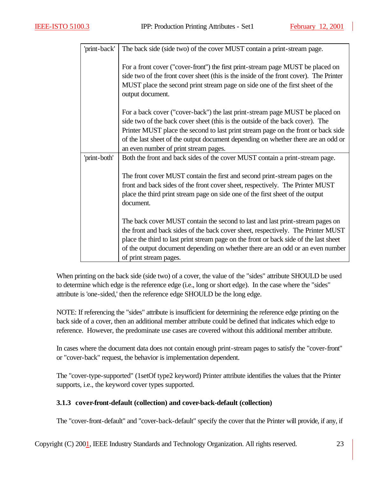| 'print-back' | The back side (side two) of the cover MUST contain a print-stream page.                                                                                                                                                                                                                                                                                                          |
|--------------|----------------------------------------------------------------------------------------------------------------------------------------------------------------------------------------------------------------------------------------------------------------------------------------------------------------------------------------------------------------------------------|
|              | For a front cover ("cover-front") the first print-stream page MUST be placed on<br>side two of the front cover sheet (this is the inside of the front cover). The Printer<br>MUST place the second print stream page on side one of the first sheet of the<br>output document.                                                                                                   |
|              | For a back cover ("cover-back") the last print-stream page MUST be placed on<br>side two of the back cover sheet (this is the outside of the back cover). The<br>Printer MUST place the second to last print stream page on the front or back side<br>of the last sheet of the output document depending on whether there are an odd or<br>an even number of print stream pages. |
| 'print-both' | Both the front and back sides of the cover MUST contain a print-stream page.                                                                                                                                                                                                                                                                                                     |
|              | The front cover MUST contain the first and second print-stream pages on the<br>front and back sides of the front cover sheet, respectively. The Printer MUST<br>place the third print stream page on side one of the first sheet of the output<br>document.                                                                                                                      |
|              | The back cover MUST contain the second to last and last print-stream pages on<br>the front and back sides of the back cover sheet, respectively. The Printer MUST<br>place the third to last print stream page on the front or back side of the last sheet<br>of the output document depending on whether there are an odd or an even number<br>of print stream pages.           |

When printing on the back side (side two) of a cover, the value of the "sides" attribute SHOULD be used to determine which edge is the reference edge (i.e., long or short edge). In the case where the "sides" attribute is 'one-sided,' then the reference edge SHOULD be the long edge.

NOTE: If referencing the "sides" attribute is insufficient for determining the reference edge printing on the back side of a cover, then an additional member attribute could be defined that indicates which edge to reference. However, the predominate use cases are covered without this additional member attribute.

In cases where the document data does not contain enough print-stream pages to satisfy the "cover-front" or "cover-back" request, the behavior is implementation dependent.

The "cover-type-supported" (1setOf type2 keyword) Printer attribute identifies the values that the Printer supports, i.e., the keyword cover types supported.

### **3.1.3 cover-front-default (collection) and cover-back-default (collection)**

The "cover-front-default" and "cover-back-default" specify the cover that the Printer will provide, if any, if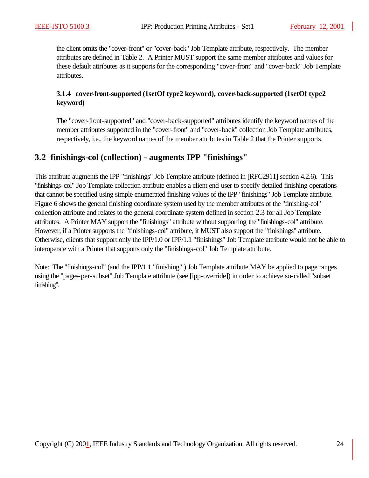the client omits the "cover-front" or "cover-back" Job Template attribute, respectively. The member attributes are defined in Table 2. A Printer MUST support the same member attributes and values for these default attributes as it supports for the corresponding "cover-front" and "cover-back" Job Template attributes.

#### **3.1.4 cover-front-supported (1setOf type2 keyword), cover-back-supported (1setOf type2 keyword)**

The "cover-front-supported" and "cover-back-supported" attributes identify the keyword names of the member attributes supported in the "cover-front" and "cover-back" collection Job Template attributes, respectively, i.e., the keyword names of the member attributes in Table 2 that the Printer supports.

# **3.2 finishings-col (collection) - augments IPP "finishings"**

This attribute augments the IPP "finishings" Job Template attribute (defined in [RFC2911] section 4.2.6). This "finishings-col" Job Template collection attribute enables a client end user to specify detailed finishing operations that cannot be specified using simple enumerated finishing values of the IPP "finishings" Job Template attribute. Figure 6 shows the general finishing coordinate system used by the member attributes of the "finishing-col" collection attribute and relates to the general coordinate system defined in section 2.3 for all Job Template attributes. A Printer MAY support the "finishings" attribute without supporting the "finishings-col" attribute. However, if a Printer supports the "finishings-col" attribute, it MUST also support the "finishings" attribute. Otherwise, clients that support only the IPP/1.0 or IPP/1.1 "finishings" Job Template attribute would not be able to interoperate with a Printer that supports only the "finishings-col" Job Template attribute.

Note: The "finishings-col" (and the IPP/1.1 "finishing" ) Job Template attribute MAY be applied to page ranges using the "pages-per-subset" Job Template attribute (see [ipp-override]) in order to achieve so-called "subset finishing".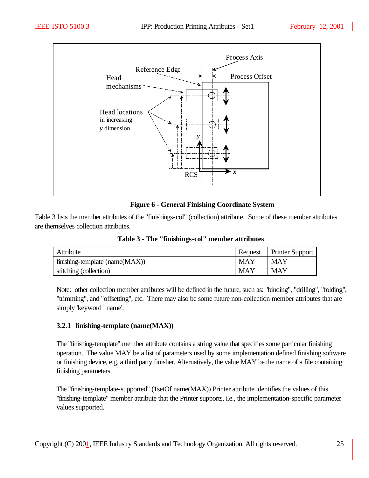

#### **Figure 6 - General Finishing Coordinate System**

Table 3 lists the member attributes of the "finishings-col" (collection) attribute. Some of these member attributes are themselves collection attributes.

| Attribute                      | Request    | <b>Printer Support</b> |
|--------------------------------|------------|------------------------|
| finishing-template (name(MAX)) | <b>MAY</b> | <b>MAY</b>             |
| stitching (collection)         | <b>MAY</b> | MAY                    |

**Table 3 - The "finishings-col" member attributes**

Note: other collection member attributes will be defined in the future, such as: "binding", "drilling", "folding", "trimming", and "offsetting", etc. There may also be some future non-collection member attributes that are simply 'keyword | name'.

#### **3.2.1 finishing-template (name(MAX))**

The "finishing-template" member attribute contains a string value that specifies some particular finishing operation. The value MAY be a list of parameters used by some implementation defined finishing software or finishing device, e.g. a third party finisher. Alternatively, the value MAY be the name of a file containing finishing parameters.

The "finishing-template-supported" (1setOf name(MAX)) Printer attribute identifies the values of this "finishing-template" member attribute that the Printer supports, i.e., the implementation-specific parameter values supported.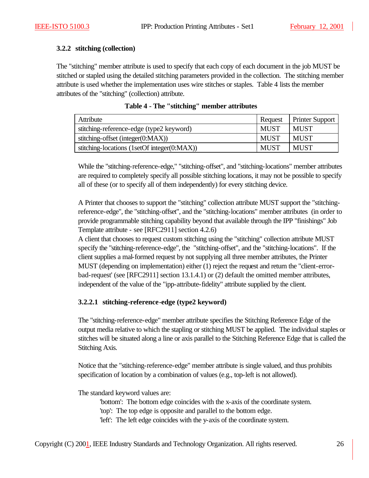#### **3.2.2 stitching (collection)**

The "stitching" member attribute is used to specify that each copy of each document in the job MUST be stitched or stapled using the detailed stitching parameters provided in the collection. The stitching member attribute is used whether the implementation uses wire stitches or staples. Table 4 lists the member attributes of the "stitching" (collection) attribute.

| Attribute                                   | Request     | <b>Printer Support</b> |
|---------------------------------------------|-------------|------------------------|
| stitching-reference-edge (type2 keyword)    | <b>MUST</b> | <b>MUST</b>            |
| stitching-offset (integer $(0:MAX)$ )       | <b>MUST</b> | <b>MUST</b>            |
| stitching-locations (1setOf integer(0:MAX)) | <b>MUST</b> | <b>MUST</b>            |

| Table 4 - The "stitching" member attributes |  |  |  |
|---------------------------------------------|--|--|--|
|---------------------------------------------|--|--|--|

While the "stitching-reference-edge," "stitching-offset", and "stitching-locations" member attributes are required to completely specify all possible stitching locations, it may not be possible to specify all of these (or to specify all of them independently) for every stitching device.

A Printer that chooses to support the "stitching" collection attribute MUST support the "stitchingreference-edge", the "stitching-offset", and the "stitching-locations" member attributes (in order to provide programmable stitching capability beyond that available through the IPP "finishings" Job Template attribute - see [RFC2911] section 4.2.6)

A client that chooses to request custom stitching using the "stitching" collection attribute MUST specify the "stitching-reference-edge", the "stitching-offset", and the "stitching-locations". If the client supplies a mal-formed request by not supplying all three member attributes, the Printer MUST (depending on implementation) either (1) reject the request and return the "client-errorbad-request' (see [RFC2911] section 13.1.4.1) or (2) default the omitted member attributes, independent of the value of the "ipp-attribute-fidelity" attribute supplied by the client.

### **3.2.2.1 stitching-reference-edge (type2 keyword)**

The "stitching-reference-edge" member attribute specifies the Stitching Reference Edge of the output media relative to which the stapling or stitching MUST be applied. The individual staples or stitches will be situated along a line or axis parallel to the Stitching Reference Edge that is called the Stitching Axis.

Notice that the "stitching-reference-edge" member attribute is single valued, and thus prohibits specification of location by a combination of values (e.g., top-left is not allowed).

The standard keyword values are:

'bottom': The bottom edge coincides with the x-axis of the coordinate system. 'top': The top edge is opposite and parallel to the bottom edge. 'left': The left edge coincides with the y-axis of the coordinate system.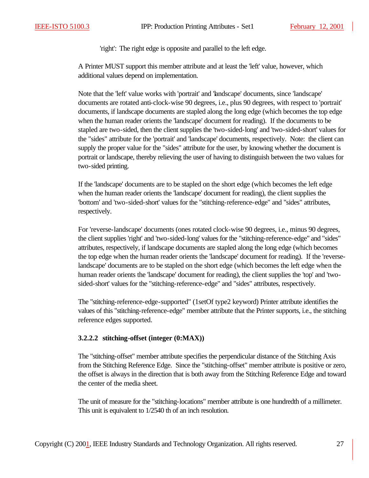'right': The right edge is opposite and parallel to the left edge.

A Printer MUST support this member attribute and at least the 'left' value, however, which additional values depend on implementation.

Note that the 'left' value works with 'portrait' and 'landscape' documents, since 'landscape' documents are rotated anti-clock-wise 90 degrees, i.e., plus 90 degrees, with respect to 'portrait' documents, if landscape documents are stapled along the long edge (which becomes the top edge when the human reader orients the 'landscape' document for reading). If the documents to be stapled are two-sided, then the client supplies the 'two-sided-long' and 'two-sided-short' values for the "sides" attribute for the 'portrait' and 'landscape' documents, respectively. Note: the client can supply the proper value for the "sides" attribute for the user, by knowing whether the document is portrait or landscape, thereby relieving the user of having to distinguish between the two values for two-sided printing.

If the 'landscape' documents are to be stapled on the short edge (which becomes the left edge when the human reader orients the 'landscape' document for reading), the client supplies the 'bottom' and 'two-sided-short' values for the "stitching-reference-edge" and "sides" attributes, respectively.

For 'reverse-landscape' documents (ones rotated clock-wise 90 degrees, i.e., minus 90 degrees, the client supplies 'right' and 'two-sided-long' values for the "stitching-reference-edge" and "sides" attributes, respectively, if landscape documents are stapled along the long edge (which becomes the top edge when the human reader orients the 'landscape' document for reading). If the 'reverselandscape' documents are to be stapled on the short edge (which becomes the left edge when the human reader orients the 'landscape' document for reading), the client supplies the 'top' and 'twosided-short' values for the "stitching-reference-edge" and "sides" attributes, respectively.

The "stitching-reference-edge-supported" (1setOf type2 keyword) Printer attribute identifies the values of this "stitching-reference-edge" member attribute that the Printer supports, i.e., the stitching reference edges supported.

#### **3.2.2.2 stitching-offset (integer (0:MAX))**

The "stitching-offset" member attribute specifies the perpendicular distance of the Stitching Axis from the Stitching Reference Edge. Since the "stitching-offset" member attribute is positive or zero, the offset is always in the direction that is both away from the Stitching Reference Edge and toward the center of the media sheet.

The unit of measure for the "stitching-locations" member attribute is one hundredth of a millimeter. This unit is equivalent to 1/2540 th of an inch resolution.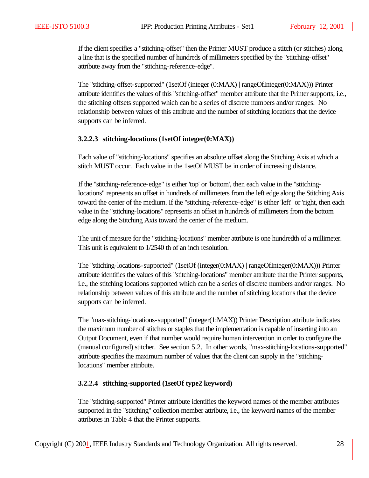If the client specifies a "stitching-offset" then the Printer MUST produce a stitch (or stitches) along a line that is the specified number of hundreds of millimeters specified by the "stitching-offset" attribute away from the "stitching-reference-edge".

The "stitching-offset-supported" (1setOf (integer (0:MAX) | rangeOfInteger(0:MAX))) Printer attribute identifies the values of this "stitching-offset" member attribute that the Printer supports, i.e., the stitching offsets supported which can be a series of discrete numbers and/or ranges. No relationship between values of this attribute and the number of stitching locations that the device supports can be inferred.

#### **3.2.2.3 stitching-locations (1setOf integer(0:MAX))**

Each value of "stitching-locations" specifies an absolute offset along the Stitching Axis at which a stitch MUST occur. Each value in the 1setOf MUST be in order of increasing distance.

If the "stitching-reference-edge" is either 'top' or 'bottom', then each value in the "stitchinglocations" represents an offset in hundreds of millimeters from the left edge along the Stitching Axis toward the center of the medium. If the "stitching-reference-edge" is either 'left' or 'right, then each value in the "stitching-locations" represents an offset in hundreds of millimeters from the bottom edge along the Stitching Axis toward the center of the medium.

The unit of measure for the "stitching-locations" member attribute is one hundredth of a millimeter. This unit is equivalent to 1/2540 th of an inch resolution.

The "stitching-locations-supported" (1setOf (integer(0:MAX) | rangeOfInteger(0:MAX))) Printer attribute identifies the values of this "stitching-locations" member attribute that the Printer supports, i.e., the stitching locations supported which can be a series of discrete numbers and/or ranges. No relationship between values of this attribute and the number of stitching locations that the device supports can be inferred.

The "max-stitching-locations-supported" (integer(1:MAX)) Printer Description attribute indicates the maximum number of stitches or staples that the implementation is capable of inserting into an Output Document, even if that number would require human intervention in order to configure the (manual configured) stitcher. See section 5.2. In other words, "max-stitching-locations-supported" attribute specifies the maximum number of values that the client can supply in the "stitchinglocations" member attribute.

#### **3.2.2.4 stitching-supported (1setOf type2 keyword)**

The "stitching-supported" Printer attribute identifies the keyword names of the member attributes supported in the "stitching" collection member attribute, i.e., the keyword names of the member attributes in Table 4 that the Printer supports.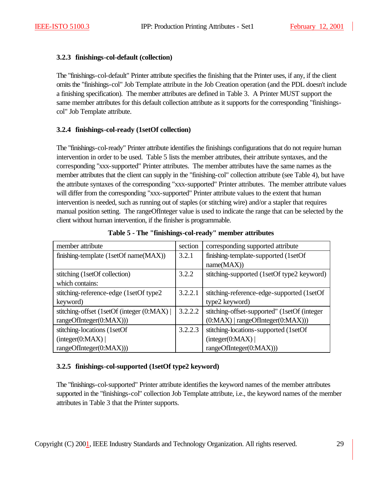#### **3.2.3 finishings-col-default (collection)**

The "finishings-col-default" Printer attribute specifies the finishing that the Printer uses, if any, if the client omits the "finishings-col" Job Template attribute in the Job Creation operation (and the PDL doesn't include a finishing specification). The member attributes are defined in Table 3. A Printer MUST support the same member attributes for this default collection attribute as it supports for the corresponding "finishingscol" Job Template attribute.

#### **3.2.4 finishings-col-ready (1setOf collection)**

The "finishings-col-ready" Printer attribute identifies the finishings configurations that do not require human intervention in order to be used. Table 5 lists the member attributes, their attribute syntaxes, and the corresponding "xxx-supported" Printer attributes. The member attributes have the same names as the member attributes that the client can supply in the "finishing-col" collection attribute (see Table 4), but have the attribute syntaxes of the corresponding "xxx-supported" Printer attributes. The member attribute values will differ from the corresponding "xxx-supported" Printer attribute values to the extent that human intervention is needed, such as running out of staples (or stitching wire) and/or a stapler that requires manual position setting. The rangeOfInteger value is used to indicate the range that can be selected by the client without human intervention, if the finisher is programmable.

| member attribute                          | section | corresponding supported attribute            |
|-------------------------------------------|---------|----------------------------------------------|
| finishing-template (1setOf name(MAX))     | 3.2.1   | finishing-template-supported (1setOf         |
|                                           |         | name(MAX))                                   |
| stitching (1setOf collection)             | 3.2.2   | stitching-supported (1setOf type2 keyword)   |
| which contains:                           |         |                                              |
| stitching-reference-edge (1setOf type2    | 3.2.2.1 | stitching-reference-edge-supported (1setOf   |
| keyword)                                  |         | type2 keyword)                               |
| stitching-offset (1setOf (integer (0:MAX) | 3.2.2.2 | stitching-offset-supported" (1setOf (integer |
| rangeOfInteger(0:MAX)))                   |         | $(0:MAX)$   rangeOfInteger $(0:MAX))$ )      |
| stitching-locations (1setOf               | 3.2.2.3 | stitching-locations-supported (1setOf        |
| interger(0:MAX)                           |         | interger(0:MAX)                              |
| rangeOfInteger(0:MAX))                    |         | rangeOfInteger(0:MAX)))                      |

**Table 5 - The "finishings-col-ready" member attributes**

#### **3.2.5 finishings-col-supported (1setOf type2 keyword)**

The "finishings-col-supported" Printer attribute identifies the keyword names of the member attributes supported in the "finishings-col" collection Job Template attribute, i.e., the keyword names of the member attributes in Table 3 that the Printer supports.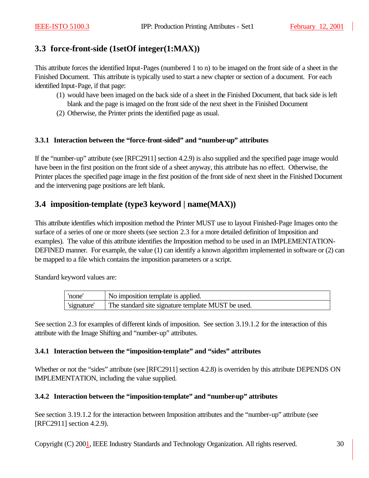# **3.3 force-front-side (1setOf integer(1:MAX))**

This attribute forces the identified Input-Pages (numbered 1 to n) to be imaged on the front side of a sheet in the Finished Document. This attribute is typically used to start a new chapter or section of a document. For each identified Input-Page, if that page:

- (1) would have been imaged on the back side of a sheet in the Finished Document, that back side is left blank and the page is imaged on the front side of the next sheet in the Finished Document
- (2) Otherwise, the Printer prints the identified page as usual.

#### **3.3.1 Interaction between the "force-front-sided" and "number-up" attributes**

If the "number-up" attribute (see [RFC2911] section 4.2.9) is also supplied and the specified page image would have been in the first position on the front side of a sheet anyway, this attribute has no effect. Otherwise, the Printer places the specified page image in the first position of the front side of next sheet in the Finished Document and the intervening page positions are left blank.

# **3.4 imposition-template (type3 keyword | name(MAX))**

This attribute identifies which imposition method the Printer MUST use to layout Finished-Page Images onto the surface of a series of one or more sheets (see section 2.3 for a more detailed definition of Imposition and examples). The value of this attribute identifies the Imposition method to be used in an IMPLEMENTATION-DEFINED manner. For example, the value (1) can identify a known algorithm implemented in software or (2) can be mapped to a file which contains the imposition parameters or a script.

Standard keyword values are:

| none        | No imposition template is applied.                 |
|-------------|----------------------------------------------------|
| 'signature' | The standard site signature template MUST be used. |

See section 2.3 for examples of different kinds of imposition. See section 3.19.1.2 for the interaction of this attribute with the Image Shifting and "number-up" attributes.

#### **3.4.1 Interaction between the "imposition-template" and "sides" attributes**

Whether or not the "sides" attribute (see [RFC2911] section 4.2.8) is overriden by this attribute DEPENDS ON IMPLEMENTATION, including the value supplied.

#### **3.4.2 Interaction between the "imposition-template" and "number-up" attributes**

See section 3.19.1.2 for the interaction between Imposition attributes and the "number-up" attribute (see [RFC2911] section 4.2.9).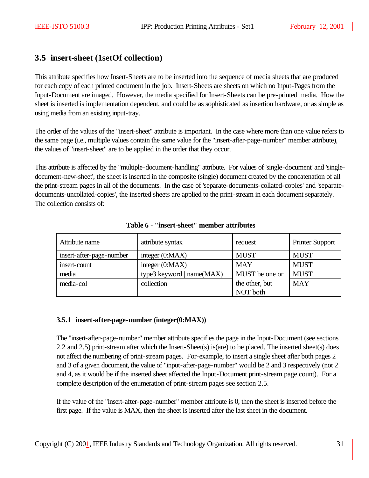# **3.5 insert-sheet (1setOf collection)**

This attribute specifies how Insert-Sheets are to be inserted into the sequence of media sheets that are produced for each copy of each printed document in the job. Insert-Sheets are sheets on which no Input-Pages from the Input-Document are imaged. However, the media specified for Insert-Sheets can be pre-printed media. How the sheet is inserted is implementation dependent, and could be as sophisticated as insertion hardware, or as simple as using media from an existing input-tray.

The order of the values of the "insert-sheet" attribute is important. In the case where more than one value refers to the same page (i.e., multiple values contain the same value for the "insert-after-page-number" member attribute), the values of "insert-sheet" are to be applied in the order that they occur.

This attribute is affected by the "multiple-document-handling" attribute. For values of 'single-document' and 'singledocument-new-sheet', the sheet is inserted in the composite (single) document created by the concatenation of all the print-stream pages in all of the documents. In the case of 'separate-documents-collated-copies' and 'separatedocuments-uncollated-copies', the inserted sheets are applied to the print-stream in each document separately. The collection consists of:

| Attribute name           | attribute syntax          | request        | <b>Printer Support</b> |
|--------------------------|---------------------------|----------------|------------------------|
| insert-after-page-number | integer $(0:MAX)$         | <b>MUST</b>    | <b>MUST</b>            |
| insert-count             | integer $(0:MAX)$         | <b>MAY</b>     | <b>MUST</b>            |
| media                    | type3 keyword   name(MAX) | MUST be one or | <b>MUST</b>            |
| media-col                | collection                | the other, but | <b>MAY</b>             |
|                          |                           | NOT both       |                        |

#### **Table 6 - "insert-sheet" member attributes**

#### **3.5.1 insert-after-page-number (integer(0:MAX))**

The "insert-after-page-number" member attribute specifies the page in the Input-Document (see sections 2.2 and 2.5) print-stream after which the Insert-Sheet(s) is(are) to be placed. The inserted sheet(s) does not affect the numbering of print-stream pages. For-example, to insert a single sheet after both pages 2 and 3 of a given document, the value of "input-after-page-number" would be 2 and 3 respectively (not 2 and 4, as it would be if the inserted sheet affected the Input-Document print-stream page count). For a complete description of the enumeration of print-stream pages see section 2.5.

If the value of the "insert-after-page-number" member attribute is 0, then the sheet is inserted before the first page. If the value is MAX, then the sheet is inserted after the last sheet in the document.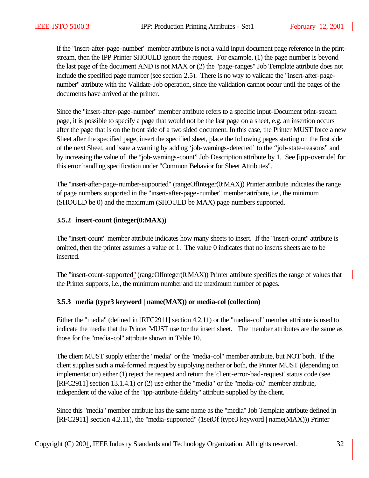If the "insert-after-page-number" member attribute is not a valid input document page reference in the printstream, then the IPP Printer SHOULD ignore the request. For example, (1) the page number is beyond the last page of the document AND is not MAX or (2) the "page-ranges" Job Template attribute does not include the specified page number (see section 2.5). There is no way to validate the "insert-after-pagenumber" attribute with the Validate-Job operation, since the validation cannot occur until the pages of the documents have arrived at the printer.

Since the "insert-after-page-number" member attribute refers to a specific Input-Document print-stream page, it is possible to specify a page that would not be the last page on a sheet, e.g. an insertion occurs after the page that is on the front side of a two sided document. In this case, the Printer MUST force a new Sheet after the specified page, insert the specified sheet, place the following pages starting on the first side of the next Sheet, and issue a warning by adding 'job-warnings-detected' to the "job-state-reasons" and by increasing the value of the "job-warnings-count" Job Description attribute by 1. See [ipp-override] for this error handling specification under "Common Behavior for Sheet Attributes".

The "insert-after-page-number-supported" (rangeOfInteger(0:MAX)) Printer attribute indicates the range of page numbers supported in the "insert-after-page-number" member attribute, i.e., the minimum (SHOULD be 0) and the maximum (SHOULD be MAX) page numbers supported.

#### **3.5.2 insert-count (integer(0:MAX))**

The "insert-count" member attribute indicates how many sheets to insert. If the "insert-count" attribute is omitted, then the printer assumes a value of 1. The value 0 indicates that no inserts sheets are to be inserted.

The "insert-count-supported" (rangeOfInteger(0:MAX)) Printer attribute specifies the range of values that the Printer supports, i.e., the minimum number and the maximum number of pages.

### **3.5.3 media (type3 keyword | name(MAX)) or media-col (collection)**

Either the "media" (defined in [RFC2911] section 4.2.11) or the "media-col" member attribute is used to indicate the media that the Printer MUST use for the insert sheet. The member attributes are the same as those for the "media-col" attribute shown in Table 10.

The client MUST supply either the "media" or the "media-col" member attribute, but NOT both. If the client supplies such a mal-formed request by supplying neither or both, the Printer MUST (depending on implementation) either (1) reject the request and return the 'client-error-bad-request' status code (see [RFC2911] section 13.1.4.1) or (2) use either the "media" or the "media-col" member attribute, independent of the value of the "ipp-attribute-fidelity" attribute supplied by the client.

Since this "media" member attribute has the same name as the "media" Job Template attribute defined in [RFC2911] section 4.2.11), the "media-supported" (1setOf (type3 keyword | name(MAX))) Printer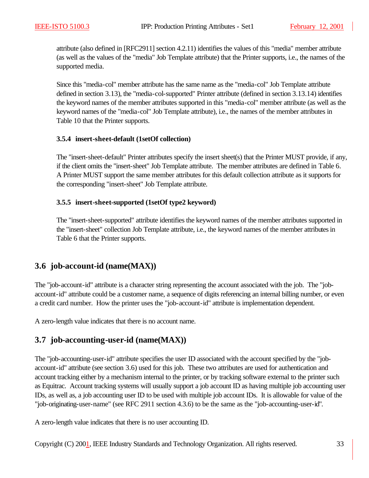attribute (also defined in [RFC2911] section 4.2.11) identifies the values of this "media" member attribute (as well as the values of the "media" Job Template attribute) that the Printer supports, i.e., the names of the supported media.

Since this "media-col" member attribute has the same name as the "media-col" Job Template attribute defined in section 3.13), the "media-col-supported" Printer attribute (defined in section 3.13.14) identifies the keyword names of the member attributes supported in this "media-col" member attribute (as well as the keyword names of the "media-col" Job Template attribute), i.e., the names of the member attributes in Table 10 that the Printer supports.

#### **3.5.4 insert-sheet-default (1setOf collection)**

The "insert-sheet-default" Printer attributes specify the insert sheet(s) that the Printer MUST provide, if any, if the client omits the "insert-sheet" Job Template attribute. The member attributes are defined in Table 6. A Printer MUST support the same member attributes for this default collection attribute as it supports for the corresponding "insert-sheet" Job Template attribute.

#### **3.5.5 insert-sheet-supported (1setOf type2 keyword)**

The "insert-sheet-supported" attribute identifies the keyword names of the member attributes supported in the "insert-sheet" collection Job Template attribute, i.e., the keyword names of the member attributes in Table 6 that the Printer supports.

# **3.6 job-account-id (name(MAX))**

The "job-account-id" attribute is a character string representing the account associated with the job. The "jobaccount-id" attribute could be a customer name, a sequence of digits referencing an internal billing number, or even a credit card number. How the printer uses the "job-account-id" attribute is implementation dependent.

A zero-length value indicates that there is no account name.

# **3.7 job-accounting-user-id (name(MAX))**

The "job-accounting-user-id" attribute specifies the user ID associated with the account specified by the "jobaccount-id" attribute (see section 3.6) used for this job. These two attributes are used for authentication and account tracking either by a mechanism internal to the printer, or by tracking software external to the printer such as Equitrac. Account tracking systems will usually support a job account ID as having multiple job accounting user IDs, as well as, a job accounting user ID to be used with multiple job account IDs. It is allowable for value of the "job-originating-user-name" (see RFC 2911 section 4.3.6) to be the same as the "job-accounting-user-id".

A zero-length value indicates that there is no user accounting ID.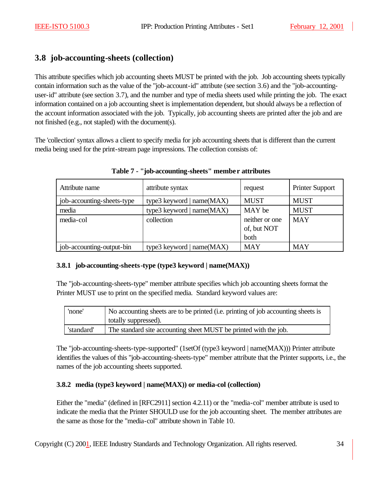# **3.8 job-accounting-sheets (collection)**

This attribute specifies which job accounting sheets MUST be printed with the job. Job accounting sheets typically contain information such as the value of the "job-account-id" attribute (see section 3.6) and the "job-accountinguser-id" attribute (see section 3.7), and the number and type of media sheets used while printing the job. The exact information contained on a job accounting sheet is implementation dependent, but should always be a reflection of the account information associated with the job. Typically, job accounting sheets are printed after the job and are not finished (e.g., not stapled) with the document(s).

The 'collection' syntax allows a client to specify media for job accounting sheets that is different than the current media being used for the print-stream page impressions. The collection consists of:

| Attribute name             | attribute syntax            | request        | <b>Printer Support</b> |
|----------------------------|-----------------------------|----------------|------------------------|
| job-accounting-sheets-type | type3 keyword   $name(MAX)$ | <b>MUST</b>    | <b>MUST</b>            |
| media                      | type3 keyword   name(MAX)   | MAY be         | <b>MUST</b>            |
| media-col                  | collection                  | neither or one | <b>MAY</b>             |
|                            |                             | of, but NOT    |                        |
|                            |                             | both           |                        |
| job-accounting-output-bin  | type3 keyword   $name(MAX)$ | <b>MAY</b>     | <b>MAY</b>             |

**Table 7 - "job-accounting-sheets" membe r attributes**

### **3.8.1 job-accounting-sheets-type (type3 keyword | name(MAX))**

The "job-accounting-sheets-type" member attribute specifies which job accounting sheets format the Printer MUST use to print on the specified media. Standard keyword values are:

| 'none'     | No accounting sheets are to be printed (i.e. printing of job accounting sheets is<br>totally suppressed). |
|------------|-----------------------------------------------------------------------------------------------------------|
| 'standard' | The standard site accounting sheet MUST be printed with the job.                                          |

The "job-accounting-sheets-type-supported" (1setOf (type3 keyword | name(MAX))) Printer attribute identifies the values of this "job-accounting-sheets-type" member attribute that the Printer supports, i.e., the names of the job accounting sheets supported.

### **3.8.2 media (type3 keyword | name(MAX)) or media-col (collection)**

Either the "media" (defined in [RFC2911] section 4.2.11) or the "media-col" member attribute is used to indicate the media that the Printer SHOULD use for the job accounting sheet. The member attributes are the same as those for the "media-col" attribute shown in Table 10.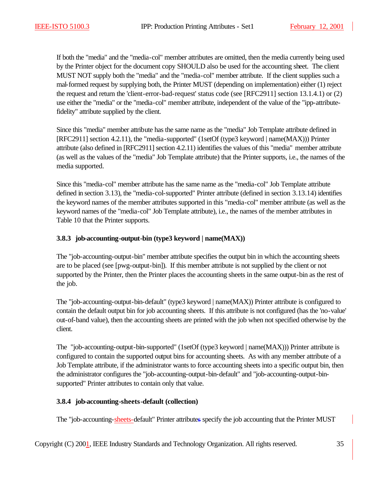If both the "media" and the "media-col" member attributes are omitted, then the media currently being used by the Printer object for the document copy SHOULD also be used for the accounting sheet. The client MUST NOT supply both the "media" and the "media-col" member attribute. If the client supplies such a mal-formed request by supplying both, the Printer MUST (depending on implementation) either (1) reject the request and return the 'client-error-bad-request' status code (see [RFC2911] section 13.1.4.1) or (2) use either the "media" or the "media-col" member attribute, independent of the value of the "ipp-attributefidelity" attribute supplied by the client.

Since this "media" member attribute has the same name as the "media" Job Template attribute defined in [RFC2911] section 4.2.11), the "media-supported" (1setOf (type3 keyword | name(MAX))) Printer attribute (also defined in [RFC2911] section 4.2.11) identifies the values of this "media" member attribute (as well as the values of the "media" Job Template attribute) that the Printer supports, i.e., the names of the media supported.

Since this "media-col" member attribute has the same name as the "media-col" Job Template attribute defined in section 3.13), the "media-col-supported" Printer attribute (defined in section 3.13.14) identifies the keyword names of the member attributes supported in this "media-col" member attribute (as well as the keyword names of the "media-col" Job Template attribute), i.e., the names of the member attributes in Table 10 that the Printer supports.

#### **3.8.3 job-accounting-output-bin (type3 keyword | name(MAX))**

The "job-accounting-output-bin" member attribute specifies the output bin in which the accounting sheets are to be placed (see [pwg-output-bin]). If this member attribute is not supplied by the client or not supported by the Printer, then the Printer places the accounting sheets in the same output-bin as the rest of the job.

The "job-accounting-output-bin-default" (type3 keyword | name(MAX)) Printer attribute is configured to contain the default output bin for job accounting sheets. If this attribute is not configured (has the 'no-value' out-of-band value), then the accounting sheets are printed with the job when not specified otherwise by the client.

The "job-accounting-output-bin-supported" (1setOf (type3 keyword | name(MAX))) Printer attribute is configured to contain the supported output bins for accounting sheets. As with any member attribute of a Job Template attribute, if the administrator wants to force accounting sheets into a specific output bin, then the administrator configures the "job-accounting-output-bin-default" and "job-accounting-output-binsupported" Printer attributes to contain only that value.

#### **3.8.4 job-accounting-sheets-default (collection)**

The "job-accounting-sheets-default" Printer attributes specify the job accounting that the Printer MUST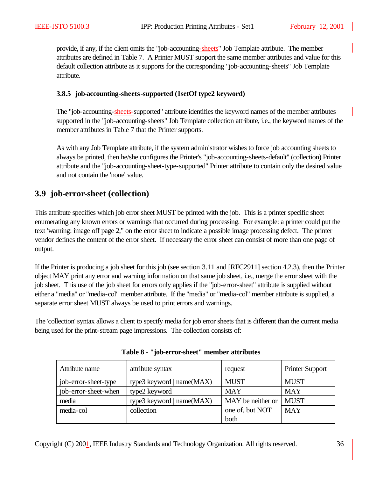provide, if any, if the client omits the "job-accounting-sheets" Job Template attribute. The member attributes are defined in Table 7. A Printer MUST support the same member attributes and value for this default collection attribute as it supports for the corresponding "job-accounting-sheets" Job Template attribute.

#### **3.8.5 job-accounting-sheets-supported (1setOf type2 keyword)**

The "job-accounting-sheets-supported" attribute identifies the keyword names of the member attributes supported in the "job-accounting-sheets" Job Template collection attribute, i.e., the keyword names of the member attributes in Table 7 that the Printer supports.

As with any Job Template attribute, if the system administrator wishes to force job accounting sheets to always be printed, then he/she configures the Printer's "job-accounting-sheets-default" (collection) Printer attribute and the "job-accounting-sheet-type-supported" Printer attribute to contain only the desired value and not contain the 'none' value.

# **3.9 job-error-sheet (collection)**

This attribute specifies which job error sheet MUST be printed with the job. This is a printer specific sheet enumerating any known errors or warnings that occurred during processing. For example: a printer could put the text 'warning: image off page 2," on the error sheet to indicate a possible image processing defect. The printer vendor defines the content of the error sheet. If necessary the error sheet can consist of more than one page of output.

If the Printer is producing a job sheet for this job (see section 3.11 and [RFC2911] section 4.2.3), then the Printer object MAY print any error and warning information on that same job sheet, i.e., merge the error sheet with the job sheet. This use of the job sheet for errors only applies if the "job-error-sheet" attribute is supplied without either a "media" or "media-col" member attribute. If the "media" or "media-col" member attribute is supplied, a separate error sheet MUST always be used to print errors and warnings.

The 'collection' syntax allows a client to specify media for job error sheets that is different than the current media being used for the print-stream page impressions. The collection consists of:

| Attribute name       | attribute syntax            | request           | <b>Printer Support</b> |
|----------------------|-----------------------------|-------------------|------------------------|
| job-error-sheet-type | type3 keyword   $name(MAX)$ | <b>MUST</b>       | <b>MUST</b>            |
| job-error-sheet-when | type2 keyword               | <b>MAY</b>        | <b>MAY</b>             |
| media                | type3 keyword   name(MAX)   | MAY be neither or | <b>MUST</b>            |
| media-col            | collection                  | one of, but NOT   | <b>MAY</b>             |
|                      |                             | both              |                        |

**Table 8 - "job-error-sheet" member attributes**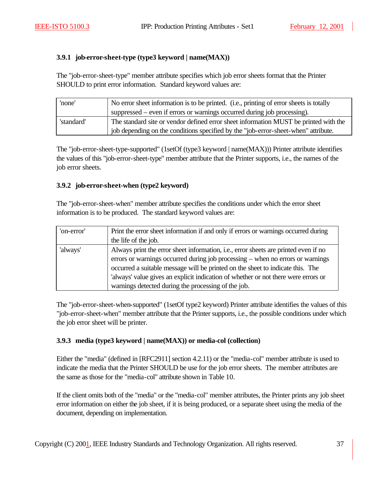### **3.9.1 job-error-sheet-type (type3 keyword | name(MAX))**

The "job-error-sheet-type" member attribute specifies which job error sheets format that the Printer SHOULD to print error information. Standard keyword values are:

| 'none'     | No error sheet information is to be printed. (i.e., printing of error sheets is totally |
|------------|-----------------------------------------------------------------------------------------|
|            | suppressed – even if errors or warnings occurred during job processing).                |
| 'standard' | The standard site or vendor defined error sheet information MUST be printed with the    |
|            | job depending on the conditions specified by the "job-error-sheet-when" attribute.      |

The "job-error-sheet-type-supported" (1setOf (type3 keyword | name(MAX))) Printer attribute identifies the values of this "job-error-sheet-type" member attribute that the Printer supports, i.e., the names of the job error sheets.

### **3.9.2 job-error-sheet-when (type2 keyword)**

The "job-error-sheet-when" member attribute specifies the conditions under which the error sheet information is to be produced. The standard keyword values are:

| 'on-error' | Print the error sheet information if and only if errors or warnings occurred during |
|------------|-------------------------------------------------------------------------------------|
|            | the life of the job.                                                                |
| 'always'   | Always print the error sheet information, i.e., error sheets are printed even if no |
|            | errors or warnings occurred during job processing – when no errors or warnings      |
|            | occurred a suitable message will be printed on the sheet to indicate this. The      |
|            | 'always' value gives an explicit indication of whether or not there were errors or  |
|            | warnings detected during the processing of the job.                                 |

The "job-error-sheet-when-supported" (1setOf type2 keyword) Printer attribute identifies the values of this "job-error-sheet-when" member attribute that the Printer supports, i.e., the possible conditions under which the job error sheet will be printer.

### **3.9.3 media (type3 keyword | name(MAX)) or media-col (collection)**

Either the "media" (defined in [RFC2911] section 4.2.11) or the "media-col" member attribute is used to indicate the media that the Printer SHOULD be use for the job error sheets. The member attributes are the same as those for the "media-col" attribute shown in Table 10.

If the client omits both of the "media" or the "media-col" member attributes, the Printer prints any job sheet error information on either the job sheet, if it is being produced, or a separate sheet using the media of the document, depending on implementation.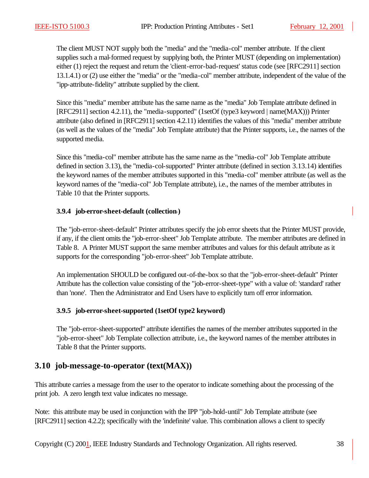The client MUST NOT supply both the "media" and the "media-col" member attribute. If the client supplies such a mal-formed request by supplying both, the Printer MUST (depending on implementation) either (1) reject the request and return the 'client-error-bad-request' status code (see [RFC2911] section 13.1.4.1) or (2) use either the "media" or the "media-col" member attribute, independent of the value of the "ipp-attribute-fidelity" attribute supplied by the client.

Since this "media" member attribute has the same name as the "media" Job Template attribute defined in [RFC2911] section 4.2.11), the "media-supported" (1setOf (type3 keyword | name(MAX))) Printer attribute (also defined in [RFC2911] section 4.2.11) identifies the values of this "media" member attribute (as well as the values of the "media" Job Template attribute) that the Printer supports, i.e., the names of the supported media.

Since this "media-col" member attribute has the same name as the "media-col" Job Template attribute defined in section 3.13), the "media-col-supported" Printer attribute (defined in section 3.13.14) identifies the keyword names of the member attributes supported in this "media-col" member attribute (as well as the keyword names of the "media-col" Job Template attribute), i.e., the names of the member attributes in Table 10 that the Printer supports.

### **3.9.4 job-error-sheet-default (collection )**

The "job-error-sheet-default" Printer attributes specify the job error sheets that the Printer MUST provide, if any, if the client omits the "job-error-sheet" Job Template attribute. The member attributes are defined in Table 8. A Printer MUST support the same member attributes and values for this default attribute as it supports for the corresponding "job-error-sheet" Job Template attribute.

An implementation SHOULD be configured out-of-the-box so that the "job-error-sheet-default" Printer Attribute has the collection value consisting of the "job-error-sheet-type" with a value of: 'standard' rather than 'none'. Then the Administrator and End Users have to explicitly turn off error information.

### **3.9.5 job-error-sheet-supported (1setOf type2 keyword)**

The "job-error-sheet-supported" attribute identifies the names of the member attributes supported in the "job-error-sheet" Job Template collection attribute, i.e., the keyword names of the member attributes in Table 8 that the Printer supports.

# **3.10 job-message-to-operator (text(MAX))**

This attribute carries a message from the user to the operator to indicate something about the processing of the print job. A zero length text value indicates no message.

Note: this attribute may be used in conjunction with the IPP "job-hold-until" Job Template attribute (see [RFC2911] section 4.2.2); specifically with the 'indefinite' value. This combination allows a client to specify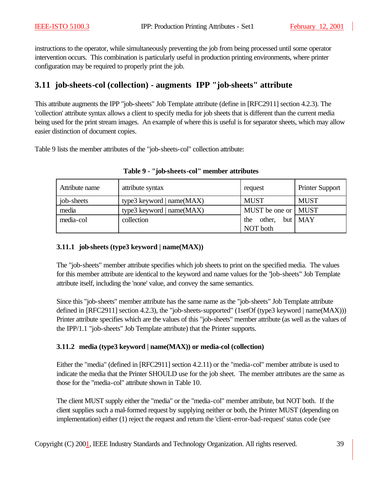instructions to the operator, while simultaneously preventing the job from being processed until some operator intervention occurs. This combination is particularly useful in production printing environments, where printer configuration may be required to properly print the job.

# **3.11 job-sheets-col (collection) - augments IPP "job-sheets" attribute**

This attribute augments the IPP "job-sheets" Job Template attribute (define in [RFC2911] section 4.2.3). The 'collection' attribute syntax allows a client to specify media for job sheets that is different than the current media being used for the print stream images. An example of where this is useful is for separator sheets, which may allow easier distinction of document copies.

Table 9 lists the member attributes of the "job-sheets-col" collection attribute:

| Attribute name | attribute syntax            | request               | <b>Printer Support</b> |
|----------------|-----------------------------|-----------------------|------------------------|
| job-sheets     | type3 keyword   $name(MAX)$ | <b>MUST</b>           | <b>MUST</b>            |
| media          | type3 keyword   name(MAX)   | MUST be one or   MUST |                        |
| media-col      | collection                  | other,<br>the         | $but$ $MAX$            |
|                |                             | NOT both              |                        |

**Table 9 - "job-sheets-col" member attributes**

### **3.11.1 job-sheets (type3 keyword | name(MAX))**

The "job-sheets" member attribute specifies which job sheets to print on the specified media. The values for this member attribute are identical to the keyword and name values for the "job-sheets" Job Template attribute itself, including the 'none' value, and convey the same semantics.

Since this "job-sheets" member attribute has the same name as the "job-sheets" Job Template attribute defined in [RFC2911] section 4.2.3), the "job-sheets-supported" (1setOf (type3 keyword | name(MAX))) Printer attribute specifies which are the values of this "job-sheets" member attribute (as well as the values of the IPP/1.1 "job-sheets" Job Template attribute) that the Printer supports.

### **3.11.2 media (type3 keyword | name(MAX)) or media-col (collection)**

Either the "media" (defined in [RFC2911] section 4.2.11) or the "media-col" member attribute is used to indicate the media that the Printer SHOULD use for the job sheet. The member attributes are the same as those for the "media-col" attribute shown in Table 10.

The client MUST supply either the "media" or the "media-col" member attribute, but NOT both. If the client supplies such a mal-formed request by supplying neither or both, the Printer MUST (depending on implementation) either (1) reject the request and return the 'client-error-bad-request' status code (see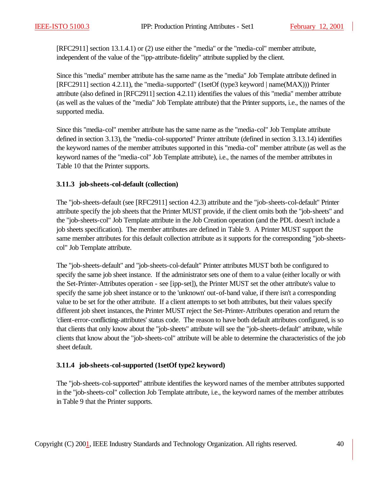[RFC2911] section 13.1.4.1) or (2) use either the "media" or the "media-col" member attribute, independent of the value of the "ipp-attribute-fidelity" attribute supplied by the client.

Since this "media" member attribute has the same name as the "media" Job Template attribute defined in [RFC2911] section 4.2.11), the "media-supported" (1setOf (type3 keyword | name(MAX))) Printer attribute (also defined in [RFC2911] section 4.2.11) identifies the values of this "media" member attribute (as well as the values of the "media" Job Template attribute) that the Printer supports, i.e., the names of the supported media.

Since this "media-col" member attribute has the same name as the "media-col" Job Template attribute defined in section 3.13), the "media-col-supported" Printer attribute (defined in section 3.13.14) identifies the keyword names of the member attributes supported in this "media-col" member attribute (as well as the keyword names of the "media-col" Job Template attribute), i.e., the names of the member attributes in Table 10 that the Printer supports.

#### **3.11.3 job-sheets-col-default (collection)**

The "job-sheets-default (see [RFC2911] section 4.2.3) attribute and the "job-sheets-col-default" Printer attribute specify the job sheets that the Printer MUST provide, if the client omits both the "job-sheets" and the "job-sheets-col" Job Template attribute in the Job Creation operation (and the PDL doesn't include a job sheets specification). The member attributes are defined in Table 9. A Printer MUST support the same member attributes for this default collection attribute as it supports for the corresponding "job-sheetscol" Job Template attribute.

The "job-sheets-default" and "job-sheets-col-default" Printer attributes MUST both be configured to specify the same job sheet instance. If the administrator sets one of them to a value (either locally or with the Set-Printer-Attributes operation - see [ipp-set]), the Printer MUST set the other attribute's value to specify the same job sheet instance or to the 'unknown' out-of-band value, if there isn't a corresponding value to be set for the other attribute. If a client attempts to set both attributes, but their values specify different job sheet instances, the Printer MUST reject the Set-Printer-Attributes operation and return the 'client-error-conflicting-attributes' status code. The reason to have both default attributes configured, is so that clients that only know about the "job-sheets" attribute will see the "job-sheets-default" attribute, while clients that know about the "job-sheets-col" attribute will be able to determine the characteristics of the job sheet default.

### **3.11.4 job-sheets-col-supported (1setOf type2 keyword)**

The "job-sheets-col-supported" attribute identifies the keyword names of the member attributes supported in the "job-sheets-col" collection Job Template attribute, i.e., the keyword names of the member attributes in Table 9 that the Printer supports.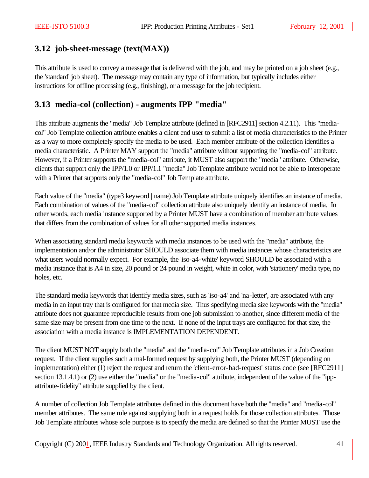## **3.12 job-sheet-message (text(MAX))**

This attribute is used to convey a message that is delivered with the job, and may be printed on a job sheet (e.g., the 'standard' job sheet). The message may contain any type of information, but typically includes either instructions for offline processing (e.g., finishing), or a message for the job recipient.

## **3.13 media-col (collection) - augments IPP "media"**

This attribute augments the "media" Job Template attribute (defined in [RFC2911] section 4.2.11). This "mediacol" Job Template collection attribute enables a client end user to submit a list of media characteristics to the Printer as a way to more completely specify the media to be used. Each member attribute of the collection identifies a media characteristic. A Printer MAY support the "media" attribute without supporting the "media-col" attribute. However, if a Printer supports the "media-col" attribute, it MUST also support the "media" attribute. Otherwise, clients that support only the IPP/1.0 or IPP/1.1 "media" Job Template attribute would not be able to interoperate with a Printer that supports only the "media-col" Job Template attribute.

Each value of the "media" (type3 keyword | name) Job Template attribute uniquely identifies an instance of media. Each combination of values of the "media-col" collection attribute also uniquely identify an instance of media. In other words, each media instance supported by a Printer MUST have a combination of member attribute values that differs from the combination of values for all other supported media instances.

When associating standard media keywords with media instances to be used with the "media" attribute, the implementation and/or the administrator SHOULD associate them with media instances whose characteristics are what users would normally expect. For example, the 'iso-a4-white' keyword SHOULD be associated with a media instance that is A4 in size, 20 pound or 24 pound in weight, white in color, with 'stationery' media type, no holes, etc.

The standard media keywords that identify media sizes, such as 'iso-a4' and 'na-letter', are associated with any media in an input tray that is configured for that media size. Thus specifying media size keywords with the "media" attribute does not guarantee reproducible results from one job submission to another, since different media of the same size may be present from one time to the next. If none of the input trays are configured for that size, the association with a media instance is IMPLEMENTATION DEPENDENT.

The client MUST NOT supply both the "media" and the "media-col" Job Template attributes in a Job Creation request. If the client supplies such a mal-formed request by supplying both, the Printer MUST (depending on implementation) either (1) reject the request and return the 'client-error-bad-request' status code (see [RFC2911] section 13.1.4.1) or (2) use either the "media" or the "media-col" attribute, independent of the value of the "ippattribute-fidelity" attribute supplied by the client.

A number of collection Job Template attributes defined in this document have both the "media" and "media-col" member attributes. The same rule against supplying both in a request holds for those collection attributes. Those Job Template attributes whose sole purpose is to specify the media are defined so that the Printer MUST use the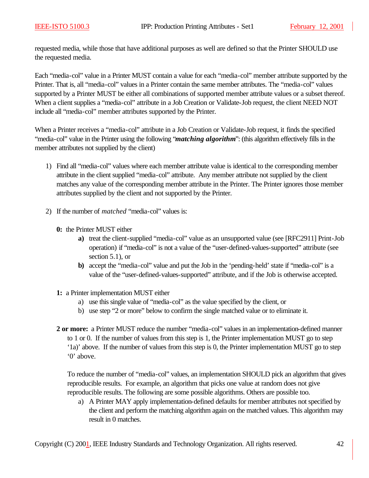requested media, while those that have additional purposes as well are defined so that the Printer SHOULD use the requested media.

Each "media-col" value in a Printer MUST contain a value for each "media-col" member attribute supported by the Printer. That is, all "media-col" values in a Printer contain the same member attributes. The "media-col" values supported by a Printer MUST be either all combinations of supported member attribute values or a subset thereof. When a client supplies a "media-col" attribute in a Job Creation or Validate-Job request, the client NEED NOT include all "media-col" member attributes supported by the Printer.

When a Printer receives a "media-col" attribute in a Job Creation or Validate-Job request, it finds the specified "media-col" value in the Printer using the following "*matching algorithm*": (this algorithm effectively fills in the member attributes not supplied by the client)

- 1) Find all "media-col" values where each member attribute value is identical to the corresponding member attribute in the client supplied "media-col" attribute. Any member attribute not supplied by the client matches any value of the corresponding member attribute in the Printer. The Printer ignores those member attributes supplied by the client and not supported by the Printer.
- 2) If the number of *matched* "media-col" values is:
	- **0:** the Printer MUST either
		- **a)** treat the client-supplied "media-col" value as an unsupported value (see [RFC2911] Print-Job operation) if "media-col" is not a value of the "user-defined-values-supported" attribute (see section 5.1), or
		- **b)** accept the "media-col" value and put the Job in the 'pending-held' state if "media-col" is a value of the "user-defined-values-supported" attribute, and if the Job is otherwise accepted.
	- **1:** a Printer implementation MUST either
		- a) use this single value of "media-col" as the value specified by the client, or
		- b) use step "2 or more" below to confirm the single matched value or to eliminate it.
	- **2 or more:** a Printer MUST reduce the number "media-col" values in an implementation-defined manner to 1 or 0. If the number of values from this step is 1, the Printer implementation MUST go to step '1a)' above. If the number of values from this step is 0, the Printer implementation MUST go to step '0' above.

To reduce the number of "media-col" values, an implementation SHOULD pick an algorithm that gives reproducible results. For example, an algorithm that picks one value at random does not give reproducible results. The following are some possible algorithms. Others are possible too.

a) A Printer MAY apply implementation-defined defaults for member attributes not specified by the client and perform the matching algorithm again on the matched values. This algorithm may result in 0 matches.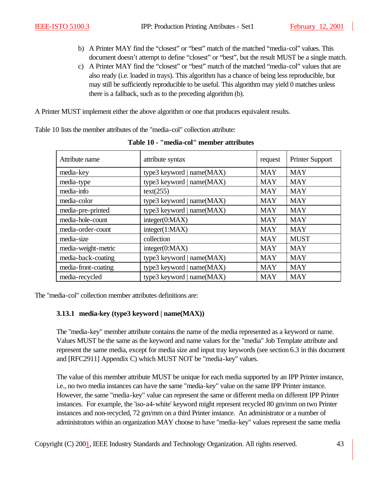- b) A Printer MAY find the "closest" or "best" match of the matched "media-col" values. This document doesn't attempt to define "closest" or "best", but the result MUST be a single match.
- c) A Printer MAY find the "closest" or "best" match of the matched "media-col" values that are also ready (i.e. loaded in trays). This algorithm has a chance of being less reproducible, but may still be sufficiently reproducible to be useful. This algorithm may yield 0 matches unless there is a fallback, such as to the preceding algorithm (b).

A Printer MUST implement either the above algorithm or one that produces equivalent results.

Table 10 lists the member attributes of the "media-col" collection attribute:

| Attribute name      | attribute syntax            | request    | Printer Support |
|---------------------|-----------------------------|------------|-----------------|
| media-key           | type3 keyword   name(MAX)   | <b>MAY</b> | <b>MAY</b>      |
| media-type          | type3 keyword   name(MAX)   | <b>MAY</b> | <b>MAY</b>      |
| media-info          | text(255)                   | <b>MAY</b> | <b>MAY</b>      |
| media-color         | type3 keyword   $name(MAX)$ | <b>MAY</b> | <b>MAY</b>      |
| media-pre-printed   | type3 keyword   name(MAX)   | <b>MAY</b> | <b>MAY</b>      |
| media-hole-count    | integer(0:MAX)              | <b>MAY</b> | <b>MAY</b>      |
| media-order-count   | integer(1:MAX)              | <b>MAY</b> | <b>MAY</b>      |
| media-size          | collection                  | <b>MAY</b> | <b>MUST</b>     |
| media-weight-metric | integer(0:MAX)              | <b>MAY</b> | <b>MAY</b>      |
| media-back-coating  | type3 keyword   name(MAX)   | <b>MAY</b> | <b>MAY</b>      |
| media-front-coating | type3 keyword   $name(MAX)$ | <b>MAY</b> | <b>MAY</b>      |
| media-recycled      | type3 keyword   name(MAX)   | <b>MAY</b> | <b>MAY</b>      |

**Table 10 - "media-col" member attributes**

The "media-col" collection member attributes definitions are:

### **3.13.1 media-key (type3 keyword | name(MAX))**

The "media-key" member attribute contains the name of the media represented as a keyword or name. Values MUST be the same as the keyword and name values for the "media" Job Template attribute and represent the same media, except for media size and input tray keywords (see section 6.3 in this document and [RFC2911] Appendix C) which MUST NOT be "media-key" values.

The value of this member attribute MUST be unique for each media supported by an IPP Printer instance, i.e., no two media instances can have the same "media-key" value on the same IPP Printer instance. However, the same "media-key" value can represent the same or different media on different IPP Printer instances. For example, the 'iso-a4-white' keyword might represent recycled 80 gm/mm on two Printer instances and non-recycled, 72 gm/mm on a third Printer instance. An administrator or a number of administrators within an organization MAY choose to have "media-key" values represent the same media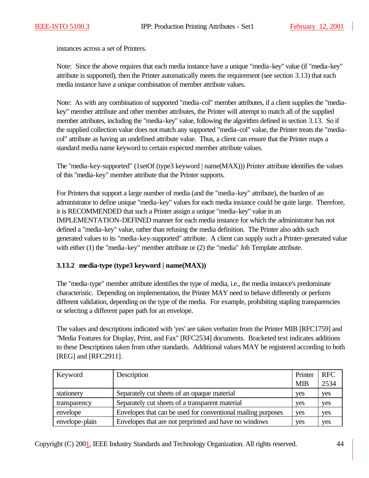instances across a set of Printers.

Note: Since the above requires that each media instance have a unique "media-key" value (if "media-key" attribute is supported), then the Printer automatically meets the requirement (see section 3.13) that each media instance have a unique combination of member attribute values.

Note: As with any combination of supported "media-col" member attributes, if a client supplies the "mediakey" member attribute and other member attributes, the Printer will attempt to match all of the supplied member attributes, including the "media-key" value, following the algorithm defined in section 3.13. So if the supplied collection value does not match any supported "media-col" value, the Printer treats the "mediacol" attribute as having an undefined attribute value. Thus, a client can ensure that the Printer maps a standard media name keyword to certain expected member attribute values.

The "media-key-supported" (1setOf (type3 keyword | name(MAX))) Printer attribute identifies the values of this "media-key" member attribute that the Printer supports.

For Printers that support a large number of media (and the "media-key" attribute), the burden of an administrator to define unique "media-key" values for each media instance could be quite large. Therefore, it is RECOMMENDED that such a Printer assign a unique "media-key" value in an IMPLEMENTATION-DEFINED manner for each media instance for which the administrator has not defined a "media-key" value, rather than refusing the media definition. The Printer also adds such generated values to its "media-key-supported" attribute. A client can supply such a Printer-generated value with either (1) the "media-key" member attribute or (2) the "media" Job Template attribute.

### **3.13.2 media-type (type3 keyword | name(MAX))**

The "media-type" member attribute identifies the type of media, i.e., the media instance's predominate characteristic. Depending on implementation, the Printer MAY need to behave differently or perform different validation, depending on the type of the media. For example, prohibiting stapling transparencies or selecting a different paper path for an envelope.

The values and descriptions indicated with 'yes' are taken verbatim from the Printer MIB [RFC1759] and "Media Features for Display, Print, and Fax" [RFC2534] documents. Bracketed text indicates additions to these Descriptions taken from other standards. Additional values MAY be registered according to both [REG] and [RFC2911].

| Keyword        | Description                                                  | Printer    | <b>RFC</b> |
|----------------|--------------------------------------------------------------|------------|------------|
|                |                                                              | <b>MIB</b> | 2534       |
| stationery     | Separately cut sheets of an opaque material                  | yes        | yes        |
| transparency   | Separately cut sheets of a transparent material              | yes        | yes        |
| envelope       | Envelopes that can be used for conventional mailing purposes | yes        | yes        |
| envelope-plain | Envelopes that are not preprinted and have no windows        | yes        | yes        |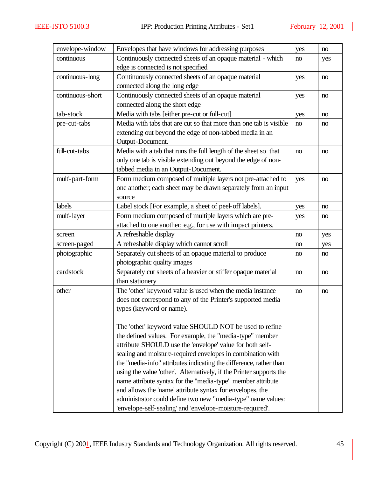| envelope-window  | Envelopes that have windows for addressing purposes                 | yes | no  |
|------------------|---------------------------------------------------------------------|-----|-----|
| continuous       | Continuously connected sheets of an opaque material - which         | no  | yes |
|                  | edge is connected is not specified                                  |     |     |
| continuous-long  | Continuously connected sheets of an opaque material                 | yes | no  |
|                  | connected along the long edge                                       |     |     |
| continuous-short | Continuously connected sheets of an opaque material                 | yes | no  |
|                  | connected along the short edge                                      |     |     |
| tab-stock        | Media with tabs [either pre-cut or full-cut]                        | yes | no  |
| pre-cut-tabs     | Media with tabs that are cut so that more than one tab is visible   | no  | no  |
|                  | extending out beyond the edge of non-tabbed media in an             |     |     |
|                  | Output-Document.                                                    |     |     |
| full-cut-tabs    | Media with a tab that runs the full length of the sheet so that     | no  | no  |
|                  | only one tab is visible extending out beyond the edge of non-       |     |     |
|                  | tabbed media in an Output-Document.                                 |     |     |
| multi-part-form  | Form medium composed of multiple layers not pre-attached to         | yes | no  |
|                  | one another; each sheet may be drawn separately from an input       |     |     |
|                  | source                                                              |     |     |
| labels           | Label stock [For example, a sheet of peel-off labels].              | yes | no  |
| multi-layer      | Form medium composed of multiple layers which are pre-              | yes | no  |
|                  | attached to one another; e.g., for use with impact printers.        |     |     |
| screen           | A refreshable display                                               | no  | yes |
| screen-paged     | A refreshable display which cannot scroll                           | no  | yes |
| photographic     | Separately cut sheets of an opaque material to produce              | no  | no  |
|                  | photographic quality images                                         |     |     |
| cardstock        | Separately cut sheets of a heavier or stiffer opaque material       | no  | no  |
|                  | than stationery                                                     |     |     |
| other            | The 'other' keyword value is used when the media instance           | no  | no  |
|                  | does not correspond to any of the Printer's supported media         |     |     |
|                  | types (keyword or name).                                            |     |     |
|                  |                                                                     |     |     |
|                  | The 'other' keyword value SHOULD NOT be used to refine              |     |     |
|                  | the defined values. For example, the "media-type" member            |     |     |
|                  | attribute SHOULD use the 'envelope' value for both self-            |     |     |
|                  | sealing and moisture-required envelopes in combination with         |     |     |
|                  | the "media-info" attributes indicating the difference, rather than  |     |     |
|                  | using the value 'other'. Alternatively, if the Printer supports the |     |     |
|                  | name attribute syntax for the "media-type" member attribute         |     |     |
|                  | and allows the 'name' attribute syntax for envelopes, the           |     |     |
|                  | administrator could define two new "media-type" name values:        |     |     |
|                  | 'envelope-self-sealing' and 'envelope-moisture-required'.           |     |     |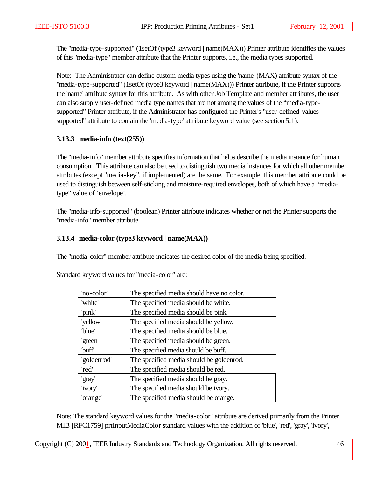The "media-type-supported" (1setOf (type3 keyword | name(MAX))) Printer attribute identifies the values of this "media-type" member attribute that the Printer supports, i.e., the media types supported.

Note: The Administrator can define custom media types using the 'name' (MAX) attribute syntax of the "media-type-supported" (1setOf (type3 keyword | name(MAX))) Printer attribute, if the Printer supports the 'name' attribute syntax for this attribute. As with other Job Template and member attributes, the user can also supply user-defined media type names that are not among the values of the "media-typesupported" Printer attribute, if the Administrator has configured the Printer's "user-defined-valuessupported" attribute to contain the 'media-type' attribute keyword value (see section 5.1).

### **3.13.3 media-info (text(255))**

The "media-info" member attribute specifies information that helps describe the media instance for human consumption. This attribute can also be used to distinguish two media instances for which all other member attributes (except "media-key", if implemented) are the same. For example, this member attribute could be used to distinguish between self-sticking and moisture-required envelopes, both of which have a "mediatype" value of 'envelope'.

The "media-info-supported" (boolean) Printer attribute indicates whether or not the Printer supports the "media-info" member attribute.

### **3.13.4 media-color (type3 keyword | name(MAX))**

The "media-color" member attribute indicates the desired color of the media being specified.

| 'no-color'        | The specified media should have no color. |
|-------------------|-------------------------------------------|
| 'white'           | The specified media should be white.      |
| 'pink'            | The specified media should be pink.       |
| 'yellow'          | The specified media should be yellow.     |
| "blue"            | The specified media should be blue.       |
| 'green'           | The specified media should be green.      |
| buff <sup>'</sup> | The specified media should be buff.       |
| 'goldenrod'       | The specified media should be goldenrod.  |
| 'red'             | The specified media should be red.        |
| 'gray'            | The specified media should be gray.       |
| 'ivory'           | The specified media should be ivory.      |
| 'orange'          | The specified media should be orange.     |

Standard keyword values for "media-color" are:

Note: The standard keyword values for the "media-color" attribute are derived primarily from the Printer MIB [RFC1759] prtInputMediaColor standard values with the addition of 'blue', 'red', 'gray', 'ivory',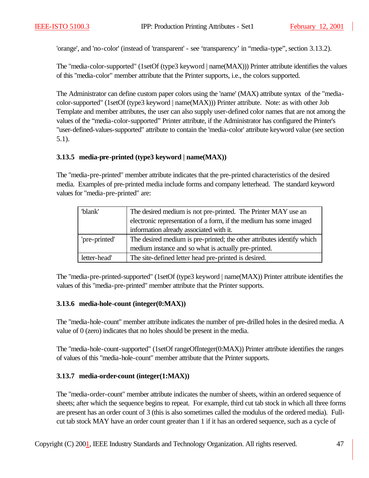'orange', and 'no-color' (instead of 'transparent' - see 'transparency' in "media-type", section 3.13.2).

The "media-color-supported" (1setOf (type3 keyword | name(MAX))) Printer attribute identifies the values of this "media-color" member attribute that the Printer supports, i.e., the colors supported.

The Administrator can define custom paper colors using the 'name' (MAX) attribute syntax of the "mediacolor-supported" (1setOf (type3 keyword | name(MAX))) Printer attribute. Note: as with other Job Template and member attributes, the user can also supply user-defined color names that are not among the values of the "media-color-supported" Printer attribute, if the Administrator has configured the Printer's "user-defined-values-supported" attribute to contain the 'media-color' attribute keyword value (see section 5.1).

### **3.13.5 media-pre-printed (type3 keyword | name(MAX))**

The "media-pre-printed" member attribute indicates that the pre-printed characteristics of the desired media. Examples of pre-printed media include forms and company letterhead. The standard keyword values for "media-pre-printed" are:

| 'blank'       | The desired medium is not pre-printed. The Printer MAY use an          |
|---------------|------------------------------------------------------------------------|
|               | electronic representation of a form, if the medium has some imaged     |
|               | information already associated with it.                                |
| 'pre-printed' | The desired medium is pre-printed; the other attributes identify which |
|               | medium instance and so what is actually pre-printed.                   |
| letter-head'  | The site-defined letter head pre-printed is desired.                   |

The "media-pre-printed-supported" (1setOf (type3 keyword | name(MAX)) Printer attribute identifies the values of this "media-pre-printed" member attribute that the Printer supports.

### **3.13.6 media-hole-count (integer(0:MAX))**

The "media-hole-count" member attribute indicates the number of pre-drilled holes in the desired media. A value of 0 (zero) indicates that no holes should be present in the media.

The "media-hole-count-supported" (1setOf rangeOfInteger(0:MAX)) Printer attribute identifies the ranges of values of this "media-hole-count" member attribute that the Printer supports.

### **3.13.7 media-order-count (integer(1:MAX))**

The "media-order-count" member attribute indicates the number of sheets, within an ordered sequence of sheets; after which the sequence begins to repeat. For example, third cut tab stock in which all three forms are present has an order count of 3 (this is also sometimes called the modulus of the ordered media). Fullcut tab stock MAY have an order count greater than 1 if it has an ordered sequence, such as a cycle of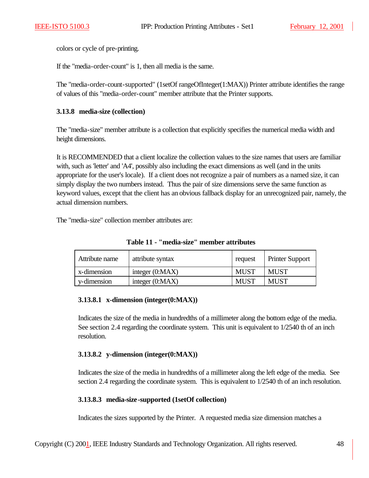colors or cycle of pre-printing.

If the "media-order-count" is 1, then all media is the same.

The "media-order-count-supported" (1setOf rangeOfInteger(1:MAX)) Printer attribute identifies the range of values of this "media-order-count" member attribute that the Printer supports.

#### **3.13.8 media-size (collection)**

The "media-size" member attribute is a collection that explicitly specifies the numerical media width and height dimensions.

It is RECOMMENDED that a client localize the collection values to the size names that users are familiar with, such as 'letter' and 'A4', possibly also including the exact dimensions as well (and in the units appropriate for the user's locale). If a client does not recognize a pair of numbers as a named size, it can simply display the two numbers instead. Thus the pair of size dimensions serve the same function as keyword values, except that the client has an obvious fallback display for an unrecognized pair, namely, the actual dimension numbers.

The "media-size" collection member attributes are:

| Attribute name | attribute syntax  | request     | <b>Printer Support</b> |
|----------------|-------------------|-------------|------------------------|
| x-dimension    | integer $(0:MAX)$ | <b>MUST</b> | MUST                   |
| y-dimension    | integer $(0:MAX)$ | <b>MUST</b> | <b>MUST</b>            |

**Table 11 - "media-size" member attributes**

### **3.13.8.1 x-dimension (integer(0:MAX))**

Indicates the size of the media in hundredths of a millimeter along the bottom edge of the media. See section 2.4 regarding the coordinate system. This unit is equivalent to  $1/2540$  th of an inch resolution.

### **3.13.8.2 y-dimension (integer(0:MAX))**

Indicates the size of the media in hundredths of a millimeter along the left edge of the media. See section 2.4 regarding the coordinate system. This is equivalent to  $1/2540$  th of an inch resolution.

### **3.13.8.3 media-size-supported (1setOf collection)**

Indicates the sizes supported by the Printer. A requested media size dimension matches a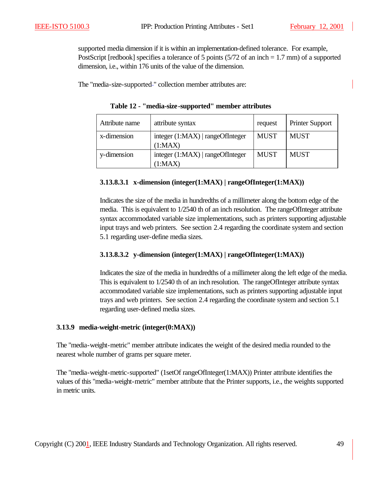supported media dimension if it is within an implementation-defined tolerance. For example, PostScript [redbook] specifies a tolerance of 5 points (5/72 of an inch = 1.7 mm) of a supported dimension, i.e., within 176 units of the value of the dimension.

The "media-size-supported-" collection member attributes are:

| Attribute name | attribute syntax                              | request     | <b>Printer Support</b> |
|----------------|-----------------------------------------------|-------------|------------------------|
| x-dimension    | integer $(1:MAX)$   rangeOfInteger<br>(1:MAX) | <b>MUST</b> | <b>MUST</b>            |
| y-dimension    | integer $(1:MAX)$   rangeOfInteger<br>(1:MAX) | <b>MUST</b> | <b>MUST</b>            |

**Table 12 - "media-size-supported" member attributes**

### **3.13.8.3.1 x-dimension (integer(1:MAX) | rangeOfInteger(1:MAX))**

Indicates the size of the media in hundredths of a millimeter along the bottom edge of the media. This is equivalent to 1/2540 th of an inch resolution. The rangeOfInteger attribute syntax accommodated variable size implementations, such as printers supporting adjustable input trays and web printers. See section 2.4 regarding the coordinate system and section 5.1 regarding user-define media sizes.

### **3.13.8.3.2 y-dimension (integer(1:MAX) | rangeOfInteger(1:MAX))**

Indicates the size of the media in hundredths of a millimeter along the left edge of the media. This is equivalent to 1/2540 th of an inch resolution. The rangeOfInteger attribute syntax accommodated variable size implementations, such as printers supporting adjustable input trays and web printers. See section 2.4 regarding the coordinate system and section 5.1 regarding user-defined media sizes.

#### **3.13.9 media-weight-metric (integer(0:MAX))**

The "media-weight-metric" member attribute indicates the weight of the desired media rounded to the nearest whole number of grams per square meter.

The "media-weight-metric-supported" (1setOf rangeOfInteger(1:MAX)) Printer attribute identifies the values of this "media-weight-metric" member attribute that the Printer supports, i.e., the weights supported in metric units.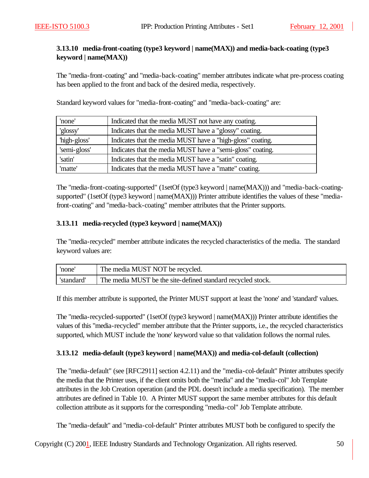### **3.13.10 media-front-coating (type3 keyword | name(MAX)) and media-back-coating (type3 keyword | name(MAX))**

The "media-front-coating" and "media-back-coating" member attributes indicate what pre-process coating has been applied to the front and back of the desired media, respectively.

Standard keyword values for "media-front-coating" and "media-back-coating" are:

| 'none'       | Indicated that the media MUST not have any coating.        |
|--------------|------------------------------------------------------------|
| 'glossy'     | Indicates that the media MUST have a "glossy" coating.     |
| 'high-gloss' | Indicates that the media MUST have a "high-gloss" coating. |
| 'semi-gloss' | Indicates that the media MUST have a "semi-gloss" coating. |
| 'satin'      | Indicates that the media MUST have a "satin" coating.      |
| 'matte'      | Indicates that the media MUST have a "matte" coating.      |

The "media-front-coating-supported" (1setOf (type3 keyword | name(MAX))) and "media-back-coatingsupported" (1setOf (type3 keyword | name(MAX))) Printer attribute identifies the values of these "mediafront-coating" and "media-back-coating" member attributes that the Printer supports.

#### **3.13.11 media-recycled (type3 keyword | name(MAX))**

The "media-recycled" member attribute indicates the recycled characteristics of the media. The standard keyword values are:

| none       | The media MUST NOT be recycled.                             |
|------------|-------------------------------------------------------------|
| 'standard' | The media MUST be the site-defined standard recycled stock. |

If this member attribute is supported, the Printer MUST support at least the 'none' and 'standard' values.

The "media-recycled-supported" (1setOf (type3 keyword | name(MAX))) Printer attribute identifies the values of this "media-recycled" member attribute that the Printer supports, i.e., the recycled characteristics supported, which MUST include the 'none' keyword value so that validation follows the normal rules.

#### **3.13.12 media-default (type3 keyword | name(MAX)) and media-col-default (collection)**

The "media-default" (see [RFC2911] section 4.2.11) and the "media-col-default" Printer attributes specify the media that the Printer uses, if the client omits both the "media" and the "media-col" Job Template attributes in the Job Creation operation (and the PDL doesn't include a media specification). The member attributes are defined in Table 10. A Printer MUST support the same member attributes for this default collection attribute as it supports for the corresponding "media-col" Job Template attribute.

The "media-default" and "media-col-default" Printer attributes MUST both be configured to specify the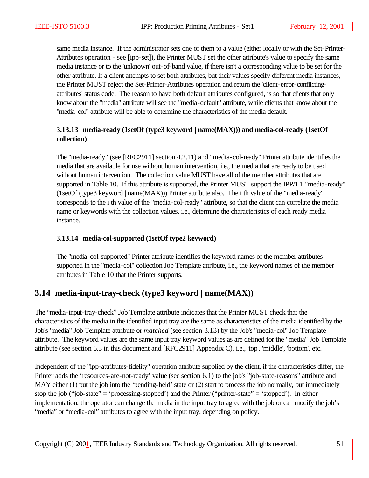same media instance. If the administrator sets one of them to a value (either locally or with the Set-Printer-Attributes operation - see [ipp-set]), the Printer MUST set the other attribute's value to specify the same media instance or to the 'unknown' out-of-band value, if there isn't a corresponding value to be set for the other attribute. If a client attempts to set both attributes, but their values specify different media instances, the Printer MUST reject the Set-Printer-Attributes operation and return the 'client-error-conflictingattributes' status code. The reason to have both default attributes configured, is so that clients that only know about the "media" attribute will see the "media-default" attribute, while clients that know about the "media-col" attribute will be able to determine the characteristics of the media default.

### **3.13.13 media-ready (1setOf (type3 keyword | name(MAX))) and media-col-ready (1setOf collection)**

The "media-ready" (see [RFC2911] section 4.2.11) and "media-col-ready" Printer attribute identifies the media that are available for use without human intervention, i.e., the media that are ready to be used without human intervention. The collection value MUST have all of the member attributes that are supported in Table 10. If this attribute is supported, the Printer MUST support the IPP/1.1 "media-ready" (1setOf (type3 keyword | name(MAX))) Printer attribute also. The i th value of the "media-ready" corresponds to the i th value of the "media-col-ready" attribute, so that the client can correlate the media name or keywords with the collection values, i.e., determine the characteristics of each ready media instance.

### **3.13.14 media-col-supported (1setOf type2 keyword)**

The "media-col-supported" Printer attribute identifies the keyword names of the member attributes supported in the "media-col" collection Job Template attribute, i.e., the keyword names of the member attributes in Table 10 that the Printer supports.

## **3.14 media-input-tray-check (type3 keyword | name(MAX))**

The "media-input-tray-check" Job Template attribute indicates that the Printer MUST check that the characteristics of the media in the identified input tray are the same as characteristics of the media identified by the Job's "media" Job Template attribute or *matched* (see section 3.13) by the Job's "media-col" Job Template attribute. The keyword values are the same input tray keyword values as are defined for the "media" Job Template attribute (see section 6.3 in this document and [RFC2911] Appendix C), i.e., 'top', 'middle', 'bottom', etc.

Independent of the "ipp-attributes-fidelity" operation attribute supplied by the client, if the characteristics differ, the Printer adds the 'resources-are-not-ready' value (see section 6.1) to the job's "job-state-reasons" attribute and MAY either (1) put the job into the 'pending-held' state or (2) start to process the job normally, but immediately stop the job ("job-state" = 'processing-stopped') and the Printer ("printer-state" = 'stopped'). In either implementation, the operator can change the media in the input tray to agree with the job or can modify the job's "media" or "media-col" attributes to agree with the input tray, depending on policy.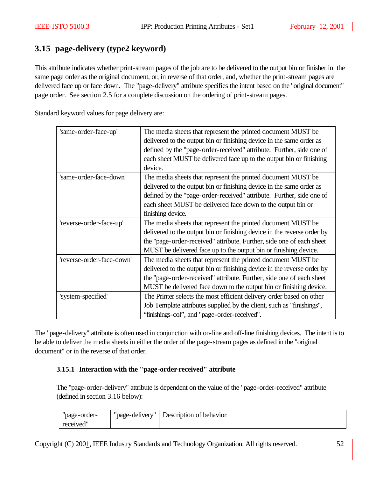# **3.15 page-delivery (type2 keyword)**

This attribute indicates whether print-stream pages of the job are to be delivered to the output bin or finisher in the same page order as the original document, or, in reverse of that order, and, whether the print-stream pages are delivered face up or face down. The "page-delivery" attribute specifies the intent based on the "original document" page order. See section 2.5 for a complete discussion on the ordering of print-stream pages.

Standard keyword values for page delivery are:

| 'same-order-face-up'      | The media sheets that represent the printed document MUST be            |
|---------------------------|-------------------------------------------------------------------------|
|                           | delivered to the output bin or finishing device in the same order as    |
|                           | defined by the "page-order-received" attribute. Further, side one of    |
|                           | each sheet MUST be delivered face up to the output bin or finishing     |
|                           | device.                                                                 |
| 'same-order-face-down'    | The media sheets that represent the printed document MUST be            |
|                           | delivered to the output bin or finishing device in the same order as    |
|                           | defined by the "page-order-received" attribute. Further, side one of    |
|                           | each sheet MUST be delivered face down to the output bin or             |
|                           | finishing device.                                                       |
| 'reverse-order-face-up'   | The media sheets that represent the printed document MUST be            |
|                           | delivered to the output bin or finishing device in the reverse order by |
|                           | the "page-order-received" attribute. Further, side one of each sheet    |
|                           | MUST be delivered face up to the output bin or finishing device.        |
| 'reverse-order-face-down' | The media sheets that represent the printed document MUST be            |
|                           | delivered to the output bin or finishing device in the reverse order by |
|                           | the "page-order-received" attribute. Further, side one of each sheet    |
|                           | MUST be delivered face down to the output bin or finishing device.      |
| 'system-specified'        | The Printer selects the most efficient delivery order based on other    |
|                           | Job Template attributes supplied by the client, such as "finishings",   |
|                           | "finishings-col", and "page-order-received".                            |

The "page-delivery" attribute is often used in conjunction with on-line and off-line finishing devices. The intent is to be able to deliver the media sheets in either the order of the page-stream pages as defined in the "original document" or in the reverse of that order.

### **3.15.1 Interaction with the "page-order-received" attribute**

The "page-order-delivery" attribute is dependent on the value of the "page-order-received" attribute (defined in section 3.16 below):

| "page-order- | "page-delivery" | Description of behavior |
|--------------|-----------------|-------------------------|
| received"    |                 |                         |

Copyright (C) 2001, IEEE Industry Standards and Technology Organization. All rights reserved. 52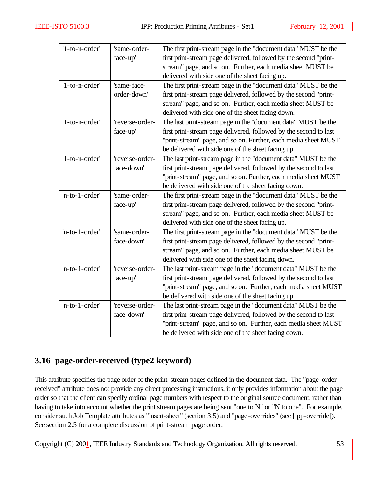| '1-to-n-order' | 'same-order-    | The first print-stream page in the "document data" MUST be the    |
|----------------|-----------------|-------------------------------------------------------------------|
|                | face-up'        | first print-stream page delivered, followed by the second "print- |
|                |                 | stream" page, and so on. Further, each media sheet MUST be        |
|                |                 | delivered with side one of the sheet facing up.                   |
| '1-to-n-order' | 'same-face-     | The first print-stream page in the "document data" MUST be the    |
|                | order-down'     | first print-stream page delivered, followed by the second "print- |
|                |                 | stream" page, and so on. Further, each media sheet MUST be        |
|                |                 | delivered with side one of the sheet facing down.                 |
| '1-to-n-order' | 'reverse-order- | The last print-stream page in the "document data" MUST be the     |
|                | face-up'        | first print-stream page delivered, followed by the second to last |
|                |                 | "print-stream" page, and so on. Further, each media sheet MUST    |
|                |                 | be delivered with side one of the sheet facing up.                |
| '1-to-n-order' | 'reverse-order- | The last print-stream page in the "document data" MUST be the     |
|                | face-down'      | first print-stream page delivered, followed by the second to last |
|                |                 | "print-stream" page, and so on. Further, each media sheet MUST    |
|                |                 | be delivered with side one of the sheet facing down.              |
| 'n-to-1-order' | 'same-order-    | The first print-stream page in the "document data" MUST be the    |
|                | face-up'        | first print-stream page delivered, followed by the second "print- |
|                |                 | stream" page, and so on. Further, each media sheet MUST be        |
|                |                 | delivered with side one of the sheet facing up.                   |
| 'n-to-1-order' | 'same-order-    | The first print-stream page in the "document data" MUST be the    |
|                | face-down'      | first print-stream page delivered, followed by the second "print- |
|                |                 | stream" page, and so on. Further, each media sheet MUST be        |
|                |                 | delivered with side one of the sheet facing down.                 |
| 'n-to-1-order' | 'reverse-order- | The last print-stream page in the "document data" MUST be the     |
|                | face-up'        | first print-stream page delivered, followed by the second to last |
|                |                 | "print-stream" page, and so on. Further, each media sheet MUST    |
|                |                 | be delivered with side one of the sheet facing up.                |
| 'n-to-1-order' | 'reverse-order- | The last print-stream page in the "document data" MUST be the     |
|                | face-down'      | first print-stream page delivered, followed by the second to last |
|                |                 | "print-stream" page, and so on. Further, each media sheet MUST    |
|                |                 | be delivered with side one of the sheet facing down.              |

# **3.16 page-order-received (type2 keyword)**

This attribute specifies the page order of the print-stream pages defined in the document data. The "page-orderreceived" attribute does not provide any direct processing instructions, it only provides information about the page order so that the client can specify ordinal page numbers with respect to the original source document, rather than having to take into account whether the print stream pages are being sent "one to N" or "N to one". For example, consider such Job Template attributes as "insert-sheet" (section 3.5) and "page-overrides" (see [ipp-override]). See section 2.5 for a complete discussion of print-stream page order.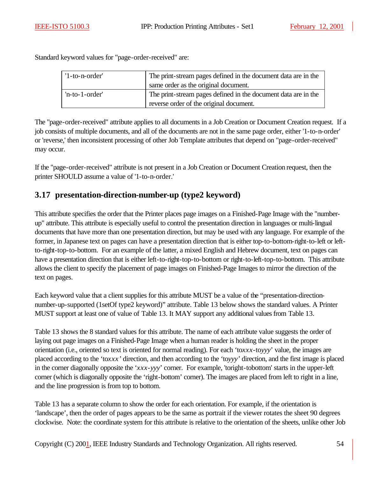Standard keyword values for "page-order-received" are:

| $'1$ -to-n-order' | The print-stream pages defined in the document data are in the |  |
|-------------------|----------------------------------------------------------------|--|
|                   | same order as the original document.                           |  |
| $'n-to-1-order'$  | The print-stream pages defined in the document data are in the |  |
|                   | reverse order of the original document.                        |  |

The "page-order-received" attribute applies to all documents in a Job Creation or Document Creation request. If a job consists of multiple documents, and all of the documents are not in the same page order, either '1-to-n-order' or 'reverse,' then inconsistent processing of other Job Template attributes that depend on "page-order-received" may occur.

If the "page-order-received" attribute is not present in a Job Creation or Document Creation request, then the printer SHOULD assume a value of '1-to-n-order.'

# **3.17 presentation-direction-number-up (type2 keyword)**

This attribute specifies the order that the Printer places page images on a Finished-Page Image with the "numberup" attribute. This attribute is especially useful to control the presentation direction in languages or multi-lingual documents that have more than one presentation direction, but may be used with any language. For example of the former, in Japanese text on pages can have a presentation direction that is either top-to-bottom-right-to-left or leftto-right-top-to-bottom. For an example of the latter, a mixed English and Hebrew document, text on pages can have a presentation direction that is either left-to-right-top-to-bottom or right-to-left-top-to-bottom. This attribute allows the client to specify the placement of page images on Finished-Page Images to mirror the direction of the text on pages.

Each keyword value that a client supplies for this attribute MUST be a value of the "presentation-directionnumber-up-supported (1setOf type2 keyword)" attribute. Table 13 below shows the standard values. A Printer MUST support at least one of value of Table 13. It MAY support any additional values from Table 13.

Table 13 shows the 8 standard values for this attribute. The name of each attribute value suggests the order of laying out page images on a Finished-Page Image when a human reader is holding the sheet in the proper orientation (i.e., oriented so text is oriented for normal reading). For each 'to*xxx*-to*yyy*' value, the images are placed according to the 'to*xxx'* direction, and then according to the 'to*yyy'* direction, and the first image is placed in the corner diagonally opposite the '*xxx*-*yyy*' corner. For example, 'toright-tobottom' starts in the upper-left corner (which is diagonally opposite the 'right-bottom' corner). The images are placed from left to right in a line, and the line progression is from top to bottom.

Table 13 has a separate column to show the order for each orientation. For example, if the orientation is 'landscape', then the order of pages appears to be the same as portrait if the viewer rotates the sheet 90 degrees clockwise. Note: the coordinate system for this attribute is relative to the orientation of the sheets, unlike other Job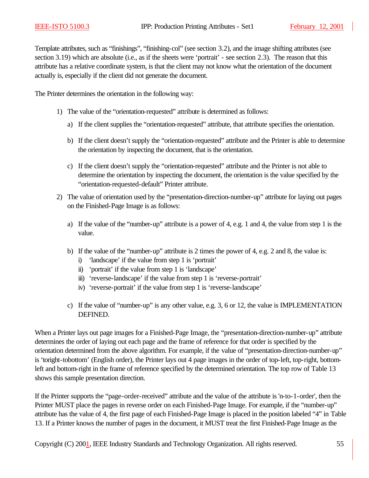Template attributes, such as "finishings", "finishing-col" (see section 3.2), and the image shifting attributes (see section 3.19) which are absolute (i.e., as if the sheets were 'portrait' - see section 2.3). The reason that this attribute has a relative coordinate system, is that the client may not know what the orientation of the document actually is, especially if the client did not generate the document.

The Printer determines the orientation in the following way:

- 1) The value of the "orientation-requested" attribute is determined as follows:
	- a) If the client supplies the "orientation-requested" attribute, that attribute specifies the orientation.
	- b) If the client doesn't supply the "orientation-requested" attribute and the Printer is able to determine the orientation by inspecting the document, that is the orientation.
	- c) If the client doesn't supply the "orientation-requested" attribute and the Printer is not able to determine the orientation by inspecting the document, the orientation is the value specified by the "orientation-requested-default" Printer attribute.
- 2) The value of orientation used by the "presentation-direction-number-up" attribute for laying out pages on the Finished-Page Image is as follows:
	- a) If the value of the "number-up" attribute is a power of 4, e.g. 1 and 4, the value from step 1 is the value.
	- b) If the value of the "number-up" attribute is 2 times the power of 4, e.g. 2 and 8, the value is:
		- i) 'landscape' if the value from step 1 is 'portrait'
		- ii) 'portrait' if the value from step 1 is 'landscape'
		- iii) 'reverse-landscape' if the value from step 1 is 'reverse-portrait'
		- iv) 'reverse-portrait' if the value from step 1 is 'reverse-landscape'
	- c) If the value of "number-up" is any other value, e.g. 3, 6 or 12, the value is IMPLEMENTATION DEFINED.

When a Printer lays out page images for a Finished-Page Image, the "presentation-direction-number-up" attribute determines the order of laying out each page and the frame of reference for that order is specified by the orientation determined from the above algorithm. For example, if the value of "presentation-direction-number-up" is 'toright-tobottom' (English order), the Printer lays out 4 page images in the order of top-left, top-right, bottomleft and bottom-right in the frame of reference specified by the determined orientation. The top row of Table 13 shows this sample presentation direction.

If the Printer supports the "page-order-received" attribute and the value of the attribute is 'n-to-1-order', then the Printer MUST place the pages in reverse order on each Finished-Page Image. For example, if the "number-up" attribute has the value of 4, the first page of each Finished-Page Image is placed in the position labeled "4" in Table 13. If a Printer knows the number of pages in the document, it MUST treat the first Finished-Page Image as the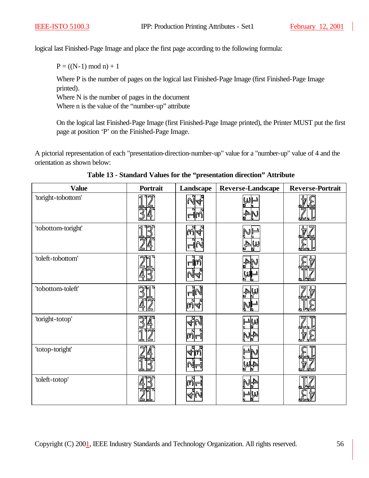logical last Finished-Page Image and place the first page according to the following formula:

 $P = ((N-1) \mod n) + 1$ 

Where P is the number of pages on the logical last Finished-Page Image (first Finished-Page Image printed).

Where N is the number of pages in the document

Where n is the value of the "number-up" attribute

On the logical last Finished-Page Image (first Finished-Page Image printed), the Printer MUST put the first page at position 'P' on the Finished-Page Image.

A pictorial representation of each "presentation-direction-number-up" value for a "number-up" value of 4 and the orientation as shown below:

| <b>Value</b>       | Portrait | Landscape   | Reverse-Landscape               | <b>Reverse-Portrait</b> |
|--------------------|----------|-------------|---------------------------------|-------------------------|
| 'toright-tobottom' | ন        | ष्ट्र<br>जी | WI<br>$\mathbb{A}^4_\mathbb{R}$ |                         |
| 'tobottom-toright' |          | ଳ           | ₩                               |                         |
| 'toleft-tobottom'  |          |             |                                 |                         |
| 'tobottom-toleft'  |          |             | WA                              |                         |
| 'toright-totop'    |          |             |                                 |                         |
| 'totop-toright'    |          |             |                                 |                         |
| 'toleft-totop'     |          |             |                                 |                         |

**Table 13 - Standard Values for the "presentation direction" Attribute**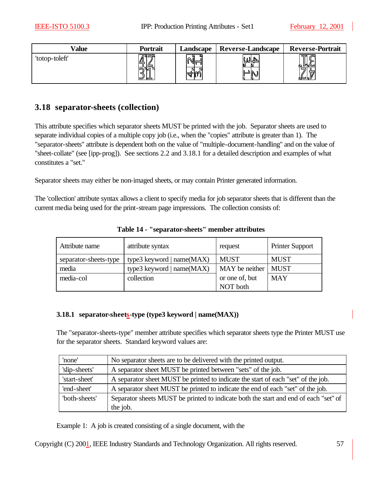| Value          | <b>Portrait</b> | Landscape | <b>Reverse-Landscape</b> | <b>Reverse-Portrait</b>         |
|----------------|-----------------|-----------|--------------------------|---------------------------------|
| 'totop-toleft' | ™∼<br>¦Ш        | Л         |                          | 品 @<br>كالهلما<br>ات<br>17<br>K |

## **3.18 separator-sheets (collection)**

This attribute specifies which separator sheets MUST be printed with the job. Separator sheets are used to separate individual copies of a multiple copy job (i.e., when the "copies" attribute is greater than 1). The "separator-sheets" attribute is dependent both on the value of "multiple-document-handling" and on the value of "sheet-collate" (see [ipp-prog]). See sections 2.2 and 3.18.1 for a detailed description and examples of what constitutes a "set."

Separator sheets may either be non-imaged sheets, or may contain Printer generated information.

The 'collection' attribute syntax allows a client to specify media for job separator sheets that is different than the current media being used for the print-stream page impressions. The collection consists of:

| Attribute name        | attribute syntax             | request        | <b>Printer Support</b> |
|-----------------------|------------------------------|----------------|------------------------|
| separator-sheets-type | type3 keyword   $name(MAX)$  | <b>MUST</b>    | <b>MUST</b>            |
| media                 | type3 keyword   name $(MAX)$ | MAY be neither | <b>MUST</b>            |
| media-col             | collection                   | or one of, but | <b>MAY</b>             |
|                       |                              | NOT both       |                        |

**Table 14 - "separator-sheets" member attributes**

#### **3.18.1 separator-sheets-type (type3 keyword | name(MAX))**

The "separator-sheets-type" member attribute specifies which separator sheets type the Printer MUST use for the separator sheets. Standard keyword values are:

| 'none'        | No separator sheets are to be delivered with the printed output.                     |
|---------------|--------------------------------------------------------------------------------------|
| 'slip-sheets' | A separator sheet MUST be printed between "sets" of the job.                         |
| 'start-sheet' | A separator sheet MUST be printed to indicate the start of each "set" of the job.    |
| 'end-sheet'   | A separator sheet MUST be printed to indicate the end of each "set" of the job.      |
| 'both-sheets' | Separator sheets MUST be printed to indicate both the start and end of each "set" of |
|               | the job.                                                                             |

Example 1: A job is created consisting of a single document, with the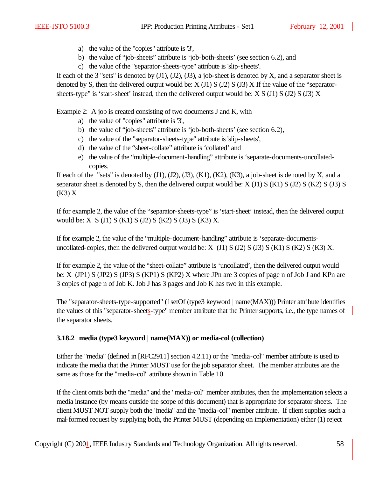- a) the value of the "copies" attribute is '3',
- b) the value of "job-sheets" attribute is 'job-both-sheets' (see section 6.2), and
- c) the value of the "separator-sheets-type" attribute is 'slip-sheets'.

If each of the 3 "sets" is denoted by  $(J1)$ ,  $(J2)$ ,  $(J3)$ , a job-sheet is denoted by X, and a separator sheet is denoted by S, then the delivered output would be:  $X(J1)$  S (J2) S (J3) X If the value of the "separatorsheets-type" is 'start-sheet' instead, then the delivered output would be:  $X S (J1) S (J2) S (J3) X$ 

Example 2: A job is created consisting of two documents J and K, with

- a) the value of "copies" attribute is '3',
- b) the value of "job-sheets" attribute is 'job-both-sheets' (see section 6.2),
- c) the value of the "separator-sheets-type" attribute is 'slip-sheets',
- d) the value of the "sheet-collate" attribute is 'collated' and
- e) the value of the "multiple-document-handling" attribute is 'separate-documents-uncollatedcopies.

If each of the "sets" is denoted by  $(J1)$ ,  $(J2)$ ,  $(J3)$ ,  $(K1)$ ,  $(K2)$ ,  $(K3)$ , a job-sheet is denoted by X, and a separator sheet is denoted by S, then the delivered output would be:  $X(J1) S(K1) S(J2) S(K2) S(J3) S$ (K3) X

If for example 2, the value of the "separator-sheets-type" is 'start-sheet' instead, then the delivered output would be: X S (J1) S (K1) S (J2) S (K2) S (J3) S (K3) X.

If for example 2, the value of the "multiple-document-handling" attribute is 'separate-documentsuncollated-copies, then the delivered output would be:  $X$  (J1)  $S$  (J2)  $S$  (J3)  $S$  (K1)  $S$  (K2)  $S$  (K3)  $X$ .

If for example 2, the value of the "sheet-collate" attribute is 'uncollated', then the delivered output would be: X (JP1) S (JP2) S (JP3) S (KP1) S (KP2) X where JPn are 3 copies of page n of Job J and KPn are 3 copies of page n of Job K. Job J has 3 pages and Job K has two in this example.

The "separator-sheets-type-supported" (1setOf (type3 keyword | name(MAX))) Printer attribute identifies the values of this "separator-sheets-type" member attribute that the Printer supports, i.e., the type names of the separator sheets.

### **3.18.2 media (type3 keyword | name(MAX)) or media-col (collection)**

Either the "media" (defined in [RFC2911] section 4.2.11) or the "media-col" member attribute is used to indicate the media that the Printer MUST use for the job separator sheet. The member attributes are the same as those for the "media-col" attribute shown in Table 10.

If the client omits both the "media" and the "media-col" member attributes, then the implementation selects a media instance (by means outside the scope of this document) that is appropriate for separator sheets. The client MUST NOT supply both the "media" and the "media-col" member attribute. If client supplies such a mal-formed request by supplying both, the Printer MUST (depending on implementation) either (1) reject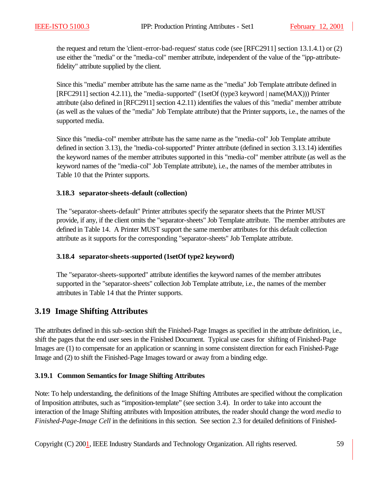the request and return the 'client-error-bad-request' status code (see [RFC2911] section 13.1.4.1) or (2) use either the "media" or the "media-col" member attribute, independent of the value of the "ipp-attributefidelity" attribute supplied by the client.

Since this "media" member attribute has the same name as the "media" Job Template attribute defined in [RFC2911] section 4.2.11), the "media-supported" (1setOf (type3 keyword | name(MAX))) Printer attribute (also defined in [RFC2911] section 4.2.11) identifies the values of this "media" member attribute (as well as the values of the "media" Job Template attribute) that the Printer supports, i.e., the names of the supported media.

Since this "media-col" member attribute has the same name as the "media-col" Job Template attribute defined in section 3.13), the "media-col-supported" Printer attribute (defined in section 3.13.14) identifies the keyword names of the member attributes supported in this "media-col" member attribute (as well as the keyword names of the "media-col" Job Template attribute), i.e., the names of the member attributes in Table 10 that the Printer supports.

#### **3.18.3 separator-sheets-default (collection)**

The "separator-sheets-default" Printer attributes specify the separator sheets that the Printer MUST provide, if any, if the client omits the "separator-sheets" Job Template attribute. The member attributes are defined in Table 14. A Printer MUST support the same member attributes for this default collection attribute as it supports for the corresponding "separator-sheets" Job Template attribute.

### **3.18.4 separator-sheets-supported (1setOf type2 keyword)**

The "separator-sheets-supported" attribute identifies the keyword names of the member attributes supported in the "separator-sheets" collection Job Template attribute, i.e., the names of the member attributes in Table 14 that the Printer supports.

## **3.19 Image Shifting Attributes**

The attributes defined in this sub-section shift the Finished-Page Images as specified in the attribute definition, i.e., shift the pages that the end user sees in the Finished Document. Typical use cases for shifting of Finished-Page Images are (1) to compensate for an application or scanning in some consistent direction for each Finished-Page Image and (2) to shift the Finished-Page Images toward or away from a binding edge.

### **3.19.1 Common Semantics for Image Shifting Attributes**

Note: To help understanding, the definitions of the Image Shifting Attributes are specified without the complication of Imposition attributes, such as "imposition-template" (see section 3.4). In order to take into account the interaction of the Image Shifting attributes with Imposition attributes, the reader should change the word *media* to *Finished-Page-Image Cell* in the definitions in this section. See section 2.3 for detailed definitions of Finished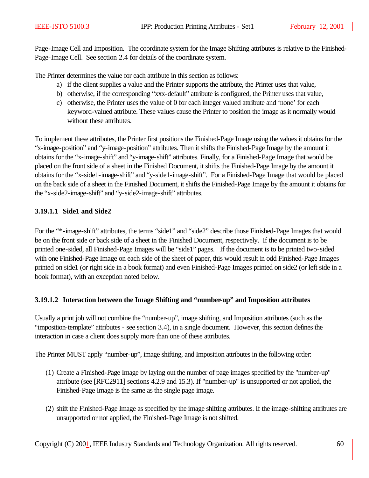Page-Image Cell and Imposition. The coordinate system for the Image Shifting attributes is relative to the Finished-Page-Image Cell. See section 2.4 for details of the coordinate system.

The Printer determines the value for each attribute in this section as follows:

- a) if the client supplies a value and the Printer supports the attribute, the Printer uses that value,
- b) otherwise, if the corresponding "xxx-default" attribute is configured, the Printer uses that value,
- c) otherwise, the Printer uses the value of 0 for each integer valued attribute and 'none' for each keyword-valued attribute. These values cause the Printer to position the image as it normally would without these attributes.

To implement these attributes, the Printer first positions the Finished-Page Image using the values it obtains for the "x-image-position" and "y-image-position" attributes. Then it shifts the Finished-Page Image by the amount it obtains for the "x-image-shift" and "y-image-shift" attributes. Finally, for a Finished-Page Image that would be placed on the front side of a sheet in the Finished Document, it shifts the Finished-Page Image by the amount it obtains for the "x-side1-image-shift" and "y-side1-image-shift". For a Finished-Page Image that would be placed on the back side of a sheet in the Finished Document, it shifts the Finished-Page Image by the amount it obtains for the "x-side2-image-shift" and "y-side2-image-shift" attributes.

### **3.19.1.1 Side1 and Side2**

For the "\*-image-shift" attributes, the terms "side1" and "side2" describe those Finished-Page Images that would be on the front side or back side of a sheet in the Finished Document, respectively. If the document is to be printed one-sided, all Finished-Page Images will be "side1" pages. If the document is to be printed two-sided with one Finished-Page Image on each side of the sheet of paper, this would result in odd Finished-Page Images printed on side1 (or right side in a book format) and even Finished-Page Images printed on side2 (or left side in a book format), with an exception noted below.

### **3.19.1.2 Interaction between the Image Shifting and "number-up" and Imposition attributes**

Usually a print job will not combine the "number-up", image shifting, and Imposition attributes (such as the "imposition-template" attributes - see section 3.4), in a single document. However, this section defines the interaction in case a client does supply more than one of these attributes.

The Printer MUST apply "number-up", image shifting, and Imposition attributes in the following order:

- (1) Create a Finished-Page Image by laying out the number of page images specified by the "number-up" attribute (see [RFC2911] sections 4.2.9 and 15.3). If "number-up" is unsupported or not applied, the Finished-Page Image is the same as the single page image.
- (2) shift the Finished-Page Image as specified by the image shifting attributes. If the image-shifting attributes are unsupported or not applied, the Finished-Page Image is not shifted.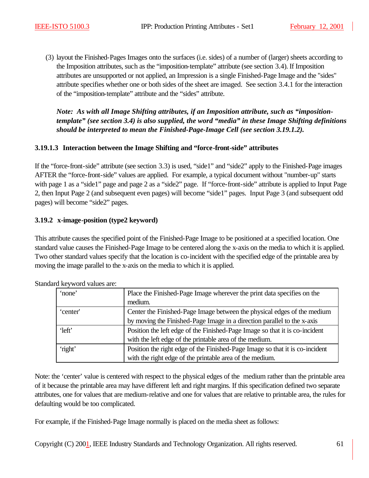(3) layout the Finished-Pages Images onto the surfaces (i.e. sides) of a number of (larger) sheets according to the Imposition attributes, such as the "imposition-template" attribute (see section 3.4). If Imposition attributes are unsupported or not applied, an Impression is a single Finished-Page Image and the "sides" attribute specifies whether one or both sides of the sheet are imaged. See section 3.4.1 for the interaction of the "imposition-template" attribute and the "sides" attribute.

*Note: As with all Image Shifting attributes, if an Imposition attribute, such as "impositiontemplate" (see section 3.4) is also supplied, the word "media" in these Image Shifting definitions should be interpreted to mean the Finished-Page-Image Cell (see section 3.19.1.2).*

### **3.19.1.3 Interaction between the Image Shifting and "force-front-side" attributes**

If the "force-front-side" attribute (see section 3.3) is used, "side1" and "side2" apply to the Finished-Page images AFTER the "force-front-side" values are applied. For example, a typical document without "number-up" starts with page 1 as a "side1" page and page 2 as a "side2" page. If "force-front-side" attribute is applied to Input Page 2, then Input Page 2 (and subsequent even pages) will become "side1" pages. Input Page 3 (and subsequent odd pages) will become "side2" pages.

### **3.19.2 x-image-position (type2 keyword)**

This attribute causes the specified point of the Finished-Page Image to be positioned at a specified location. One standard value causes the Finished-Page Image to be centered along the x-axis on the media to which it is applied. Two other standard values specify that the location is co-incident with the specified edge of the printable area by moving the image parallel to the x-axis on the media to which it is applied.

| ┙        |                                                                              |
|----------|------------------------------------------------------------------------------|
| 'none'   | Place the Finished-Page Image wherever the print data specifies on the       |
|          | medium.                                                                      |
| 'center' | Center the Finished-Page Image between the physical edges of the medium      |
|          | by moving the Finished-Page Image in a direction parallel to the x-axis      |
| 'left'   | Position the left edge of the Finished-Page Image so that it is co-incident  |
|          | with the left edge of the printable area of the medium.                      |
| 'right'  | Position the right edge of the Finished-Page Image so that it is co-incident |
|          | with the right edge of the printable area of the medium.                     |

Standard keyword values are:

Note: the 'center' value is centered with respect to the physical edges of the medium rather than the printable area of it because the printable area may have different left and right margins. If this specification defined two separate attributes, one for values that are medium-relative and one for values that are relative to printable area, the rules for defaulting would be too complicated.

For example, if the Finished-Page Image normally is placed on the media sheet as follows:

Copyright (C) 2001, IEEE Industry Standards and Technology Organization. All rights reserved. 61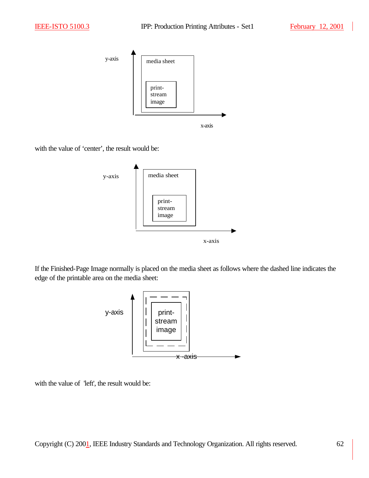

with the value of 'center', the result would be:



If the Finished-Page Image normally is placed on the media sheet as follows where the dashed line indicates the edge of the printable area on the media sheet:



with the value of 'left', the result would be: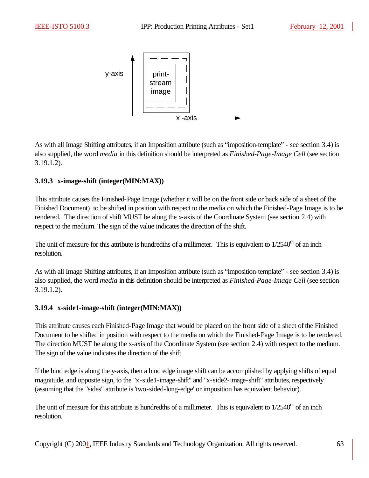

As with all Image Shifting attributes, if an Imposition attribute (such as "imposition-template" - see section 3.4) is also supplied, the word *media* in this definition should be interpreted as *Finished-Page-Image Cell* (see section 3.19.1.2).

### **3.19.3 x-image-shift (integer(MIN:MAX))**

This attribute causes the Finished-Page Image (whether it will be on the front side or back side of a sheet of the Finished Document) to be shifted in position with respect to the media on which the Finished-Page Image is to be rendered. The direction of shift MUST be along the x-axis of the Coordinate System (see section 2.4) with respect to the medium. The sign of the value indicates the direction of the shift.

The unit of measure for this attribute is hundredths of a millimeter. This is equivalent to  $1/2540<sup>th</sup>$  of an inch resolution.

As with all Image Shifting attributes, if an Imposition attribute (such as "imposition-template" - see section 3.4) is also supplied, the word *media* in this definition should be interpreted as *Finished-Page-Image Cell* (see section 3.19.1.2).

### **3.19.4 x-side1-image-shift (integer(MIN:MAX))**

This attribute causes each Finished-Page Image that would be placed on the front side of a sheet of the Finished Document to be shifted in position with respect to the media on which the Finished-Page Image is to be rendered. The direction MUST be along the x-axis of the Coordinate System (see section 2.4) with respect to the medium. The sign of the value indicates the direction of the shift.

If the bind edge is along the y-axis, then a bind edge image shift can be accomplished by applying shifts of equal magnitude, and opposite sign, to the "x-side1-image-shift" and "x-side2-image-shift" attributes, respectively (assuming that the "sides" attribute is 'two-sided-long-edge' or imposition has equivalent behavior).

The unit of measure for this attribute is hundredths of a millimeter. This is equivalent to  $1/2540<sup>th</sup>$  of an inch resolution.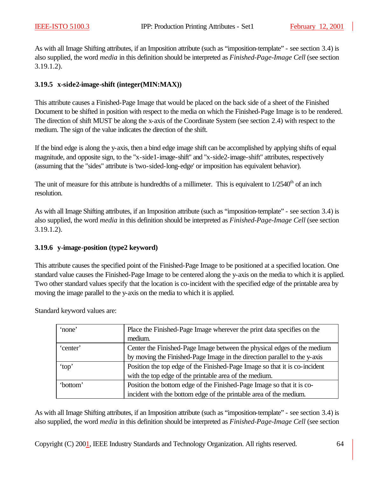As with all Image Shifting attributes, if an Imposition attribute (such as "imposition-template" - see section 3.4) is also supplied, the word *media* in this definition should be interpreted as *Finished-Page-Image Cell* (see section 3.19.1.2).

### **3.19.5 x-side2-image-shift (integer(MIN:MAX))**

This attribute causes a Finished-Page Image that would be placed on the back side of a sheet of the Finished Document to be shifted in position with respect to the media on which the Finished-Page Image is to be rendered. The direction of shift MUST be along the x-axis of the Coordinate System (see section 2.4) with respect to the medium. The sign of the value indicates the direction of the shift.

If the bind edge is along the y-axis, then a bind edge image shift can be accomplished by applying shifts of equal magnitude, and opposite sign, to the "x-side1-image-shift" and "x-side2-image-shift" attributes, respectively (assuming that the "sides" attribute is 'two-sided-long-edge' or imposition has equivalent behavior).

The unit of measure for this attribute is hundredths of a millimeter. This is equivalent to  $1/2540<sup>th</sup>$  of an inch resolution.

As with all Image Shifting attributes, if an Imposition attribute (such as "imposition-template" - see section 3.4) is also supplied, the word *media* in this definition should be interpreted as *Finished-Page-Image Cell* (see section 3.19.1.2).

### **3.19.6 y-image-position (type2 keyword)**

This attribute causes the specified point of the Finished-Page Image to be positioned at a specified location. One standard value causes the Finished-Page Image to be centered along the y-axis on the media to which it is applied. Two other standard values specify that the location is co-incident with the specified edge of the printable area by moving the image parallel to the y-axis on the media to which it is applied.

Standard keyword values are:

| 'none'   | Place the Finished-Page Image wherever the print data specifies on the     |
|----------|----------------------------------------------------------------------------|
|          | medium.                                                                    |
| 'center' | Center the Finished-Page Image between the physical edges of the medium    |
|          | by moving the Finished-Page Image in the direction parallel to the y-axis  |
| 'top'    | Position the top edge of the Finished-Page Image so that it is co-incident |
|          | with the top edge of the printable area of the medium.                     |
| 'bottom' | Position the bottom edge of the Finished-Page Image so that it is co-      |
|          | incident with the bottom edge of the printable area of the medium.         |

As with all Image Shifting attributes, if an Imposition attribute (such as "imposition-template" - see section 3.4) is also supplied, the word *media* in this definition should be interpreted as *Finished-Page-Image Cell* (see section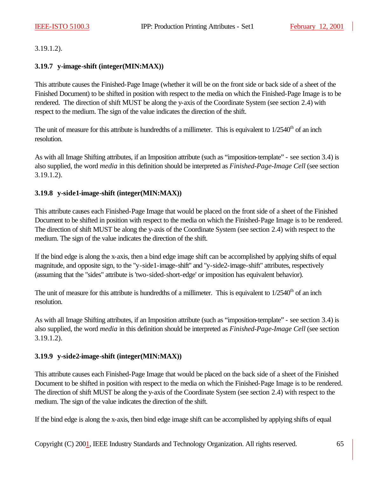3.19.1.2).

### **3.19.7 y-image-shift (integer(MIN:MAX))**

This attribute causes the Finished-Page Image (whether it will be on the front side or back side of a sheet of the Finished Document) to be shifted in position with respect to the media on which the Finished-Page Image is to be rendered. The direction of shift MUST be along the y-axis of the Coordinate System (see section 2.4) with respect to the medium. The sign of the value indicates the direction of the shift.

The unit of measure for this attribute is hundredths of a millimeter. This is equivalent to  $1/2540<sup>th</sup>$  of an inch resolution.

As with all Image Shifting attributes, if an Imposition attribute (such as "imposition-template" - see section 3.4) is also supplied, the word *media* in this definition should be interpreted as *Finished-Page-Image Cell* (see section 3.19.1.2).

### **3.19.8 y-side1-image-shift (integer(MIN:MAX))**

This attribute causes each Finished-Page Image that would be placed on the front side of a sheet of the Finished Document to be shifted in position with respect to the media on which the Finished-Page Image is to be rendered. The direction of shift MUST be along the y-axis of the Coordinate System (see section 2.4) with respect to the medium. The sign of the value indicates the direction of the shift.

If the bind edge is along the x-axis, then a bind edge image shift can be accomplished by applying shifts of equal magnitude, and opposite sign, to the "y-side1-image-shift" and "y-side2-image-shift" attributes, respectively (assuming that the "sides" attribute is 'two-sided-short-edge' or imposition has equivalent behavior).

The unit of measure for this attribute is hundredths of a millimeter. This is equivalent to  $1/2540<sup>th</sup>$  of an inch resolution.

As with all Image Shifting attributes, if an Imposition attribute (such as "imposition-template" - see section 3.4) is also supplied, the word *media* in this definition should be interpreted as *Finished-Page-Image Cell* (see section 3.19.1.2).

### **3.19.9 y-side2-image-shift (integer(MIN:MAX))**

This attribute causes each Finished-Page Image that would be placed on the back side of a sheet of the Finished Document to be shifted in position with respect to the media on which the Finished-Page Image is to be rendered. The direction of shift MUST be along the y-axis of the Coordinate System (see section 2.4) with respect to the medium. The sign of the value indicates the direction of the shift.

If the bind edge is along the x-axis, then bind edge image shift can be accomplished by applying shifts of equal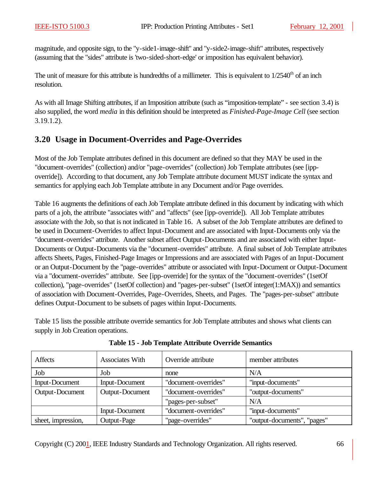magnitude, and opposite sign, to the "y-side1-image-shift" and "y-side2-image-shift" attributes, respectively (assuming that the "sides" attribute is 'two-sided-short-edge' or imposition has equivalent behavior).

The unit of measure for this attribute is hundredths of a millimeter. This is equivalent to  $1/2540<sup>th</sup>$  of an inch resolution.

As with all Image Shifting attributes, if an Imposition attribute (such as "imposition-template" - see section 3.4) is also supplied, the word *media* in this definition should be interpreted as *Finished-Page-Image Cell* (see section 3.19.1.2).

## **3.20 Usage in Document-Overrides and Page-Overrides**

Most of the Job Template attributes defined in this document are defined so that they MAY be used in the "document-overrides" (collection) and/or "page-overrides" (collection) Job Template attributes (see [ippoverride]). According to that document, any Job Template attribute document MUST indicate the syntax and semantics for applying each Job Template attribute in any Document and/or Page overrides.

Table 16 augments the definitions of each Job Template attribute defined in this document by indicating with which parts of a job, the attribute "associates with" and "affects" (see [ipp-override]). All Job Template attributes associate with the Job, so that is not indicated in Table 16. A subset of the Job Template attributes are defined to be used in Document-Overrides to affect Input-Document and are associated with Input-Documents only via the "document-overrides" attribute. Another subset affect Output-Documents and are associated with either Input-Documents or Output-Documents via the "document-overrides" attribute. A final subset of Job Template attributes affects Sheets, Pages, Finished-Page Images or Impressions and are associated with Pages of an Input-Document or an Output-Document by the "page-overrides" attribute or associated with Input-Document or Output-Document via a "document-overrides" attribute. See [ipp-override] for the syntax of the "document-overrides" (1setOf collection), "page-overrides" (1setOf collection) and "pages-per-subset" (1setOf integer(1:MAX)) and semantics of association with Document-Overrides, Page-Overrides, Sheets, and Pages. The "pages-per-subset" attribute defines Output-Document to be subsets of pages within Input-Documents.

Table 15 lists the possible attribute override semantics for Job Template attributes and shows what clients can supply in Job Creation operations.

| Affects               | <b>Associates With</b> | Override attribute   | member attributes           |
|-----------------------|------------------------|----------------------|-----------------------------|
| Job                   | Job                    | none                 | N/A                         |
| <b>Input-Document</b> | Input-Document         | "document-overrides" | "input-documents"           |
| Output-Document       | Output-Document        | "document-overrides" | "output-documents"          |
|                       |                        | "pages-per-subset"   | N/A                         |
|                       | <b>Input-Document</b>  | "document-overrides" | "input-documents"           |
| sheet, impression,    | Output-Page            | "page-overrides"     | "output-documents", "pages" |

**Table 15 - Job Template Attribute Override Semantics**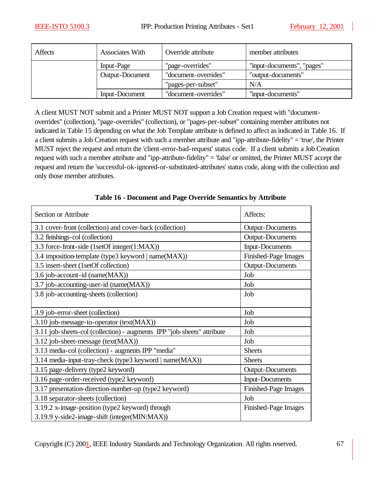| <b>Affects</b> | <b>Associates With</b> | Override attribute   | member attributes          |
|----------------|------------------------|----------------------|----------------------------|
|                | Input-Page             | "page-overrides"     | "input-documents", "pages" |
|                | Output-Document        | "document-overrides" | "output-documents"         |
|                |                        | "pages-per-subset"   | N/A                        |
|                | Input-Document         | "document-overrides" | "input-documents"          |

A client MUST NOT submit and a Printer MUST NOT support a Job Creation request with "documentoverrides" (collection), "page-overrides" (collection), or "pages-per-subset" containing member attributes not indicated in Table 15 depending on what the Job Template attribute is defined to affect as indicated in Table 16. If a client submits a Job Creation request with such a member attribute and "ipp-attribute-fidelity" = 'true', the Printer MUST reject the request and return the 'client-error-bad-request' status code. If a client submits a Job Creation request with such a member attribute and "ipp-attribute-fidelity" = 'false' or omitted, the Printer MUST accept the request and return the 'successful-ok-ignored-or-substituted-attributes' status code, along with the collection and only those member attributes.

| Section or Attribute                                                   | Affects:                |
|------------------------------------------------------------------------|-------------------------|
| 3.1 cover-front (collection) and cover-back (collection)               | <b>Output-Documents</b> |
| 3.2 finishings-col (collection)                                        | <b>Output-Documents</b> |
| 3.3 force-front-side (1setOf integer(1:MAX))                           | <b>Input-Documents</b>  |
| 3.4 imposition-template (type3 keyword   name(MAX))                    | Finished-Page Images    |
| 3.5 insert-sheet (1setOf collection)                                   | <b>Output-Documents</b> |
| 3.6 job-account-id (name(MAX))                                         | Job                     |
| 3.7 job-accounting-user-id (name(MAX))                                 | Job                     |
| 3.8 job-accounting-sheets (collection)                                 | Job                     |
|                                                                        |                         |
| 3.9 job-error-sheet (collection)                                       | Job                     |
| 3.10 job-message-to-operator (text(MAX))                               | Job                     |
| 3.11 job-sheets-col (collection) - augments IPP "job-sheets" attribute | Job                     |
| 3.12 job-sheet-message (text(MAX))                                     | Job                     |
| 3.13 media-col (collection) - augments IPP "media"                     | <b>Sheets</b>           |
| 3.14 media-input-tray-check (type3 keyword   name(MAX))                | <b>Sheets</b>           |
| 3.15 page-delivery (type2 keyword)                                     | <b>Output-Documents</b> |
| 3.16 page-order-received (type2 keyword)                               | <b>Input-Documents</b>  |
| 3.17 presentation-direction-number-up (type2 keyword)                  | Finished-Page Images    |
| 3.18 separator-sheets (collection)                                     | Job                     |
| 3.19.2 x-image-position (type2 keyword) through                        | Finished-Page Images    |
| 3.19.9 y-side2-image-shift (integer(MIN:MAX))                          |                         |

**Table 16 - Document and Page Override Semantics by Attribute**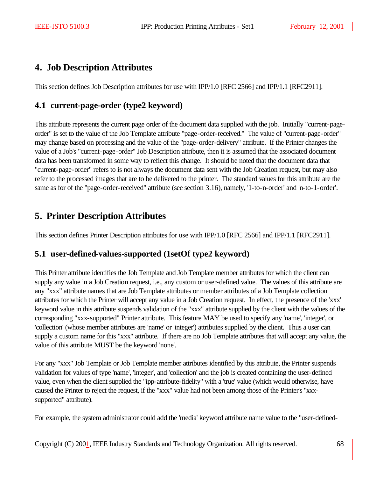# **4. Job Description Attributes**

This section defines Job Description attributes for use with IPP/1.0 [RFC 2566] and IPP/1.1 [RFC2911].

# **4.1 current-page-order (type2 keyword)**

This attribute represents the current page order of the document data supplied with the job. Initially "current-pageorder" is set to the value of the Job Template attribute "page-order-received." The value of "current-page-order" may change based on processing and the value of the "page-order-delivery" attribute. If the Printer changes the value of a Job's "current-page-order" Job Description attribute, then it is assumed that the associated document data has been transformed in some way to reflect this change. It should be noted that the document data that "current-page-order" refers to is not always the document data sent with the Job Creation request, but may also refer to the processed images that are to be delivered to the printer. The standard values for this attribute are the same as for of the "page-order-received" attribute (see section 3.16), namely, '1-to-n-order' and 'n-to-1-order'.

# **5. Printer Description Attributes**

This section defines Printer Description attributes for use with IPP/1.0 [RFC 2566] and IPP/1.1 [RFC2911].

# **5.1 user-defined-values-supported (1setOf type2 keyword)**

This Printer attribute identifies the Job Template and Job Template member attributes for which the client can supply any value in a Job Creation request, i.e., any custom or user-defined value. The values of this attribute are any "xxx" attribute names that are Job Template attributes or member attributes of a Job Template collection attributes for which the Printer will accept any value in a Job Creation request. In effect, the presence of the 'xxx' keyword value in this attribute suspends validation of the "xxx" attribute supplied by the client with the values of the corresponding "xxx-supported" Printer attribute. This feature MAY be used to specify any 'name', 'integer', or 'collection' (whose member attributes are 'name' or 'integer') attributes supplied by the client. Thus a user can supply a custom name for this "xxx" attribute. If there are no Job Template attributes that will accept any value, the value of this attribute MUST be the keyword 'none'.

For any "xxx" Job Template or Job Template member attributes identified by this attribute, the Printer suspends validation for values of type 'name', 'integer', and 'collection' and the job is created containing the user-defined value, even when the client supplied the "ipp-attribute-fidelity" with a 'true' value (which would otherwise, have caused the Printer to reject the request, if the "xxx" value had not been among those of the Printer's "xxxsupported" attribute).

For example, the system administrator could add the 'media' keyword attribute name value to the "user-defined-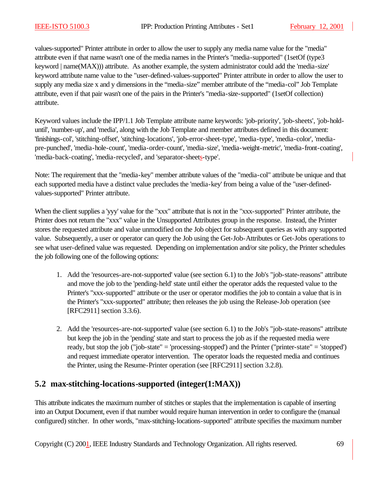values-supported" Printer attribute in order to allow the user to supply any media name value for the "media" attribute even if that name wasn't one of the media names in the Printer's "media-supported" (1setOf (type3 keyword | name(MAX))) attribute. As another example, the system administrator could add the 'media-size' keyword attribute name value to the "user-defined-values-supported" Printer attribute in order to allow the user to supply any media size x and y dimensions in the "media-size" member attribute of the "media-col" Job Template attribute, even if that pair wasn't one of the pairs in the Printer's "media-size-supported" (1setOf collection) attribute.

Keyword values include the IPP/1.1 Job Template attribute name keywords: 'job-priority', 'job-sheets', 'job-holduntil', 'number-up', and 'media', along with the Job Template and member attributes defined in this document: 'finishings-col', 'stitching-offset', 'stitching-locations', 'job-error-sheet-type', 'media-type', 'media-color', 'mediapre-punched', 'media-hole-count', 'media-order-count', 'media-size', 'media-weight-metric', 'media-front-coating', 'media-back-coating', 'media-recycled', and 'separator-sheets-type'.

Note: The requirement that the "media-key" member attribute values of the "media-col" attribute be unique and that each supported media have a distinct value precludes the 'media-key' from being a value of the "user-definedvalues-supported" Printer attribute.

When the client supplies a 'yyy' value for the "xxx" attribute that is not in the "xxx-supported" Printer attribute, the Printer does not return the "xxx" value in the Unsupported Attributes group in the response. Instead, the Printer stores the requested attribute and value unmodified on the Job object for subsequent queries as with any supported value. Subsequently, a user or operator can query the Job using the Get-Job-Attributes or Get-Jobs operations to see what user-defined value was requested. Depending on implementation and/or site policy, the Printer schedules the job following one of the following options:

- 1. Add the 'resources-are-not-supported' value (see section 6.1) to the Job's "job-state-reasons" attribute and move the job to the 'pending-held' state until either the operator adds the requested value to the Printer's "xxx-supported" attribute or the user or operator modifies the job to contain a value that is in the Printer's "xxx-supported" attribute; then releases the job using the Release-Job operation (see [RFC2911] section 3.3.6).
- 2. Add the 'resources-are-not-supported' value (see section 6.1) to the Job's "job-state-reasons" attribute but keep the job in the 'pending' state and start to process the job as if the requested media were ready, but stop the job ("job-state" = 'processing-stopped') and the Printer ("printer-state" = 'stopped') and request immediate operator intervention. The operator loads the requested media and continues the Printer, using the Resume-Printer operation (see [RFC2911] section 3.2.8).

## **5.2 max-stitching-locations-supported (integer(1:MAX))**

This attribute indicates the maximum number of stitches or staples that the implementation is capable of inserting into an Output Document, even if that number would require human intervention in order to configure the (manual configured) stitcher. In other words, "max-stitching-locations-supported" attribute specifies the maximum number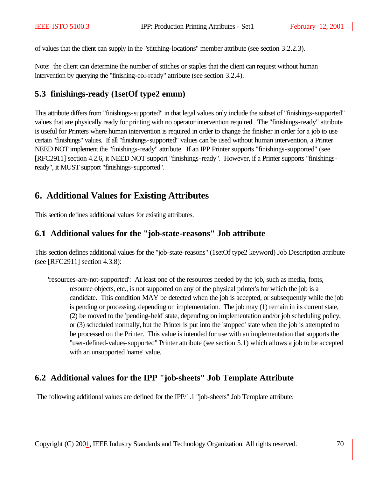of values that the client can supply in the "stitching-locations" member attribute (see section 3.2.2.3).

Note: the client can determine the number of stitches or staples that the client can request without human intervention by querying the "finishing-col-ready" attribute (see section 3.2.4).

## **5.3 finishings-ready (1setOf type2 enum)**

This attribute differs from "finishings-supported" in that legal values only include the subset of "finishings-supported" values that are physically ready for printing with no operator intervention required. The "finishings-ready" attribute is useful for Printers where human intervention is required in order to change the finisher in order for a job to use certain "finishings" values. If all "finishings-supported" values can be used without human intervention, a Printer NEED NOT implement the "finishings-ready" attribute. If an IPP Printer supports "finishings-supported" (see [RFC2911] section 4.2.6, it NEED NOT support "finishings-ready". However, if a Printer supports "finishingsready", it MUST support "finishings-supported".

# **6. Additional Values for Existing Attributes**

This section defines additional values for existing attributes.

## **6.1 Additional values for the "job-state-reasons" Job attribute**

This section defines additional values for the "job-state-reasons" (1setOf type2 keyword) Job Description attribute (see [RFC2911] section 4.3.8):

'resources-are-not-supported': At least one of the resources needed by the job, such as media, fonts, resource objects, etc., is not supported on any of the physical printer's for which the job is a candidate. This condition MAY be detected when the job is accepted, or subsequently while the job is pending or processing, depending on implementation. The job may (1) remain in its current state, (2) be moved to the 'pending-held' state, depending on implementation and/or job scheduling policy, or (3) scheduled normally, but the Printer is put into the 'stopped' state when the job is attempted to be processed on the Printer. This value is intended for use with an implementation that supports the "user-defined-values-supported" Printer attribute (see section 5.1) which allows a job to be accepted with an unsupported 'name' value.

# **6.2 Additional values for the IPP "job-sheets" Job Template Attribute**

The following additional values are defined for the IPP/1.1 "job-sheets" Job Template attribute: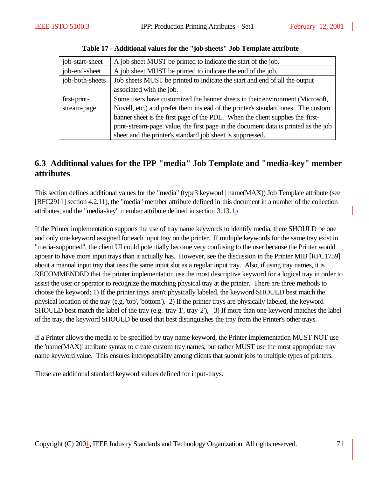| job-start-sheet | A job sheet MUST be printed to indicate the start of the job.                       |
|-----------------|-------------------------------------------------------------------------------------|
| job-end-sheet   | A job sheet MUST be printed to indicate the end of the job.                         |
| job-both-sheets | Job sheets MUST be printed to indicate the start and end of all the output          |
|                 | associated with the job.                                                            |
| first-print-    | Some users have customized the banner sheets in their environment (Microsoft,       |
| stream-page     | Novell, etc.) and prefer them instead of the printer's standard ones. The custom    |
|                 | banner sheet is the first page of the PDL. When the client supplies the 'first-     |
|                 | print-stream-page' value, the first page in the document data is printed as the job |
|                 | sheet and the printer's standard job sheet is suppressed.                           |

**Table 17 - Additional values for the "job-sheets" Job Template attribute**

# **6.3 Additional values for the IPP "media" Job Template and "media-key" member attributes**

This section defines additional values for the "media" (type3 keyword | name(MAX)) Job Template attribute (see [RFC2911] section 4.2.11), the "media" member attribute defined in this document in a number of the collection attributes, and the "media-key" member attribute defined in section 3.13.1.:

If the Printer implementation supports the use of tray name keywords to identify media, there SHOULD be one and only one keyword assigned for each input tray on the printer. If multiple keywords for the same tray exist in "media-supported", the client UI could potentially become very confusing to the user because the Printer would appear to have more input trays than it actually has. However, see the discussion in the Printer MIB [RFC1759] about a manual input tray that uses the same input slot as a regular input tray. Also, if using tray names, it is RECOMMENDED that the printer implementation use the most descriptive keyword for a logical tray in order to assist the user or operator to recognize the matching physical tray at the printer. There are three methods to choose the keyword: 1) If the printer trays aren't physically labeled, the keyword SHOULD best match the physical location of the tray (e.g. 'top', 'bottom'). 2) If the printer trays are physically labeled, the keyword SHOULD best match the label of the tray (e.g. 'tray-1', tray-2'), 3) If more than one keyword matches the label of the tray, the keyword SHOULD be used that best distinguishes the tray from the Printer's other trays.

If a Printer allows the media to be specified by tray name keyword, the Printer implementation MUST NOT use the 'name(MAX)' attribute syntax to create custom tray names, but rather MUST use the most appropriate tray name keyword value. This ensures interoperability among clients that submit jobs to multiple types of printers.

These are additional standard keyword values defined for input-trays.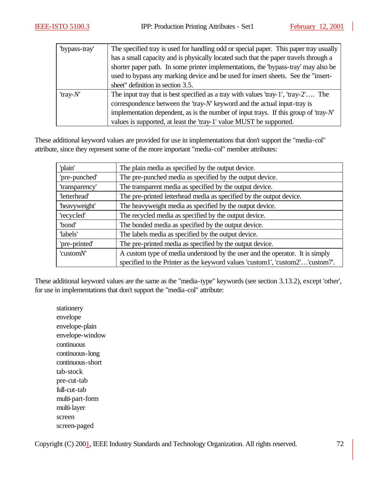| "bypass-tray" | The specified tray is used for handling odd or special paper. This paper tray usually     |
|---------------|-------------------------------------------------------------------------------------------|
|               | has a small capacity and is physically located such that the paper travels through a      |
|               | shorter paper path. In some printer implementations, the 'bypass-tray' may also be        |
|               | used to bypass any marking device and be used for insert sheets. See the "insert-         |
|               | sheet" definition in section 3.5.                                                         |
| 'tray- $N'$   | The input tray that is best specified as a tray with values 'tray-1', 'tray-2' The        |
|               | correspondence between the 'tray- $N'$ keyword and the actual input-tray is               |
|               | implementation dependent, as is the number of input trays. If this group of 'tray- $N'$ ' |
|               | values is supported, at least the 'tray-1' value MUST be supported.                       |

These additional keyword values are provided for use in implementations that don't support the "media-col" attribute, since they represent some of the more important "media-col" member attributes:

| 'plain'        | The plain media as specified by the output device.                            |
|----------------|-------------------------------------------------------------------------------|
| 'pre-punched'  | The pre-punched media as specified by the output device.                      |
| 'transparency' | The transparent media as specified by the output device.                      |
| 'letterhead'   | The pre-printed letterhead media as specified by the output device.           |
| 'heavyweight'  | The heavyweight media as specified by the output device.                      |
| 'recycled'     | The recycled media as specified by the output device.                         |
| 'bond'         | The bonded media as specified by the output device.                           |
| 'labels'       | The labels media as specified by the output device.                           |
| 'pre-printed'  | The pre-printed media as specified by the output device.                      |
| 'customN'      | A custom type of media understood by the user and the operator. It is simply  |
|                | specified to the Printer as the keyword values 'custom1', 'custom2''custom7'. |

These additional keyword values are the same as the "media-type" keywords (see section 3.13.2), except 'other', for use in implementations that don't support the "media-col" attribute:

stationery envelope envelope-plain envelope-window continuous continuous-long continuous-short tab-stock pre-cut-tab full-cut-tab multi-part-form multi-layer screen screen-paged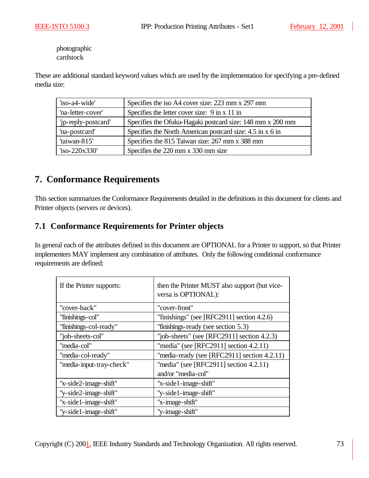photographic cardstock

These are additional standard keyword values which are used by the implementation for specifying a pre-defined media size:

| 'iso-a4-wide'       | Specifies the iso A4 cover size: 223 mm x 297 mm          |
|---------------------|-----------------------------------------------------------|
| 'na-letter-cover'   | Specifies the letter cover size: 9 in x 11 in             |
| 'ip-reply-postcard' | Specifies the Ofuku-Hagaki postcard size: 148 mm x 200 mm |
| 'na-postcard'       | Specifies the North American postcard size: 4.5 in x 6 in |
| 'taiwan-815'        | Specifies the 815 Taiwan size: 267 mm x 388 mm            |
| $iso-220x330'$      | Specifies the 220 mm x 330 mm size                        |

# **7. Conformance Requirements**

This section summarizes the Conformance Requirements detailed in the definitions in this document for clients and Printer objects (servers or devices).

## **7.1 Conformance Requirements for Printer objects**

In general each of the attributes defined in this document are OPTIONAL for a Printer to support, so that Printer implementers MAY implement any combination of attributes. Only the following conditional conformance requirements are defined:

| If the Printer supports: | then the Printer MUST also support (but vice-<br>versa is OPTIONAL): |  |  |  |  |
|--------------------------|----------------------------------------------------------------------|--|--|--|--|
| "cover-back"             | "cover-front"                                                        |  |  |  |  |
| "finishings-col"         | "finishings" (see [RFC2911] section $4.2.6$ )                        |  |  |  |  |
| "finishings-col-ready"   | "finishings-ready (see section 5.3)                                  |  |  |  |  |
| "job-sheets-col"         | "job-sheets" (see [RFC2911] section $4.2.3$ )                        |  |  |  |  |
| "media-col"              | "media" (see [RFC2911] section $4.2.11$ )                            |  |  |  |  |
| "media-col-ready"        | "media-ready (see [RFC2911] section $4.2.11$ )                       |  |  |  |  |
| "media-input-tray-check" | "media" (see [RFC2911] section $4.2.11$ )                            |  |  |  |  |
|                          | and/or "media-col"                                                   |  |  |  |  |
| "x-side2-image-shift"    | "x-side1-image-shift"                                                |  |  |  |  |
| "y-side2-image-shift"    | "y-side1-image-shift"                                                |  |  |  |  |
| "x-side1-image-shift"    | "x-image-shift"                                                      |  |  |  |  |
| "y-side1-image-shift"    | "y-image-shift"                                                      |  |  |  |  |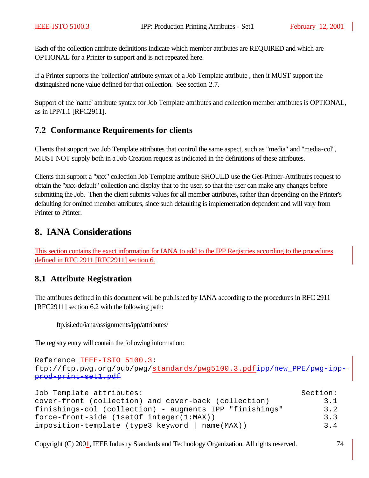Each of the collection attribute definitions indicate which member attributes are REQUIRED and which are OPTIONAL for a Printer to support and is not repeated here.

If a Printer supports the 'collection' attribute syntax of a Job Template attribute , then it MUST support the distinguished none value defined for that collection. See section 2.7.

Support of the 'name' attribute syntax for Job Template attributes and collection member attributes is OPTIONAL, as in IPP/1.1 [RFC2911].

### **7.2 Conformance Requirements for clients**

Clients that support two Job Template attributes that control the same aspect, such as "media" and "media-col", MUST NOT supply both in a Job Creation request as indicated in the definitions of these attributes.

Clients that support a "xxx" collection Job Template attribute SHOULD use the Get-Printer-Attributes request to obtain the "xxx-default" collection and display that to the user, so that the user can make any changes before submitting the Job. Then the client submits values for all member attributes, rather than depending on the Printer's defaulting for omitted member attributes, since such defaulting is implementation dependent and will vary from Printer to Printer.

## **8. IANA Considerations**

This section contains the exact information for IANA to add to the IPP Registries according to the procedures defined in RFC 2911 [RFC2911] section 6.

### **8.1 Attribute Registration**

The attributes defined in this document will be published by IANA according to the procedures in RFC 2911 [RFC2911] section 6.2 with the following path:

ftp.isi.edu/iana/assignments/ipp/attributes/

The registry entry will contain the following information:

```
Reference IEEE-ISTO 5100.3: 
ftp://ftp.pwg.org/pub/pwg/standards/pwg5100.3.pdfipp/new
prod-print-set1.pdf
```

| Job Template attributes:                                | Section:           |
|---------------------------------------------------------|--------------------|
| cover-front (collection) and cover-back (collection)    | 3.1                |
| finishings-col (collection) - augments IPP "finishings" | 3.2                |
| $force-front-side$ (1setOf $integer(1:MAX)$ )           | 3.3                |
| imposition-template (type3 keyword   name(MAX))         | $\overline{3}$ . 4 |

Copyright (C) 2001, IEEE Industry Standards and Technology Organization. All rights reserved. 74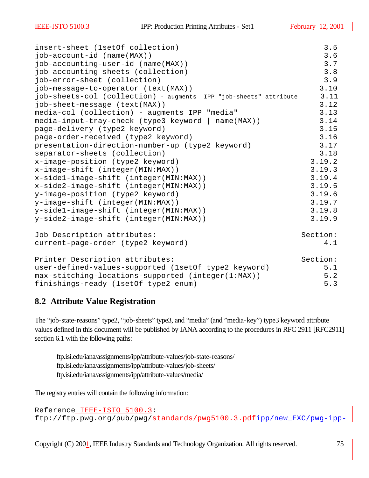| insert-sheet (1setOf collection)                                  | 3.5      |
|-------------------------------------------------------------------|----------|
| $job\text{-}account\text{-}id$ (name(MAX))                        | 3.6      |
| job-accounting-user-id (name(MAX))                                | 3.7      |
| job-accounting-sheets (collection)                                | 3.8      |
| job-error-sheet (collection)                                      | 3.9      |
| job-message-to-operator (text(MAX))                               | 3.10     |
| job-sheets-col (collection) - augments IPP "job-sheets" attribute | 3.11     |
| job-sheet-message (text(MAX))                                     | 3.12     |
| media-col (collection) - augments IPP "media"                     | 3.13     |
| media-input-tray-check (type3 keyword   name(MAX))                | 3.14     |
| page-delivery (type2 keyword)                                     | 3.15     |
| page-order-received (type2 keyword)                               | 3.16     |
| presentation-direction-number-up (type2 keyword)                  | 3.17     |
| separator-sheets (collection)                                     | 3.18     |
| x-image-position (type2 keyword)                                  | 3.19.2   |
| x-image-shift (integer(MIN:MAX))                                  | 3.19.3   |
| x-side1-image-shift (integer(MIN:MAX))                            | 3.19.4   |
| x-side2-image-shift (integer(MIN:MAX))                            | 3.19.5   |
| y-image-position (type2 keyword)                                  | 3.19.6   |
| y-image-shift (integer(MIN:MAX))                                  | 3.19.7   |
| y-side1-image-shift (integer(MIN:MAX))                            | 3.19.8   |
| y-side2-image-shift (integer(MIN:MAX))                            | 3.19.9   |
| Job Description attributes:                                       | Section: |
| current-page-order (type2 keyword)                                | 4.1      |
| Printer Description attributes:                                   | Section: |
| user-defined-values-supported (1setOf type2 keyword)              | 5.1      |
| max-stitching-locations-supported (integer(1:MAX))                | 5.2      |
| finishings-ready (1setOf type2 enum)                              | 5.3      |

### **8.2 Attribute Value Registration**

The "job-state-reasons" type2, "job-sheets" type3, and "media" (and "media-key") type3 keyword attribute values defined in this document will be published by IANA according to the procedures in RFC 2911 [RFC2911] section 6.1 with the following paths:

ftp.isi.edu/iana/assignments/ipp/attribute-values/job-state-reasons/ ftp.isi.edu/iana/assignments/ipp/attribute-values/job-sheets/ ftp.isi.edu/iana/assignments/ipp/attribute-values/media/

The registry entries will contain the following information:

Reference IEEE-ISTO 5100.3: ftp://ftp.pwg.org/pub/pwg/standards/pwg5100.3.pdfipp/new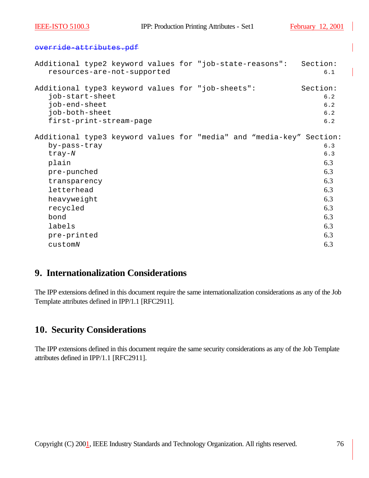#### override-attributes.pdf

| Additional type3 keyword values for "job-sheets":<br>job-start-sheet<br>job-end-sheet<br>job-both-sheet<br>first-print-stream-page<br>Additional type3 keyword values for "media" and "media-key" Section:<br>by-pass-tray<br>$tray-N$<br>plain<br>pre-punched<br>transparency<br>letterhead<br>heavyweight<br>recycled<br>bond<br>labels |  | resources-are-not-supported |  |  | Additional type2 keyword values for "job-state-reasons": | Section:<br>6.1                                                                  |
|-------------------------------------------------------------------------------------------------------------------------------------------------------------------------------------------------------------------------------------------------------------------------------------------------------------------------------------------|--|-----------------------------|--|--|----------------------------------------------------------|----------------------------------------------------------------------------------|
|                                                                                                                                                                                                                                                                                                                                           |  |                             |  |  |                                                          | Section:<br>6.2<br>6.2<br>6.2                                                    |
|                                                                                                                                                                                                                                                                                                                                           |  |                             |  |  |                                                          | 6.2                                                                              |
| pre-printed<br>customN                                                                                                                                                                                                                                                                                                                    |  |                             |  |  |                                                          | 6.3<br>6.3<br>6.3<br>6.3<br>6.3<br>6.3<br>6.3<br>6.3<br>6.3<br>6.3<br>6.3<br>6.3 |

## **9. Internationalization Considerations**

The IPP extensions defined in this document require the same internationalization considerations as any of the Job Template attributes defined in IPP/1.1 [RFC2911].

## **10. Security Considerations**

The IPP extensions defined in this document require the same security considerations as any of the Job Template attributes defined in IPP/1.1 [RFC2911].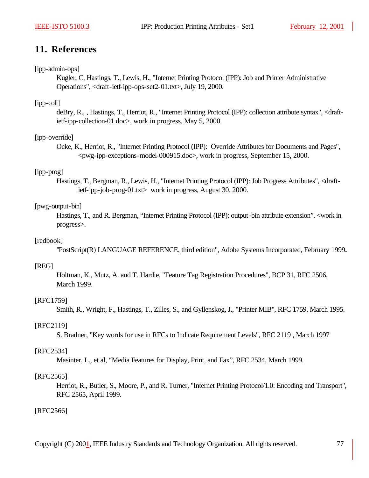## **11. References**

#### [ipp-admin-ops]

Kugler, C, Hastings, T., Lewis, H., "Internet Printing Protocol (IPP): Job and Printer Administrative Operations", <draft-ietf-ipp-ops-set2-01.txt>, July 19, 2000.

#### [ipp-coll]

deBry, R., , Hastings, T., Herriot, R., "Internet Printing Protocol (IPP): collection attribute syntax", <draftietf-ipp-collection-01.doc>, work in progress, May 5, 2000.

#### [ipp-override]

Ocke, K., Herriot, R., "Internet Printing Protocol (IPP): Override Attributes for Documents and Pages", <pwg-ipp-exceptions-model-000915.doc>, work in progress, September 15, 2000.

#### [ipp-prog]

Hastings, T., Bergman, R., Lewis, H., "Internet Printing Protocol (IPP): Job Progress Attributes", <draftietf-ipp-job-prog-01.txt> work in progress, August 30, 2000.

#### [pwg-output-bin]

Hastings, T., and R. Bergman, "Internet Printing Protocol (IPP): output-bin attribute extension", <work in progress>.

#### [redbook]

"PostScript(R) LANGUAGE REFERENCE, third edition", Adobe Systems Incorporated, February 1999**.**

#### [REG]

Holtman, K., Mutz, A. and T. Hardie, "Feature Tag Registration Procedures", BCP 31, RFC 2506, March 1999.

#### [RFC1759]

Smith, R., Wright, F., Hastings, T., Zilles, S., and Gyllenskog, J., "Printer MIB", RFC 1759, March 1995.

#### [RFC2119]

S. Bradner, "Key words for use in RFCs to Indicate Requirement Levels", RFC 2119 , March 1997

#### [RFC2534]

Masinter, L., et al, "Media Features for Display, Print, and Fax", RFC 2534, March 1999.

#### [RFC2565]

Herriot, R., Butler, S., Moore, P., and R. Turner, "Internet Printing Protocol/1.0: Encoding and Transport", RFC 2565, April 1999.

#### [RFC2566]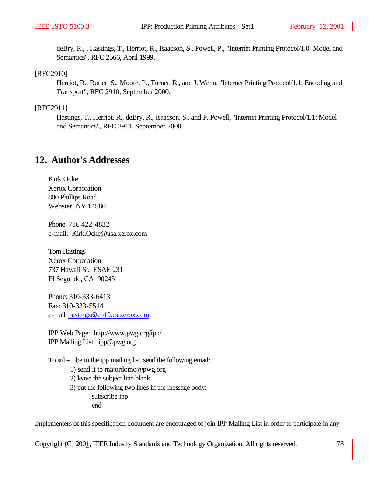deBry, R., , Hastings, T., Herriot, R., Isaacson, S., Powell, P., "Internet Printing Protocol/1.0: Model and Semantics", RFC 2566, April 1999.

#### [RFC2910]

Herriot, R., Butler, S., Moore, P., Turner, R., and J. Wenn, "Internet Printing Protocol/1.1: Encoding and Transport", RFC 2910, September 2000.

#### [RFC2911]

Hastings, T., Herriot, R., deBry, R., Isaacson, S., and P. Powell, "Internet Printing Protocol/1.1: Model and Semantics", RFC 2911, September 2000.

### **12. Author's Addresses**

Kirk Ocke Xerox Corporation 800 Phillips Road Webster, NY 14580

Phone: 716 422-4832 e-mail: Kirk.Ocke@usa.xerox.com

Tom Hastings Xerox Corporation 737 Hawaii St. ESAE 231 El Segundo, CA 90245

Phone: 310-333-6413 Fax: 310-333-5514 e-mail: hastings@cp10.es.xerox.com

IPP Web Page: http://www.pwg.org/ipp/ IPP Mailing List: ipp@pwg.org

To subscribe to the ipp mailing list, send the following email:

- 1) send it to majordomo@pwg.org
- 2) leave the subject line blank
- 3) put the following two lines in the message body: subscribe ipp end

Implementers of this specification document are encouraged to join IPP Mailing List in order to participate in any

Copyright (C) 2001, IEEE Industry Standards and Technology Organization. All rights reserved. 78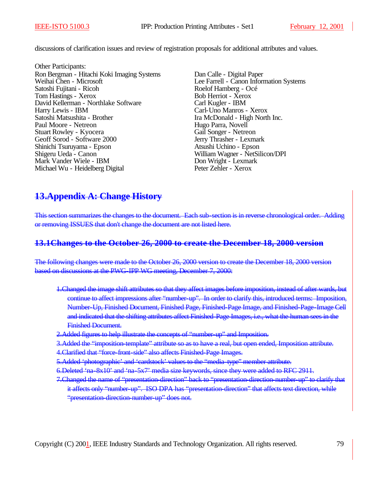discussions of clarification issues and review of registration proposals for additional attributes and values.

Other Participants: Ron Bergman - Hitachi Koki Imaging Systems Dan Calle - Digital Paper Weihai Chen - Microsoft Lee Farrell - Canon Information Systems<br>Satoshi Fujitani - Ricoh Roelof Hamberg - Océ Satoshi Fujitani - Ricoh Roelof Hamberg - Och Roelof Hamberg - Och Roelof Hamberg - Och Roelof Hamberg - Och Roelof Hamberg - Och Roelof Hamberg - Och Roelof Hamberg - Och Roelof Hamberg - Och Roelof Hamberg - Och Roelof H Tom Hastings - Xerox David Kellerman - Northlake Software Carl Kugler - IBM<br>
Harry Lewis - IBM<br>
Carl-Uno Manros Satoshi Matsushita - Brother **Ira McDonald - High North Inc.** Paul Moore - Netreon Hugo Parra, Novell Stuart Rowley - Kyocera Gail Songer - Netreon<br>
Gail Songer - Netreon<br>
Jerry Thrasher - Lexmark Geoff Sorod - Software 2000 Jerry Thrasher - Lexman Shinichi Tsuruyama - Epson Atsushi Uchino - Epson Shinichi Tsuruyama - Epson<br>Shigeru Ueda - Canon Mark Vander Wiele - IBM<br>
Michael Wu - Heidelberg Digital<br>
Peter Zehler - Xerox Michael Wu - Heidelberg Digital

Carl-Uno Manros - Xerox William Wagner - NetSilicon/DPI

# **13.Appendix A: Change History**

This section summarizes the changes to the document. Each sub-section is in reverse chronological order. Adding or removing ISSUES that don't change the document are not listed here.

### **13.1Changes to the October 26, 2000 to create the December 18, 2000 version**

The following changes were made to the October 26, 2000 version to create the December 18, 2000 version based on discussions at the PWG-IPP WG meeting, December 7, 2000:

- 1.Changed the image shift attributes so that they affect images before imposition, instead of after wards, but continue to affect impressions after "number-up". In order to clarify this, introduced terms: Imposition, Number-Up, Finished Document, Finished Page, Finished-Page Image, and Finished-Page-Image Cell and indicated that the shifting attributes affect Finished-Page Images, i.e., what the human sees in the Finished Document.
- 2.Added figures to help illustrate the concepts of "number-up" and Imposition.
- 3. Added the "imposition-template" attribute so as to have a real, but open ended, Imposition attribute.
- 4.Clarified that "force-front-side" also affects Finished-Page Images.
- 5.Added 'photographic' and 'cardstock' values to the "media-type" member attribute.
- 6.Deleted 'na-8x10' and 'na-5x7' media size keywords, since they were added to RFC 2911.
- 7. Changed the name of "presentation-direction" back to "presentation-direction-number-up" to clarify that it affects only "number-up". ISO DPA has "presentation-direction" that affects text direction, while "presentation-direction-number-up" does not.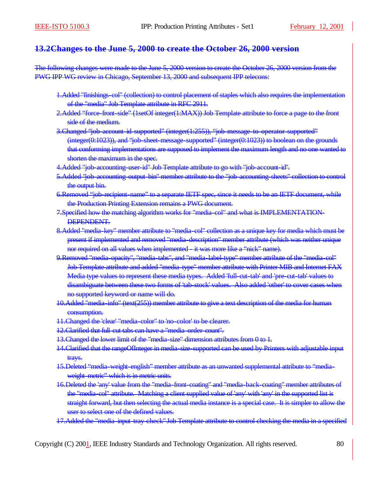### **13.2Changes to the June 5, 2000 to create the October 26, 2000 version**

The following changes were made to the June 5, 2000 version to create the October 26, 2000 version from the PWG IPP WG review in Chicago, September 13, 2000 and subsequent IPP telecons:

- 1.Added "finishings-col" (collection) to control placement of staples which also requires the implementation of the "media" Job Template attribute in RFC 2911.
- 2.Added "force-front-side" (1setOf integer(1:MAX)) Job Template attribute to force a page to the front side of the medium.
- 3.Changed "job-account-id-supported" (integer(1:255)), "job-message-to-operator-supported" (integer(0:1023)), and "job-sheet-message-supported" (integer(0:1023)) to boolean on the grounds that conforming implementations are supposed to implement the maximum length and no one wanted to shorten the maximum in the spec.
- 4.Added "job-accounting-user-id" Job Template attribute to go with "job-account-id".
- 5.Added "job-accounting-output-bin" member attribute to the "job-accounting-sheets" collection to control the output bin.
- 6.Removed "job-recipient-name" to a separate IETF spec, since it needs to be an IETF document, while the Production Printing Extension remains a PWG document.
- 7.Specified how the matching algorithm works for "media-col" and what is IMPLEMENTATION-DEPENDENT.
- 8.Added "media-key" member attribute to "media-col" collection as a unique key for media which must be present if implemented and removed "media-description" member attribute (which was neither unique nor required on all values when implemented - it was more like a "nick" name).
- 9.Removed "media-opacity", "media-tabs", and "media-label-type" member attribute of the "media-col" Job Template attribute and added "media-type" member attribute with Printer MIB and Internet FAX Media type values to represent these media types. Added 'full-cut-tab' and 'pre-cut-tab' values to disambiguate between these two forms of 'tab-stock' values. Also added 'other' to cover cases when no supported keyword or name will do.
- 10.Added "media-info" (text(255)) member attribute to give a text description of the media for human consumption.
- 11.Changed the 'clear' "media-color" to 'no-color' to be clearer.
- 12.Clarified that full-cut tabs can have a "media-order-count".
- 13. Changed the lower limit of the "media-size" dimension attributes from 0 to 1.
- 14.Clarified that the rangeOfInteger in media-size-supported can be used by Printers with adjustable input trays.
- 15.Deleted "media-weight-english" member attribute as an unwanted supplemental attribute to "mediaweight-metric" which is in metric units.
- 16.Deleted the 'any' value from the "media-front-coating" and "media-back-coating" member attributes of the "media-col" attribute. Matching a client supplied value of 'any' with 'any' in the supported list is straight forward, but then selecting the actual media instance is a special case. It is simpler to allow the user to select one of the defined values.
- 17.Added the "media-input-tray-check" Job Template attribute to control checking the media in a specified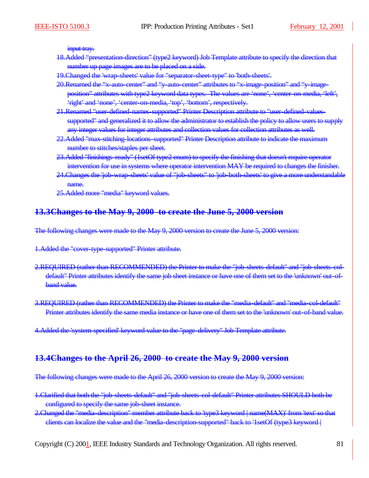input tray.

- 18.Added "presentation-direction" (type2 keyword) Job Template attribute to specify the direction that number up page images are to be placed on a side.
- 19.Changed the 'wrap-sheets' value for "separator-sheet-type" to 'both-sheets'.
- 20.Renamed the "x-auto-center" and "y-auto-center" attributes to "x-image-position" and "y-imageposition" attributes with type2 keyword data types. The values are 'none', 'center-on-media, 'left', 'right' and 'none', 'center-on-media, 'top', 'bottom', respectively.
- 21.Renamed "user-defined-names-supported" Printer Description attribute to "user-defined-valuessupported" and generalized it to allow the administrator to establish the policy to allow users to supply any integer values for integer attributes and collection values for collection attributes as well.
- 22.Added "max-stitching-locations-supported" Printer Description attribute to indicate the maximum number to stitches/staples per sheet.
- 23.Added "finishings-ready" (1setOf type2 enum) to specify the finishing that doesn't require operator intervention for use in systems where operator intervention MAY be required to changes the finisher.
- 24.Changes the 'job-wrap-sheets' value of "job-sheets" to 'job-both-sheets' to give a more understandable name.
- 25.Added more "media" keyword values.

### **13.3Changes to the May 9, 2000 to create the June 5, 2000 version**

The following changes were made to the May 9, 2000 version to create the June 5, 2000 version:

1.Added the "cover-type-supported" Printer attribute.

- 2.REQUIRED (rather than RECOMMENDED) the Printer to make the "job-sheets-default" and "job-sheets-coldefault" Printer attributes identify the same job sheet instance or have one of them set to the 'unknown' out-ofband value.
- 3.REQUIRED (rather than RECOMMENDED) the Printer to make the "media-default" and "media-col-default" Printer attributes identify the same media instance or have one of them set to the 'unknown' out-of-band value.

4.Added the 'system-specified' keyword value to the "page-delivery" Job Template attribute.

#### **13.4Changes to the April 26, 2000 to create the May 9, 2000 version**

The following changes were made to the April 26, 2000 version to create the May 9, 2000 version:

- 1.Clarified that both the "job-sheets-default" and "job-sheets-col-default" Printer attributes SHOULD both be configured to specify the same job-sheet instance.
- 2. Changed the "media-description" member attribute back to 'type3 keyword | name(MAX)' from 'text' so that clients can localize the value and the "media-description-supported" back to '1setOf (type3 keyword |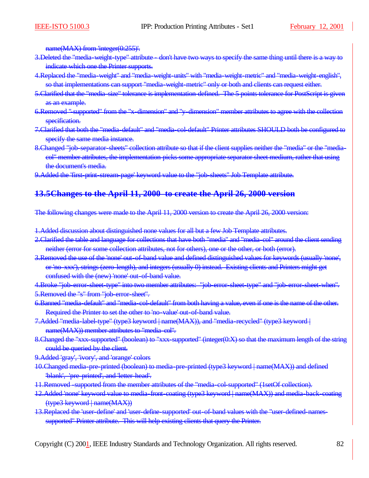name(MAX) from 'integer(0:255)'.

- 3. Deleted the "media-weight-type" attribute don't have two ways to specify the same thing until there is a way to indicate which one the Printer supports.
- 4.Replaced the "media-weight" and "media-weight-units" with "media-weight-metric" and "media-weight-english", so that implementations can support "media-weight-metric" only or both and clients can request either.
- 5. Clarified that the "media-size" tolerance is implementation-defined. The 5 points tolerance for PostScript is given as an example.
- 6. Removed "-supported" from the "x-dimension" and "y-dimension" member attributes to agree with the collection specification.
- 7.Clarified that both the "media-default" and "media-col-default" Printer attributes SHOULD both be configured to specify the same media instance.
- 8. Changed "job-separator-sheets" collection attribute so that if the client supplies neither the "media" or the "mediacol" member attributes, the implementation picks some appropriate separator sheet medium, rather that using the document's media.
- 9.Added the 'first-print-stream-page' keyword value to the "job-sheets" Job Template attribute.

### **13.5Changes to the April 11, 2000 to create the April 26, 2000 version**

The following changes were made to the April 11, 2000 version to create the April 26, 2000 version:

1.Added discussion about distinguished none values for all but a few Job Template attributes.

- 2. Clarified the table and language for collections that have both "media" and "media-col" around the client sending neither (error for some collection attributes, not for others), one or the other, or both (error).
- 3.Removed the use of the 'none' out-of-band value and defined distinguished values for keywords (usually 'none', or 'no-xxx'), strings (zero-length), and integers (usually 0) instead. Existing clients and Printers might get confused with the (new) 'none' out-of-band value.

4.Broke "job-error-sheet-type" into two member attributes: "job-error-sheet-type" and "job-error-sheet-when". 5.Removed the "s" from "job-error-sheet".

- 6.Banned "media-default" and "media-col-default" from both having a value, even if one is the name of the other. Required the Printer to set the other to 'no-value' out-of-band value.
- 7.Added "media-label-type" (type3 keyword | name(MAX)), and "media-recycled" (type3 keyword | name(MAX)) member attributes to "media-col".
- 8. Changed the "xxx-supported" (boolean) to "xxx-supported" (integer(0:X) so that the maximum length of the string could be queried by the client.
- 9.Added 'gray', 'ivory', and 'orange' colors
- 10.Changed media-pre-printed (boolean) to media-pre-printed (type3 keyword | name(MAX)) and defined 'blank', 'pre-printed', and 'letter-head'.
- 11.Removed -supported from the member attributes of the "media-col-supported" (1setOf collection).
- 12.Added 'none' keyword value to media-front-coating (type3 keyword | name(MAX)) and media-back-coating (type3 keyword | name(MAX))
- 13.Replaced the 'user-define' and 'user-define-supported' out-of-band values with the "user-defined-namessupported" Printer attribute. This will help existing clients that query the Printer.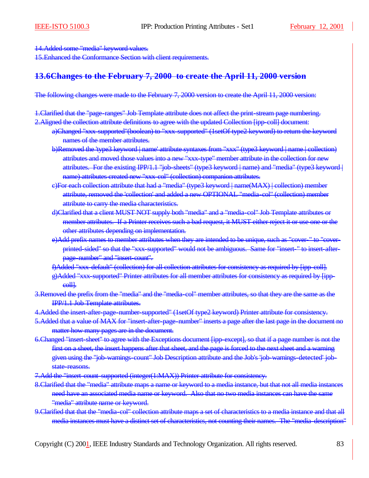14.Added some "media" keyword values.

15.Enhanced the Conformance Section with client requirements.

### **13.6Changes to the February 7, 2000 to create the April 11, 2000 version**

The following changes were made to the February 7, 2000 version to create the April 11, 2000 version:

1.Clarified that the "page-ranges" Job Template attribute does not affect the print-stream page numbering.

2.Aligned the collection attribute definitions to agree with the updated Collection [ipp-coll] document:

- a)Changed "xxx-supported"(boolean) to "xxx-supported" (1setOf type2 keyword) to return the keyword names of the member attributes.
- b)Removed the 'type3 keyword | name' attribute syntaxes from "xxx" (type3 keyword | name | collection) attributes and moved those values into a new "xxx-type" member attribute in the collection for new attributes. For the existing IPP/1.1 "job-sheets" (type3 keyword | name) and "media" (type3 keyword | name) attributes created new "xxx-col" (collection) companion attributes.
- c)For each collection attribute that had a "media" (type3 keyword | name(MAX) | collection) member attribute, removed the 'collection' and added a new OPTIONAL "media-col" (collection) member attribute to carry the media characteristics.
- d)Clarified that a client MUST NOT supply both "media" and a "media-col" Job Template attributes or member attributes. If a Printer receives such a bad request, it MUST either reject it or use one or the other attributes depending on implementation.
- e)Add prefix names to member attributes when they are intended to be unique, such as "cover-" to "coverprinted-sided" so that the "xxx-supported" would not be ambiguous. Same for "insert-" to insert-afterpage-number" and "insert-count".
- f)Added "xxx-default" (collection) for all collection attributes for consistency as required by [ipp-coll].
- g)Added "xxx-supported" Printer attributes for all member attributes for consistency as required by [ippcoll].
- 3.Removed the prefix from the "media" and the "media-col" member attributes, so that they are the same as the IPP/1.1 Job Template attributes.
- 4. Added the insert-after-page-number-supported" (1setOf type2 keyword) Printer attribute for consistency.
- 5. Added that a value of MAX for "insert-after-page-number" inserts a page after the last page in the document no matter how many pages are in the document.
- 6.Changed "insert-sheet" to agree with the Exceptions document [ipp-except], so that if a page number is not the first on a sheet, the insert happens after that sheet, and the page is forced to the next sheet and a warning given using the "job-warnings-count" Job Description attribute and the Job's 'job-warnings-detected' jobstate-reasons.
- 7. Add the "insert-count-supported (integer(1:MAX)) Printer attribute for consistency.
- 8.Clarified that the "media" attribute maps a name or keyword to a media instance, but that not all media instances need have an associated media name or keyword. Also that no two media instances can have the same "media" attribute name or keyword.
- 9.Clarified that that the "media-col" collection attribute maps a set of characteristics to a media instance and that all media instances must have a distinct set of characteristics, not counting their names. The "media-description"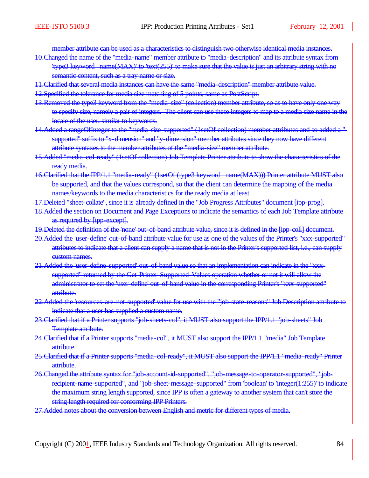member attribute can be used as a characteristics to distinguish two otherwise identical media instances.

- 10.Changed the name of the "media-name" member attribute to "media-description" and its attribute syntax from 'type3 keyword | name(MAX)' to 'text(255)' to make sure that the value is just an arbitrary string with no semantic content, such as a tray name or size.
- 11.Clarified that several media instances can have the same "media-description" member attribute value.
- 12.Specified the tolerance for media size matching of 5 points, same as PostScript.
- 13.Removed the type3 keyword from the "media-size" (collection) member attribute, so as to have only one way to specify size, namely a pair of integers. The client can use these integers to map to a media size name in the locale of the user, similar to keywords.
- 14. Added a rangeOfInteger to the "media-size-supported" (1setOf collection) member attributes and so added a "supported" suffix to "x-dimension" and "y-dimension" member attributes since they now have different attribute syntaxes to the member attributes of the "media-size" member attribute.
- 15.Added "media-col-ready" (1setOf collection) Job Template Printer attribute to show the characteristics of the ready media.
- 16.Clarified that the IPP/1.1 "media-ready" (1setOf (type3 keyword | name(MAX))) Printer attribute MUST also be supported, and that the values correspond, so that the client can determine the mapping of the media names/keywords to the media characteristics for the ready media at least.
- 17. Deleted "sheet-collate", since it is already defined in the "Job Progress Attributes" document [ipp-prog].
- 18.Added the section on Document and Page Exceptions to indicate the semantics of each Job Template attribute as required by [ipp-except].
- 19. Deleted the definition of the 'none' out-of-band attribute value, since it is defined in the [ipp-coll] document.
- 20.Added the 'user-define' out-of-band attribute value for use as one of the values of the Printer's "xxx-supported" attributes to indicate that a client can supply a name that is not in the Printer's supported list, i.e., can supply custom names.
- 21.Added the 'user-define-supported' out-of-band value so that an implementation can indicate in the "xxxsupported" returned by the Get-Printer-Supported-Values operation whether or not it will allow the administrator to set the 'user-define' out-of-band value in the corresponding Printer's "xxx-supported" attribute.
- 22.Added the 'resources-are-not-supported' value for use with the "job-state-reasons" Job Description attribute to indicate that a user has supplied a custom name.
- 23.Clarified that if a Printer supports "job-sheets-col", it MUST also support the IPP/1.1 "job-sheets" Job Template attribute.
- 24. Clarified that if a Printer supports "media-col", it MUST also support the IPP/1.1 "media" Job Template attribute.
- 25.Clarified that if a Printer supports "media-col-ready", it MUST also support the IPP/1.1 "media-ready" Printer attribute.
- 26.Changed the attribute syntax for "job-account-id-supported", "job-message-to-operator-supported", "jobrecipient-name-supported", and "job-sheet-message-supported" from 'boolean' to 'integer(1:255)' to indicate the maximum string length supported, since IPP is often a gateway to another system that can't store the string length required for conforming IPP Printers.
- 27.Added notes about the conversion between English and metric for different types of media.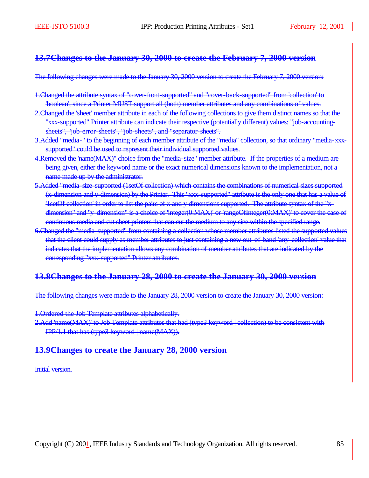### **13.7Changes to the January 30, 2000 to create the February 7, 2000 version**

The following changes were made to the January 30, 2000 version to create the February 7, 2000 version:

- 1.Changed the attribute syntax of "cover-front-supported" and "cover-back-supported" from 'collection' to 'boolean', since a Printer MUST support all (both) member attributes and any combinations of values.
- 2.Changed the 'sheet' member attribute in each of the following collections to give them distinct names so that the "xxx-supported" Printer attribute can indicate their respective (potentially different) values: "job-accountingsheets", "job-error-sheets", "job-sheets", and "separator-sheets".
- 3. Added "media-" to the beginning of each member attribute of the "media" collection, so that ordinary "media-xxxsupported" could be used to represent their individual supported values.
- 4.Removed the 'name(MAX)" choice from the "media-size" member attribute. If the properties of a medium are being given, either the keyword name or the exact numerical dimensions known to the implementation, not a name made up by the administrator.
- 5.Added "media-size-supported (1setOf collection) which contains the combinations of numerical sizes supported (x-dimension and y-dimension) by the Printer. This "xxx-supported" attribute is the only one that has a value of '1setOf collection' in order to list the pairs of x and y dimensions supported. The attribute syntax of the "xdimension" and "y-dimension" is a choice of 'integer(0:MAX)' or 'rangeOfInteger(0:MAX)' to cover the case of continuous media and cut sheet printers that can cut the medium to any size within the specified range.
- 6.Changed the "media-supported" from containing a collection whose member attributes listed the supported values that the client could supply as member attributes to just containing a new out-of-band 'any-collection' value that indicates that the implementation allows any combination of member attributes that are indicated by the corresponding "xxx-supported" Printer attributes.

### **13.8Changes to the January 28, 2000 to create the January 30, 2000 version**

The following changes were made to the January 28, 2000 version to create the January 30, 2000 version:

1.Ordered the Job Template attributes alphabetically.

2.Add 'name(MAX)' to Job Template attributes that had (type3 keyword | collection) to be consistent with IPP/1.1 that has (type3 keyword | name(MAX)).

### **13.9Changes to create the January 28, 2000 version**

Initial version.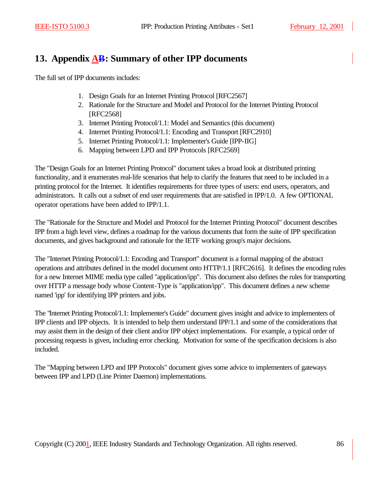# **13. Appendix AB: Summary of other IPP documents**

The full set of IPP documents includes:

- 1. Design Goals for an Internet Printing Protocol [RFC2567]
- 2. Rationale for the Structure and Model and Protocol for the Internet Printing Protocol [RFC2568]
- 3. Internet Printing Protocol/1.1: Model and Semantics (this document)
- 4. Internet Printing Protocol/1.1: Encoding and Transport [RFC2910]
- 5. Internet Printing Protocol/1.1: Implementer's Guide [IPP-IIG]
- 6. Mapping between LPD and IPP Protocols [RFC2569]

The "Design Goals for an Internet Printing Protocol" document takes a broad look at distributed printing functionality, and it enumerates real-life scenarios that help to clarify the features that need to be included in a printing protocol for the Internet. It identifies requirements for three types of users: end users, operators, and administrators. It calls out a subset of end user requirements that are satisfied in IPP/1.0. A few OPTIONAL operator operations have been added to IPP/1.1.

The "Rationale for the Structure and Model and Protocol for the Internet Printing Protocol" document describes IPP from a high level view, defines a roadmap for the various documents that form the suite of IPP specification documents, and gives background and rationale for the IETF working group's major decisions.

The "Internet Printing Protocol/1.1: Encoding and Transport" document is a formal mapping of the abstract operations and attributes defined in the model document onto HTTP/1.1 [RFC2616]. It defines the encoding rules for a new Internet MIME media type called "application/ipp". This document also defines the rules for transporting over HTTP a message body whose Content-Type is "application/ipp". This document defines a new scheme named 'ipp' for identifying IPP printers and jobs.

The "Internet Printing Protocol/1.1: Implementer's Guide" document gives insight and advice to implementers of IPP clients and IPP objects. It is intended to help them understand IPP/1.1 and some of the considerations that may assist them in the design of their client and/or IPP object implementations. For example, a typical order of processing requests is given, including error checking. Motivation for some of the specification decisions is also included.

The "Mapping between LPD and IPP Protocols" document gives some advice to implementers of gateways between IPP and LPD (Line Printer Daemon) implementations.